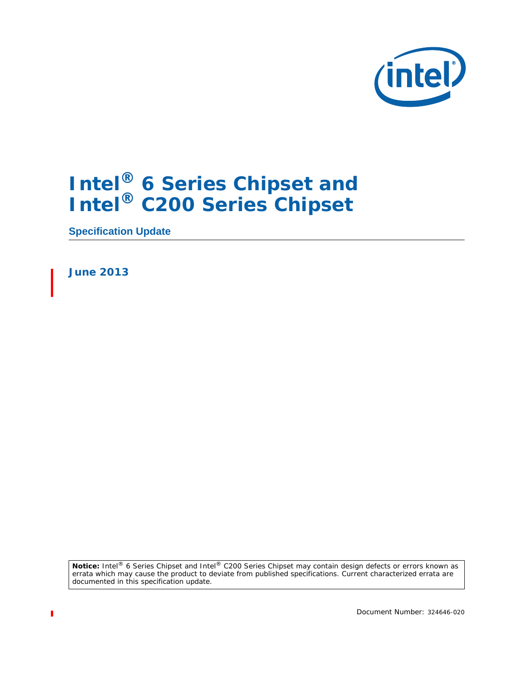

# **Intel***®* **6 Series Chipset and Intel***®* **C200 Series Chipset**

**Specification Update**

**June 2013**

**Notice:** Intel® 6 Series Chipset and Intel® C200 Series Chipset may contain design defects or errors known as errata which may cause the product to deviate from published specifications. Current characterized errata are documented in this specification update.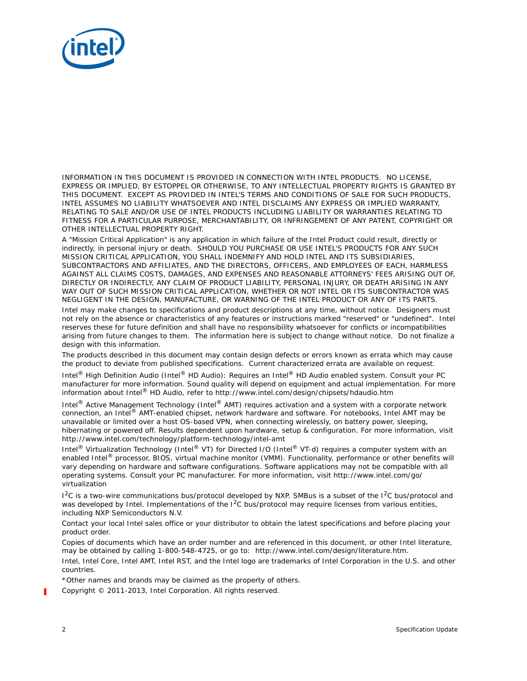

INFORMATION IN THIS DOCUMENT IS PROVIDED IN CONNECTION WITH INTEL PRODUCTS. NO LICENSE, EXPRESS OR IMPLIED, BY ESTOPPEL OR OTHERWISE, TO ANY INTELLECTUAL PROPERTY RIGHTS IS GRANTED BY THIS DOCUMENT. EXCEPT AS PROVIDED IN INTEL'S TERMS AND CONDITIONS OF SALE FOR SUCH PRODUCTS, INTEL ASSUMES NO LIABILITY WHATSOEVER AND INTEL DISCLAIMS ANY EXPRESS OR IMPLIED WARRANTY, RELATING TO SALE AND/OR USE OF INTEL PRODUCTS INCLUDING LIABILITY OR WARRANTIES RELATING TO FITNESS FOR A PARTICULAR PURPOSE, MERCHANTABILITY, OR INFRINGEMENT OF ANY PATENT, COPYRIGHT OR OTHER INTELLECTUAL PROPERTY RIGHT.

A "Mission Critical Application" is any application in which failure of the Intel Product could result, directly or indirectly, in personal injury or death. SHOULD YOU PURCHASE OR USE INTEL'S PRODUCTS FOR ANY SUCH MISSION CRITICAL APPLICATION, YOU SHALL INDEMNIFY AND HOLD INTEL AND ITS SUBSIDIARIES, SUBCONTRACTORS AND AFFILIATES, AND THE DIRECTORS, OFFICERS, AND EMPLOYEES OF EACH, HARMLESS AGAINST ALL CLAIMS COSTS, DAMAGES, AND EXPENSES AND REASONABLE ATTORNEYS' FEES ARISING OUT OF, DIRECTLY OR INDIRECTLY, ANY CLAIM OF PRODUCT LIABILITY, PERSONAL INJURY, OR DEATH ARISING IN ANY WAY OUT OF SUCH MISSION CRITICAL APPLICATION, WHETHER OR NOT INTEL OR ITS SUBCONTRACTOR WAS NEGLIGENT IN THE DESIGN, MANUFACTURE, OR WARNING OF THE INTEL PRODUCT OR ANY OF ITS PARTS.

Intel may make changes to specifications and product descriptions at any time, without notice. Designers must not rely on the absence or characteristics of any features or instructions marked "reserved" or "undefined". Intel reserves these for future definition and shall have no responsibility whatsoever for conflicts or incompatibilities arising from future changes to them. The information here is subject to change without notice. Do not finalize a design with this information.

The products described in this document may contain design defects or errors known as errata which may cause the product to deviate from published specifications. Current characterized errata are available on request.

Intel<sup>®</sup> High Definition Audio (Intel<sup>®</sup> HD Audio): Requires an Intel<sup>®</sup> HD Audio enabled system. Consult your PC manufacturer for more information. Sound quality will depend on equipment and actual implementation. For more information about Intel® HD Audio, refer to http://www.intel.com/design/chipsets/hdaudio.htm

Intel<sup>®</sup> Active Management Technology (Intel® AMT) requires activation and a system with a corporate network connection, an Intel® AMT-enabled chipset, network hardware and software. For notebooks, Intel AMT may be unavailable or limited over a host OS-based VPN, when connecting wirelessly, on battery power, sleeping, hibernating or powered off. Results dependent upon hardware, setup & configuration. For more information, visit http://www.intel.com/technology/platform-technology/intel-amt

Intel<sup>®</sup> Virtualization Technology (Intel<sup>®</sup> VT) for Directed I/O (Intel<sup>®</sup> VT-d) requires a computer system with an enabled Intel® processor, BIOS, virtual machine monitor (VMM). Functionality, performance or other benefits will vary depending on hardware and software configurations. Software applications may not be compatible with all operating systems. Consult your PC manufacturer. For more information, visit http://www.intel.com/go/ virtualization

 $I^2C$  is a two-wire communications bus/protocol developed by NXP. SMBus is a subset of the  $I^2C$  bus/protocol and was developed by Intel. Implementations of the  $1<sup>2</sup>C$  bus/protocol may require licenses from various entities, including NXP Semiconductors N.V.

Contact your local Intel sales office or your distributor to obtain the latest specifications and before placing your product order.

Copies of documents which have an order number and are referenced in this document, or other Intel literature, may be obtained by calling 1-800-548-4725, or go to: http://www.intel.com/design/literature.htm.

Intel, Intel Core, Intel AMT, Intel RST, and the Intel logo are trademarks of Intel Corporation in the U.S. and other countries.

\*Other names and brands may be claimed as the property of others.

Copyright © 2011-2013, Intel Corporation. All rights reserved.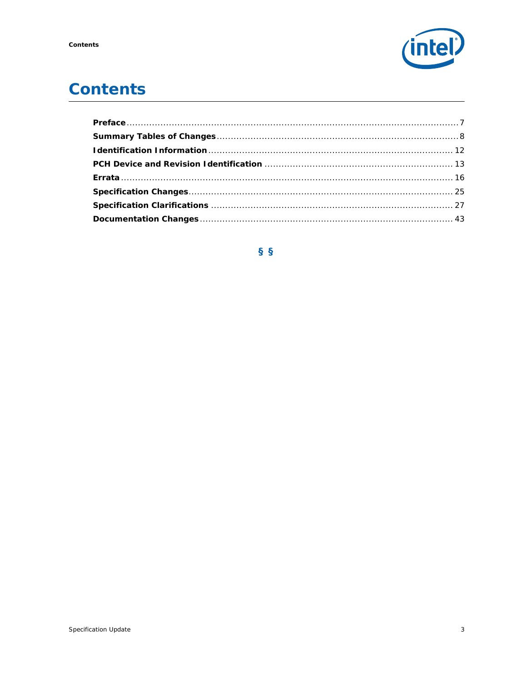

# **Contents**

### $S S$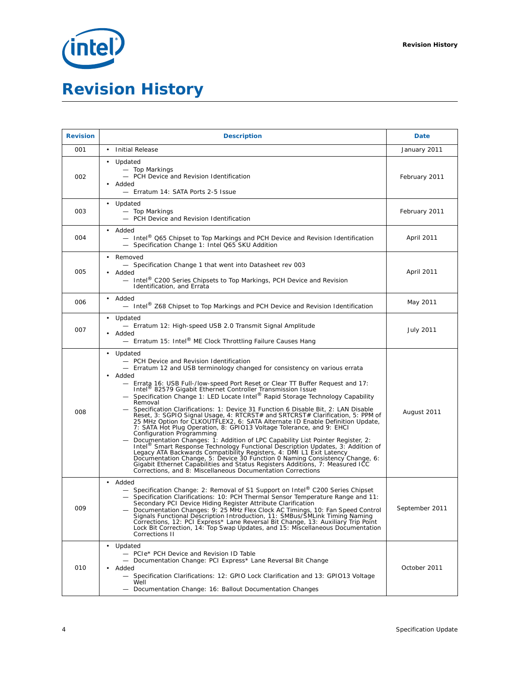



# **Revision History**

| <b>Revision</b> | <b>Description</b>                                                                                                                                                                                                                                                                                                                                                                                                                                                                                                                                                                                                                                                                                                                                                                                                                                                                                                                                                                                                                                                                                                                                                                                                                             | Date             |
|-----------------|------------------------------------------------------------------------------------------------------------------------------------------------------------------------------------------------------------------------------------------------------------------------------------------------------------------------------------------------------------------------------------------------------------------------------------------------------------------------------------------------------------------------------------------------------------------------------------------------------------------------------------------------------------------------------------------------------------------------------------------------------------------------------------------------------------------------------------------------------------------------------------------------------------------------------------------------------------------------------------------------------------------------------------------------------------------------------------------------------------------------------------------------------------------------------------------------------------------------------------------------|------------------|
| 001             | <b>Initial Release</b><br>$\bullet$                                                                                                                                                                                                                                                                                                                                                                                                                                                                                                                                                                                                                                                                                                                                                                                                                                                                                                                                                                                                                                                                                                                                                                                                            | January 2011     |
| 002             | • Updated<br>- Top Markings<br>- PCH Device and Revision Identification<br>Added<br>- Erratum 14: SATA Ports 2-5 Issue                                                                                                                                                                                                                                                                                                                                                                                                                                                                                                                                                                                                                                                                                                                                                                                                                                                                                                                                                                                                                                                                                                                         | February 2011    |
| 003             | Updated<br>- Top Markings<br>- PCH Device and Revision Identification                                                                                                                                                                                                                                                                                                                                                                                                                                                                                                                                                                                                                                                                                                                                                                                                                                                                                                                                                                                                                                                                                                                                                                          | February 2011    |
| 004             | Added<br>$-$ Intel <sup>®</sup> Q65 Chipset to Top Markings and PCH Device and Revision Identification<br>- Specification Change 1: Intel Q65 SKU Addition                                                                                                                                                                                                                                                                                                                                                                                                                                                                                                                                                                                                                                                                                                                                                                                                                                                                                                                                                                                                                                                                                     | April 2011       |
| 005             | Removed<br>- Specification Change 1 that went into Datasheet rev 003<br>Added<br>— Intel <sup>®</sup> C200 Series Chipsets to Top Markings, PCH Device and Revision<br>Identification, and Errata                                                                                                                                                                                                                                                                                                                                                                                                                                                                                                                                                                                                                                                                                                                                                                                                                                                                                                                                                                                                                                              | April 2011       |
| 006             | Added<br>$-$ Intel <sup>®</sup> Z68 Chipset to Top Markings and PCH Device and Revision Identification                                                                                                                                                                                                                                                                                                                                                                                                                                                                                                                                                                                                                                                                                                                                                                                                                                                                                                                                                                                                                                                                                                                                         | May 2011         |
| 007             | Updated<br>$\bullet$<br>- Erratum 12: High-speed USB 2.0 Transmit Signal Amplitude<br>Added<br>- Erratum 15: Intel <sup>®</sup> ME Clock Throttling Failure Causes Hang                                                                                                                                                                                                                                                                                                                                                                                                                                                                                                                                                                                                                                                                                                                                                                                                                                                                                                                                                                                                                                                                        | <b>July 2011</b> |
| 008             | Updated<br>- PCH Device and Revision Identification<br>- Erratum 12 and USB terminology changed for consistency on various errata<br>Added<br>- Errata 16: USB Full-/low-speed Port Reset or Clear TT Buffer Request and 17:<br>Intel <sup>®</sup> 82579 Gigabit Ethernet Controller Transmission Issue<br>- Specification Change 1: LED Locate Intel® Rapid Storage Technology Capability<br>Removal<br>Specification Clarifications: 1: Device 31 Function 6 Disable Bit, 2: LAN Disable<br>Reset, 3: SGPIO Signal Usage, 4: RTCRST# and SRTCRST# Clarification, 5: PPM of<br>25 MHz Option for CLKOUTFLEX2, 6: SATA Alternate ID Enable Definition Update,<br>7: SATA Hot Plug Operation, 8: GPIO13 Voltage Tolerance, and 9: EHCI<br>Configuration Programming<br>Documentation Changes: 1: Addition of LPC Capability List Pointer Register, 2:<br>Intel® Smart Response Technology Functional Description Updates, 3: Addition of<br>Legacy ATA Backwards Compatibility Registers, 4: DMI L1 Exit Latency<br>Documentation Change, 5: Device 30 Function 0 Naming Consistency Change, 6:<br>Gigabit Ethernet Capabilities and Status Registers Additions, 7: Measured ICC<br>Corrections, and 8: Miscellaneous Documentation Corrections | August 2011      |
| 009             | Added<br>- Specification Change: 2: Removal of S1 Support on Intel <sup>®</sup> C200 Series Chipset<br>- Specification Clarifications: 10: PCH Thermal Sensor Temperature Range and 11:<br>Secondary PCI Device Hiding Register Attribute Clarification<br>- Documentation Changes: 9: 25 MHz Flex Clock AC Timings, 10: Fan Speed Control<br>Signals Functional Description Introduction, 11: SMBus/SMLink Timing Naming<br>Corrections, 12: PCI Express* Lane Reversal Bit Change, 13: Auxiliary Trip Point<br>Lock Bit Correction, 14: Top Swap Updates, and 15: Miscellaneous Documentation<br>Corrections II                                                                                                                                                                                                                                                                                                                                                                                                                                                                                                                                                                                                                              | September 2011   |
| 010             | • Updated<br>- PCIe* PCH Device and Revision ID Table<br>- Documentation Change: PCI Express* Lane Reversal Bit Change<br>Added<br>Specification Clarifications: 12: GPIO Lock Clarification and 13: GPIO13 Voltage<br>Well<br>Documentation Change: 16: Ballout Documentation Changes                                                                                                                                                                                                                                                                                                                                                                                                                                                                                                                                                                                                                                                                                                                                                                                                                                                                                                                                                         | October 2011     |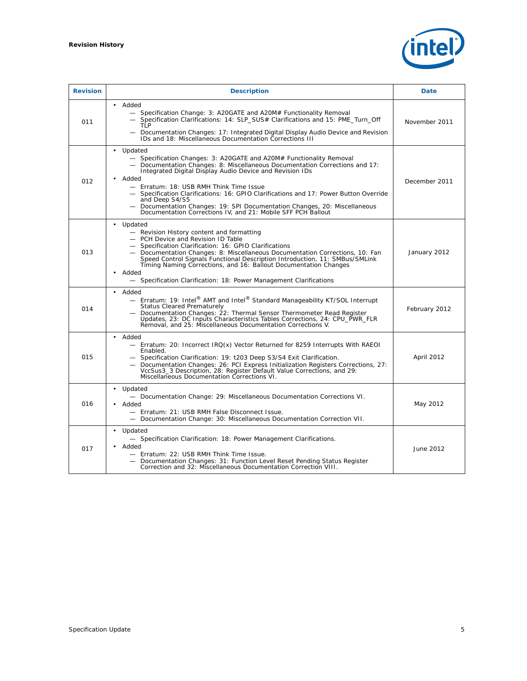

| <b>Revision</b> | <b>Description</b>                                                                                                                                                                                                                                                                                                                                                                                                                                                                                                                               | Date          |  |
|-----------------|--------------------------------------------------------------------------------------------------------------------------------------------------------------------------------------------------------------------------------------------------------------------------------------------------------------------------------------------------------------------------------------------------------------------------------------------------------------------------------------------------------------------------------------------------|---------------|--|
| 011             | • Added<br>- Specification Change: 3: A20GATE and A20M# Functionality Removal<br>- Specification Clarifications: 14: SLP_SUS# Clarifications and 15: PME_Turn_Off<br>TĹP<br>- Documentation Changes: 17: Integrated Digital Display Audio Device and Revision<br>IDs and 18: Miscellaneous Documentation Corrections III                                                                                                                                                                                                                         | November 2011 |  |
| 012             | Updated<br>$\bullet$<br>- Specification Changes: 3: A20GATE and A20M# Functionality Removal<br>- Documentation Changes: 8: Miscellaneous Documentation Corrections and 17:<br>Integrated Digital Display Audio Device and Revision IDs<br>Added<br>- Erratum: 18: USB RMH Think Time Issue<br>- Specification Clarifications: 16: GPIO Clarifications and 17: Power Button Override<br>and Deep S4/S5<br>Documentation Changes: 19: SPI Documentation Changes, 20: Miscellaneous<br>Documentation Corrections IV, and 21: Mobile SFF PCH Ballout | December 2011 |  |
| 013             | • Updated<br>- Revision History content and formatting<br>- PCH Device and Revision ID Table<br>- Specification Clarification: 16: GPIO Clarifications<br>- Documentation Changes: 8: Miscellaneous Documentation Corrections, 10: Fan<br>Speed Control Signals Functional Description Introduction, 11: SMBus/SMLink<br>Timing Naming Corrections, and 16: Ballout Documentation Changes<br>Added<br>$\bullet$<br>- Specification Clarification: 18: Power Management Clarifications                                                            | January 2012  |  |
| 014             | • Added<br>- Erratum: 19: Intel® AMT and Intel® Standard Manageability KT/SOL Interrupt<br>Status Cleared Prematurely<br>Documentation Changes: 22: Thermal Sensor Thermometer Read Register<br>Updates, 23: DC Inputs Characteristics Tables Corrections, 24: CPU_PWR_FLR<br>Removal, and 25: Miscellaneous Documentation Corrections V.                                                                                                                                                                                                        | February 2012 |  |
| 015             | Added<br>- Erratum: 20: Incorrect IRQ(x) Vector Returned for 8259 Interrupts With RAEOI<br>Enabled.<br>- Specification Clarification: 19: t203 Deep S3/S4 Exit Clarification.<br>- Documentation Changes: 26: PCI Express Initialization Registers Corrections, 27:<br>VccSus3_3 Description, 28: Register Default Value Corrections, and 29: Miscellaneous Documentation Corrections VI.                                                                                                                                                        | April 2012    |  |
| 016             | • Updated<br>- Documentation Change: 29: Miscellaneous Documentation Corrections VI.<br>Added<br>- Erratum: 21: USB RMH False Disconnect Issue.<br>- Documentation Change: 30: Miscellaneous Documentation Correction VII.                                                                                                                                                                                                                                                                                                                       | May 2012      |  |
| 017             | • Updated<br>- Specification Clarification: 18: Power Management Clarifications.<br>Added<br>- Erratum: 22: USB RMH Think Time Issue.<br>- Documentation Changes: 31: Function Level Reset Pending Status Register<br>Correction and 32: Miscellaneous Documentation Correction VIII.                                                                                                                                                                                                                                                            | June 2012     |  |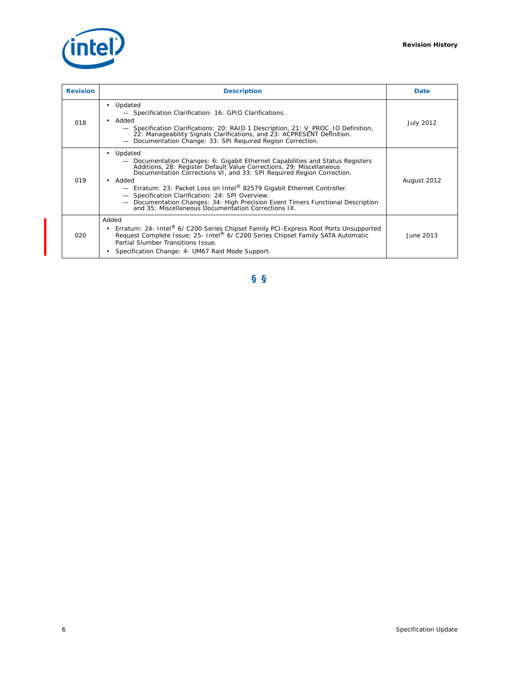

| <b>Revision</b> | <b>Description</b>                                                                                                                                                                                                                                                                                                                                                                                                                                                                                                                            | <b>Date</b>      |
|-----------------|-----------------------------------------------------------------------------------------------------------------------------------------------------------------------------------------------------------------------------------------------------------------------------------------------------------------------------------------------------------------------------------------------------------------------------------------------------------------------------------------------------------------------------------------------|------------------|
| 018             | Updated<br>- Specification Clarification: 16: GPIO Clarifications.<br>• Added<br>- Specification Clarifications: 20: RAID 1 Description, 21: V_PROC_IO Definition,<br>22: Manageability Signals Clarifications, and 23: ACPRESENT Definition.<br>Documentation Change: 33: SPI Required Region Correction.                                                                                                                                                                                                                                    | <b>July 2012</b> |
| 019             | Updated<br>$\bullet$<br>Documentation Changes: 6: Gigabit Ethernet Capabilities and Status Registers Additions, 28: Register Default Value Corrections, 29: Miscellaneous<br>Documentation Corrections VI, and 33: SPI Required Region Correction.<br>• Added<br>- Erratum: 23: Packet Loss on Intel <sup>®</sup> 82579 Gigabit Ethernet Controller.<br>- Specification Clarification: 24: SPI Overview.<br>Documentation Changes: 34: High Precision Event Timers Functional Description and 35: Miscellaneous Documentation Corrections IX. | August 2012      |
| 020             | Added<br>• Erratum: 24- Intel® 6/ C200 Series Chipset Family PCI-Express Root Ports Unsupported<br>Request Complete Issue; 25- Intel® 6/ C200 Series Chipset Family SATA Automatic<br>Partial Slumber Transitions Issue.<br>Specification Change: 4- UM67 Raid Mode Support.                                                                                                                                                                                                                                                                  | June 2013        |

#### **§ §**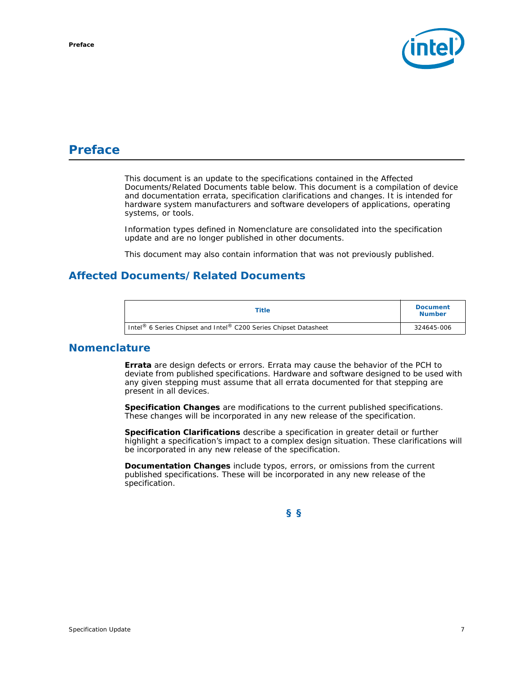

### <span id="page-6-0"></span>**Preface**

This document is an update to the specifications contained in the Affected Documents/Related Documents table below. This document is a compilation of device and documentation errata, specification clarifications and changes. It is intended for hardware system manufacturers and software developers of applications, operating systems, or tools.

Information types defined in Nomenclature are consolidated into the specification update and are no longer published in other documents.

This document may also contain information that was not previously published.

#### **Affected Documents/Related Documents**

| Title                                                                                    | <b>Document</b><br><b>Number</b> |
|------------------------------------------------------------------------------------------|----------------------------------|
| Intel <sup>®</sup> 6 Series Chipset and Intel <sup>®</sup> C200 Series Chipset Datasheet | 324645-006                       |

#### **Nomenclature**

**Errata** are design defects or errors. Errata may cause the behavior of the PCH to deviate from published specifications. Hardware and software designed to be used with any given stepping must assume that all errata documented for that stepping are present in all devices.

**Specification Changes** are modifications to the current published specifications. These changes will be incorporated in any new release of the specification.

**Specification Clarifications** describe a specification in greater detail or further highlight a specification's impact to a complex design situation. These clarifications will be incorporated in any new release of the specification.

**Documentation Changes** include typos, errors, or omissions from the current published specifications. These will be incorporated in any new release of the specification.

**§ §**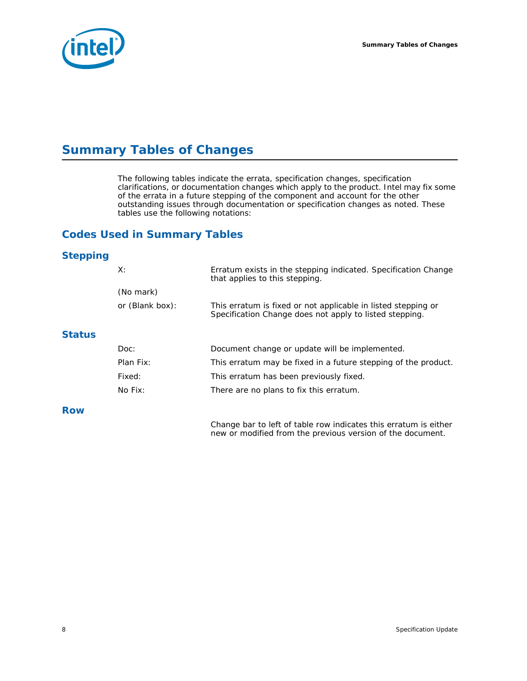

# <span id="page-7-0"></span>**Summary Tables of Changes**

The following tables indicate the errata, specification changes, specification clarifications, or documentation changes which apply to the product. Intel may fix some of the errata in a future stepping of the component and account for the other outstanding issues through documentation or specification changes as noted. These tables use the following notations:

### **Codes Used in Summary Tables**

#### **Stepping**

| X:              | Erratum exists in the stepping indicated. Specification Change<br>that applies to this stepping.                         |
|-----------------|--------------------------------------------------------------------------------------------------------------------------|
| (No mark)       |                                                                                                                          |
| or (Blank box): | This erratum is fixed or not applicable in listed stepping or<br>Specification Change does not apply to listed stepping. |
| Doc:            | Document change or update will be implemented.                                                                           |
| Plan Fix:       | This erratum may be fixed in a future stepping of the product.                                                           |
| Fixed:          | This erratum has been previously fixed.                                                                                  |
| No Fix:         | There are no plans to fix this erratum.                                                                                  |

#### **Row**

**Status**

Change bar to left of table row indicates this erratum is either new or modified from the previous version of the document.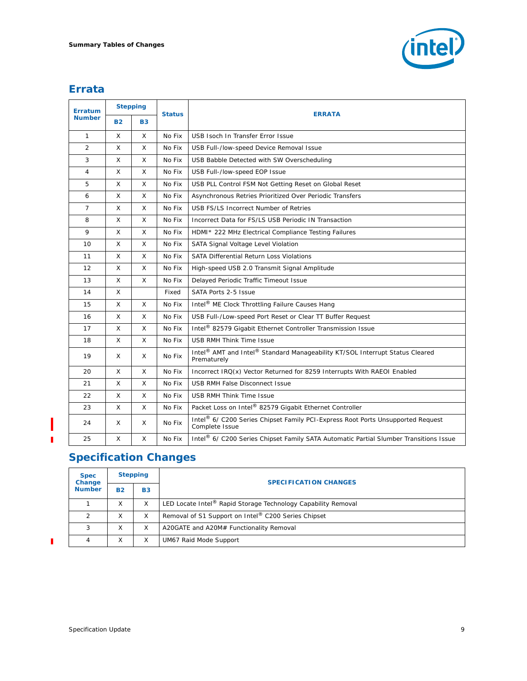

| <b>Erratum</b> | <b>Stepping</b> |              | <b>Status</b> |                                                                                                                     |  |
|----------------|-----------------|--------------|---------------|---------------------------------------------------------------------------------------------------------------------|--|
| <b>Number</b>  | <b>B2</b>       | <b>B3</b>    |               | <b>ERRATA</b>                                                                                                       |  |
| $\mathbf{1}$   | $\times$        | X            | No Fix        | USB Isoch In Transfer Error Issue                                                                                   |  |
| 2              | X               | X            | No Fix        | USB Full-/low-speed Device Removal Issue                                                                            |  |
| 3              | X               | $\mathsf{X}$ | No Fix        | USB Babble Detected with SW Overscheduling                                                                          |  |
| 4              | X               | X            | No Fix        | USB Full-/low-speed EOP Issue                                                                                       |  |
| 5              | X               | X            | No Fix        | USB PLL Control FSM Not Getting Reset on Global Reset                                                               |  |
| 6              | X               | $\times$     | No Fix        | Asynchronous Retries Prioritized Over Periodic Transfers                                                            |  |
| $\overline{7}$ | X               | X            | No Fix        | USB FS/LS Incorrect Number of Retries                                                                               |  |
| 8              | X               | X            | No Fix        | Incorrect Data for FS/LS USB Periodic IN Transaction                                                                |  |
| 9              | X               | X            | No Fix        | HDMI* 222 MHz Electrical Compliance Testing Failures                                                                |  |
| 10             | X               | X            | No Fix        | SATA Signal Voltage Level Violation                                                                                 |  |
| 11             | X               | X            | No Fix        | SATA Differential Return Loss Violations                                                                            |  |
| 12             | X               | X            | No Fix        | High-speed USB 2.0 Transmit Signal Amplitude                                                                        |  |
| 13             | X               | X            | No Fix        | Delayed Periodic Traffic Timeout Issue                                                                              |  |
| 14             | X               |              | Fixed         | SATA Ports 2-5 Issue                                                                                                |  |
| 15             | X               | X            | No Fix        | Intel <sup>®</sup> ME Clock Throttling Failure Causes Hang                                                          |  |
| 16             | X               | $\mathsf{X}$ | No Fix        | USB Full-/Low-speed Port Reset or Clear TT Buffer Request                                                           |  |
| 17             | X               | $\times$     | No Fix        | Intel <sup>®</sup> 82579 Gigabit Ethernet Controller Transmission Issue                                             |  |
| 18             | X               | X            | No Fix        | <b>USB RMH Think Time Issue</b>                                                                                     |  |
| 19             | X               | X            | No Fix        | Intel <sup>®</sup> AMT and Intel <sup>®</sup> Standard Manageability KT/SOL Interrupt Status Cleared<br>Prematurely |  |
| 20             | X               | $\mathsf{X}$ | No Fix        | Incorrect IRQ(x) Vector Returned for 8259 Interrupts With RAEOI Enabled                                             |  |
| 21             | X               | X            | No Fix        | USB RMH False Disconnect Issue                                                                                      |  |
| 22             | X               | X            | No Fix        | USB RMH Think Time Issue                                                                                            |  |
| 23             | X               | X            | No Fix        | Packet Loss on Intel® 82579 Gigabit Ethernet Controller                                                             |  |
| 24             | X               | X            | No Fix        | Intel <sup>®</sup> 6/ C200 Series Chipset Family PCI-Express Root Ports Unsupported Request<br>Complete Issue       |  |
| 25             | Χ               | Χ            | No Fix        | Intel® 6/ C200 Series Chipset Family SATA Automatic Partial Slumber Transitions Issue                               |  |

# **Specification Changes**

| <b>Spec</b><br>Change | <b>Stepping</b> |           | <b>SPECIFICATION CHANGES</b>                                              |  |  |  |
|-----------------------|-----------------|-----------|---------------------------------------------------------------------------|--|--|--|
| <b>Number</b>         | <b>B2</b>       | <b>B3</b> |                                                                           |  |  |  |
|                       | X               | X         | LED Locate Intel <sup>®</sup> Rapid Storage Technology Capability Removal |  |  |  |
|                       | X               | X         | Removal of S1 Support on Intel <sup>®</sup> C200 Series Chipset           |  |  |  |
| 3                     | X               | X         | A20GATE and A20M# Functionality Removal                                   |  |  |  |
| 4                     | X               | X         | UM67 Raid Mode Support                                                    |  |  |  |

 $\blacksquare$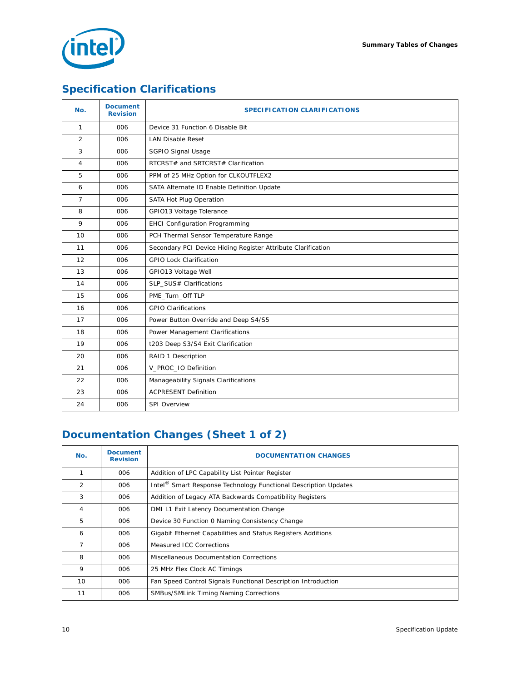

# **Specification Clarifications**

| No.            | <b>Document</b><br><b>Revision</b> | SPECIFICATION CLARIFICATIONS                                 |  |  |
|----------------|------------------------------------|--------------------------------------------------------------|--|--|
| $\mathbf{1}$   | 006                                | Device 31 Function 6 Disable Bit                             |  |  |
| $\overline{2}$ | 006                                | <b>LAN Disable Reset</b>                                     |  |  |
| 3              | 006                                | SGPIO Signal Usage                                           |  |  |
| $\overline{4}$ | 006                                | RTCRST# and SRTCRST# Clarification                           |  |  |
| 5              | 006                                | PPM of 25 MHz Option for CLKOUTFLEX2                         |  |  |
| 6              | 006                                | SATA Alternate ID Enable Definition Update                   |  |  |
| $\overline{7}$ | 006                                | SATA Hot Plug Operation                                      |  |  |
| 8              | 006                                | GPIO13 Voltage Tolerance                                     |  |  |
| 9              | 006                                | <b>EHCI Configuration Programming</b>                        |  |  |
| 10             | 006                                | PCH Thermal Sensor Temperature Range                         |  |  |
| 11             | 006                                | Secondary PCI Device Hiding Register Attribute Clarification |  |  |
| 12             | 006                                | <b>GPIO Lock Clarification</b>                               |  |  |
| 13             | 006                                | GPIO13 Voltage Well                                          |  |  |
| 14             | 006                                | SLP SUS# Clarifications                                      |  |  |
| 15             | 006                                | PME Turn Off TLP                                             |  |  |
| 16             | 006                                | <b>GPIO Clarifications</b>                                   |  |  |
| 17             | 006                                | Power Button Override and Deep S4/S5                         |  |  |
| 18             | 006                                | Power Management Clarifications                              |  |  |
| 19             | 006                                | t203 Deep S3/S4 Exit Clarification                           |  |  |
| 20             | 006                                | RAID 1 Description                                           |  |  |
| 21             | 006                                | V_PROC_IO Definition                                         |  |  |
| 22             | 006                                | Manageability Signals Clarifications                         |  |  |
| 23             | 006                                | <b>ACPRESENT Definition</b>                                  |  |  |
| 24             | 006                                | SPI Overview                                                 |  |  |

# **Documentation Changes (Sheet 1 of 2)**

| No. | <b>Document</b><br><b>Revision</b> | <b>DOCUMENTATION CHANGES</b>                                                |  |  |  |
|-----|------------------------------------|-----------------------------------------------------------------------------|--|--|--|
|     | 006                                | Addition of LPC Capability List Pointer Register                            |  |  |  |
| 2   | 006                                | Intel <sup>®</sup> Smart Response Technology Functional Description Updates |  |  |  |
| 3   | 006                                | Addition of Legacy ATA Backwards Compatibility Registers                    |  |  |  |
| 4   | 006                                | DMI L1 Exit Latency Documentation Change                                    |  |  |  |
| 5   | 006                                | Device 30 Function 0 Naming Consistency Change                              |  |  |  |
| 6   | 006                                | Gigabit Ethernet Capabilities and Status Registers Additions                |  |  |  |
| 7   | 006                                | Measured ICC Corrections                                                    |  |  |  |
| 8   | 006                                | Miscellaneous Documentation Corrections                                     |  |  |  |
| 9   | 006                                | 25 MHz Flex Clock AC Timings                                                |  |  |  |
| 10  | 006                                | Fan Speed Control Signals Functional Description Introduction               |  |  |  |
| 11  | 006                                | <b>SMBus/SMLink Timing Naming Corrections</b>                               |  |  |  |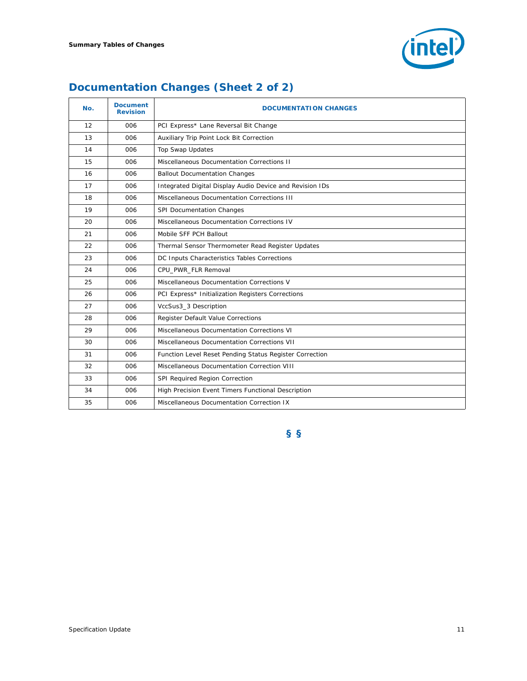

# **Documentation Changes (Sheet 2 of 2)**

| No. | <b>Document</b><br><b>Revision</b> | <b>DOCUMENTATION CHANGES</b>                             |  |  |  |
|-----|------------------------------------|----------------------------------------------------------|--|--|--|
| 12  | 006                                | PCI Express* Lane Reversal Bit Change                    |  |  |  |
| 13  | 006                                | Auxiliary Trip Point Lock Bit Correction                 |  |  |  |
| 14  | 006                                | <b>Top Swap Updates</b>                                  |  |  |  |
| 15  | 006                                | Miscellaneous Documentation Corrections II               |  |  |  |
| 16  | 006                                | <b>Ballout Documentation Changes</b>                     |  |  |  |
| 17  | 006                                | Integrated Digital Display Audio Device and Revision IDs |  |  |  |
| 18  | 006                                | Miscellaneous Documentation Corrections III              |  |  |  |
| 19  | 006                                | SPI Documentation Changes                                |  |  |  |
| 20  | 006                                | Miscellaneous Documentation Corrections IV               |  |  |  |
| 21  | 006                                | Mobile SFF PCH Ballout                                   |  |  |  |
| 22  | 006                                | Thermal Sensor Thermometer Read Register Updates         |  |  |  |
| 23  | 006                                | DC Inputs Characteristics Tables Corrections             |  |  |  |
| 24  | 006                                | CPU_PWR_FLR Removal                                      |  |  |  |
| 25  | 006                                | Miscellaneous Documentation Corrections V                |  |  |  |
| 26  | 006                                | PCI Express* Initialization Registers Corrections        |  |  |  |
| 27  | 006                                | VccSus3_3 Description                                    |  |  |  |
| 28  | 006                                | Register Default Value Corrections                       |  |  |  |
| 29  | 006                                | Miscellaneous Documentation Corrections VI               |  |  |  |
| 30  | 006                                | Miscellaneous Documentation Corrections VII              |  |  |  |
| 31  | 006                                | Function Level Reset Pending Status Register Correction  |  |  |  |
| 32  | 006                                | Miscellaneous Documentation Correction VIII              |  |  |  |
| 33  | 006                                | SPI Required Region Correction                           |  |  |  |
| 34  | 006                                | High Precision Event Timers Functional Description       |  |  |  |
| 35  | 006                                | Miscellaneous Documentation Correction IX                |  |  |  |

### **§ §**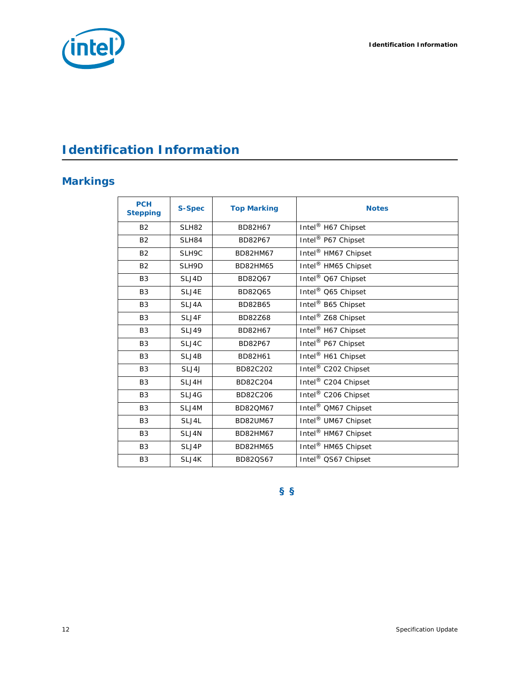

# <span id="page-11-0"></span>**Identification Information**

# **Markings**

| <b>PCH</b><br><b>Stepping</b> | <b>S-Spec</b> | <b>Top Marking</b> | <b>Notes</b>                    |
|-------------------------------|---------------|--------------------|---------------------------------|
| <b>B2</b>                     | SLH82         | BD82H67            | Intel <sup>®</sup> H67 Chipset  |
| <b>B2</b>                     | SLH84         | BD82P67            | Intel <sup>®</sup> P67 Chipset  |
| <b>B2</b>                     | SLH9C         | BD82HM67           | Intel <sup>®</sup> HM67 Chipset |
| <b>B2</b>                     | SLH9D         | <b>BD82HM65</b>    | Intel <sup>®</sup> HM65 Chipset |
| <b>B3</b>                     | SLJ4D         | BD82067            | Intel <sup>®</sup> Q67 Chipset  |
| <b>B3</b>                     | SLJ4E         | BD82065            | Intel <sup>®</sup> Q65 Chipset  |
| <b>B3</b>                     | SLJ4A         | BD82B65            | Intel <sup>®</sup> B65 Chipset  |
| <b>B3</b>                     | SLJ4F         | BD82Z68            | Intel <sup>®</sup> Z68 Chipset  |
| B <sub>3</sub>                | <b>SLJ49</b>  | BD82H67            | Intel <sup>®</sup> H67 Chipset  |
| <b>B3</b>                     | SLJ4C         | BD82P67            | Intel <sup>®</sup> P67 Chipset  |
| B <sub>3</sub>                | SLJ4B         | BD82H61            | Intel <sup>®</sup> H61 Chipset  |
| <b>B3</b>                     | SLJ4J         | BD82C202           | Intel <sup>®</sup> C202 Chipset |
| <b>B3</b>                     | SLJ4H         | BD82C204           | Intel <sup>®</sup> C204 Chipset |
| <b>B3</b>                     | SLJ4G         | BD82C206           | Intel <sup>®</sup> C206 Chipset |
| B <sub>3</sub>                | SLJ4M         | BD820M67           | Intel <sup>®</sup> QM67 Chipset |
| B <sub>3</sub>                | SLJ4L         | BD82UM67           | Intel <sup>®</sup> UM67 Chipset |
| <b>B3</b>                     | SLJ4N         | <b>BD82HM67</b>    | Intel <sup>®</sup> HM67 Chipset |
| <b>B3</b>                     | SLJ4P         | <b>BD82HM65</b>    | Intel <sup>®</sup> HM65 Chipset |
| B <sub>3</sub>                | SLJ4K         | BD82QS67           | Intel <sup>®</sup> QS67 Chipset |

**§ §**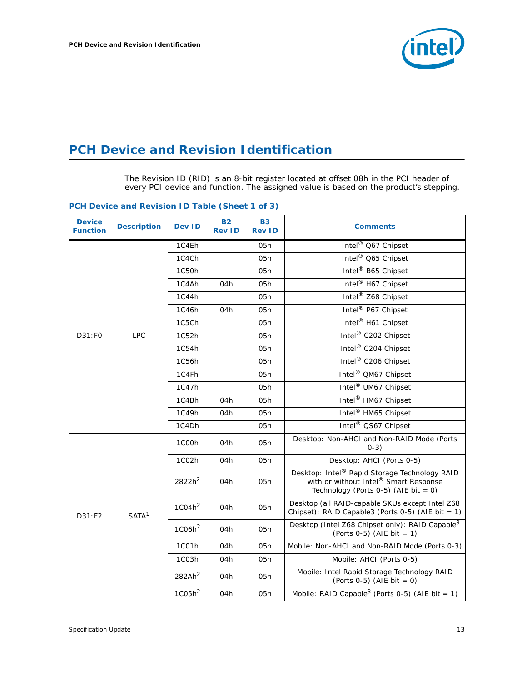

# <span id="page-12-0"></span>**PCH Device and Revision Identification**

The Revision ID (RID) is an 8-bit register located at offset 08h in the PCI header of every PCI device and function. The assigned value is based on the product's stepping.

#### **PCH Device and Revision ID Table (Sheet 1 of 3)**

| <b>Device</b><br><b>Function</b> | <b>Description</b> | Dev ID             | <b>B2</b><br><b>Rev ID</b> | <b>B3</b><br><b>Rev ID</b> | <b>Comments</b>                                                                                                                                        |
|----------------------------------|--------------------|--------------------|----------------------------|----------------------------|--------------------------------------------------------------------------------------------------------------------------------------------------------|
|                                  |                    | 1C4Eh              |                            | 05h                        | Intel <sup>®</sup> Q67 Chipset                                                                                                                         |
|                                  |                    | 1C4Ch              |                            | 05h                        | Intel <sup>®</sup> Q65 Chipset                                                                                                                         |
|                                  |                    | 1C50h              |                            | 05h                        | Intel <sup>®</sup> B65 Chipset                                                                                                                         |
|                                  |                    | 1C4Ah              | 04h                        | 05h                        | Intel <sup>®</sup> H67 Chipset                                                                                                                         |
|                                  |                    | 1C44h              |                            | 05h                        | Intel <sup>®</sup> Z68 Chipset                                                                                                                         |
|                                  |                    | 1C46h              | 04h                        | 05h                        | Intel <sup>®</sup> P67 Chipset                                                                                                                         |
|                                  |                    | 1C5Ch              |                            | 05h                        | Intel <sup>®</sup> H61 Chipset                                                                                                                         |
| D31:F0                           | <b>LPC</b>         | 1C52h              |                            | 05h                        | Intel <sup>®</sup> C202 Chipset                                                                                                                        |
|                                  |                    | 1C54h              |                            | 05h                        | Intel <sup>®</sup> C204 Chipset                                                                                                                        |
|                                  |                    | 1C56h              |                            | 05h                        | Intel <sup>®</sup> C206 Chipset                                                                                                                        |
|                                  |                    | 1C4Fh              |                            | 05h                        | Intel <sup>®</sup> QM67 Chipset                                                                                                                        |
|                                  |                    | 1C47h              |                            | 05h                        | Intel <sup>®</sup> UM67 Chipset                                                                                                                        |
|                                  |                    | 1C4Bh              | 04h                        | 05h                        | Intel <sup>®</sup> HM67 Chipset                                                                                                                        |
|                                  |                    | 1C49h              | 04h                        | 05h                        | Intel <sup>®</sup> HM65 Chipset                                                                                                                        |
|                                  |                    | 1C4Dh              |                            | 05h                        | Intel <sup>®</sup> QS67 Chipset                                                                                                                        |
|                                  |                    | 1C00h              | 04h                        | 05h                        | Desktop: Non-AHCI and Non-RAID Mode (Ports<br>$0-3)$                                                                                                   |
|                                  |                    | 1C02h              | 04h                        | 05h                        | Desktop: AHCI (Ports 0-5)                                                                                                                              |
|                                  |                    | 2822h <sup>2</sup> | 04h                        | 05h                        | Desktop: Intel <sup>®</sup> Rapid Storage Technology RAID<br>with or without Intel <sup>®</sup> Smart Response<br>Technology (Ports 0-5) (AIE bit = 0) |
| D31:F2                           | SATA <sup>1</sup>  | 1C04h <sup>2</sup> | 04h                        | 05h                        | Desktop (all RAID-capable SKUs except Intel Z68<br>Chipset): RAID Capable3 (Ports 0-5) (AIE bit = 1)                                                   |
|                                  |                    | 1C06h <sup>2</sup> | 04h                        | 05h                        | Desktop (Intel Z68 Chipset only): RAID Capable <sup>3</sup><br>(Ports $0-5$ ) (AIE bit = 1)                                                            |
|                                  |                    | 1C01h              | 04h                        | 05h                        | Mobile: Non-AHCI and Non-RAID Mode (Ports 0-3)                                                                                                         |
|                                  |                    | 1C <sub>03h</sub>  | 04h                        | 05h                        | Mobile: AHCI (Ports 0-5)                                                                                                                               |
|                                  |                    | 282Ah <sup>2</sup> | 04h                        | 05h                        | Mobile: Intel Rapid Storage Technology RAID<br>(Ports $0-5$ ) (AIE bit = 0)                                                                            |
|                                  |                    | 1C05h <sup>2</sup> | 04h                        | 05h                        | Mobile: RAID Capable <sup>3</sup> (Ports 0-5) (AIE bit = 1)                                                                                            |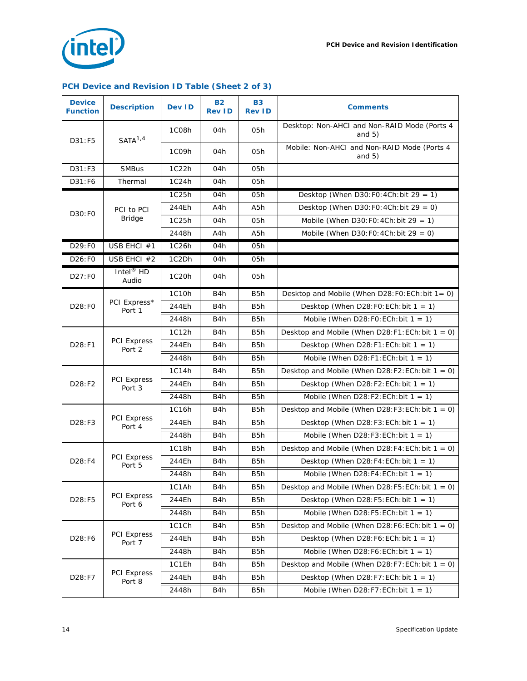

#### **PCH Device and Revision ID Table (Sheet 2 of 3)**

| <b>Device</b><br><b>Function</b> | <b>Description</b>             | Dev ID | <b>B2</b><br><b>Rev ID</b> | <b>B3</b><br><b>Rev ID</b> | <b>Comments</b>                                          |
|----------------------------------|--------------------------------|--------|----------------------------|----------------------------|----------------------------------------------------------|
| D31:F5                           | SATA <sup>1,4</sup>            | 1C08h  | 04h                        | 05h                        | Desktop: Non-AHCI and Non-RAID Mode (Ports 4<br>and $5)$ |
|                                  |                                | 1C09h  | 04h                        | 05h                        | Mobile: Non-AHCI and Non-RAID Mode (Ports 4<br>and $5)$  |
| D31:F3                           | <b>SMBus</b>                   | 1C22h  | 04h                        | 05h                        |                                                          |
| D31:F6                           | Thermal                        | 1C24h  | 04h                        | 05h                        |                                                          |
|                                  |                                | 1C25h  | 04h                        | 05h                        | Desktop (When D30: F0: 4Ch: bit $29 = 1$ )               |
| D30:F0                           | PCI to PCI                     | 244Eh  | A4h                        | A5h                        | Desktop (When D30: F0: 4Ch: bit $29 = 0$ )               |
|                                  | <b>Bridge</b>                  | 1C25h  | 04h                        | 05h                        | Mobile (When D30: F0: 4Ch: bit $29 = 1$ )                |
|                                  |                                | 2448h  | A4h                        | A <sub>5</sub> h           | Mobile (When D30: F0: 4Ch: bit $29 = 0$ )                |
| D29:F0                           | USB EHCI #1                    | 1C26h  | 04h                        | 05h                        |                                                          |
| D26:F0                           | USB EHCI #2                    | 1C2Dh  | 04h                        | 05h                        |                                                          |
| D27:FO                           | Intel <sup>®</sup> HD<br>Audio | 1C20h  | 04h                        | 05h                        |                                                          |
|                                  |                                | 1C10h  | B4h                        | B <sub>5</sub> h           | Desktop and Mobile (When $D28:FO:ECh:bit 1 = 0$ )        |
| D28:F0                           | PCI Express*<br>Port 1         | 244Eh  | B4h                        | B <sub>5</sub> h           | Desktop (When D28: F0: ECh: bit $1 = 1$ )                |
|                                  |                                | 2448h  | B4h                        | B5h                        | Mobile (When D28: F0: ECh: bit $1 = 1$ )                 |
| D28:F1                           | <b>PCI Express</b><br>Port 2   | 1C12h  | B4h                        | B <sub>5</sub> h           | Desktop and Mobile (When D28:F1:ECh:bit $1 = 0$ )        |
|                                  |                                | 244Eh  | B4h                        | B <sub>5</sub> h           | Desktop (When D28: F1: ECh: bit $1 = 1$ )                |
|                                  |                                | 2448h  | B4h                        | B <sub>5</sub> h           | Mobile (When $D28: F1: ECh: bit 1 = 1$ )                 |
|                                  | PCI Express<br>Port 3          | 1C14h  | B4h                        | B <sub>5</sub> h           | Desktop and Mobile (When D28: F2: ECh: bit $1 = 0$ )     |
| D28:F2                           |                                | 244Eh  | B4h                        | B <sub>5</sub> h           | Desktop (When $D28: F2: ECh: bit 1 = 1$ )                |
|                                  |                                | 2448h  | B4h                        | B <sub>5</sub> h           | Mobile (When D28: F2: ECh: bit $1 = 1$ )                 |
|                                  |                                | 1C16h  | B4h                        | B <sub>5</sub> h           | Desktop and Mobile (When D28:F3:ECh: bit $1 = 0$ )       |
| D28:F3                           | <b>PCI Express</b><br>Port 4   | 244Eh  | B4h                        | B5h                        | Desktop (When $D28: F3: ECh: bit 1 = 1$ )                |
|                                  |                                | 2448h  | B4h                        | B <sub>5</sub> h           | Mobile (When $D28: F3: ECh: bit 1 = 1$ )                 |
|                                  |                                | 1C18h  | B4h                        | B <sub>5</sub> h           | Desktop and Mobile (When D28: F4: ECh: bit $1 = 0$ )     |
| D28:F4                           | PCI Express<br>Port 5          | 244Eh  | B4h                        | B <sub>5</sub> h           | Desktop (When D28: F4: ECh: bit $1 = 1$ )                |
|                                  |                                | 2448h  | B <sub>4</sub> h           | B5h                        | Mobile (When $D28: F4: ECh: bit 1 = 1$ )                 |
|                                  |                                | 1C1Ah  | B4h                        | B5h                        | Desktop and Mobile (When D28:F5:ECh: bit $1 = 0$ )       |
| D28:F5                           | PCI Express<br>Port 6          | 244Eh  | B4h                        | B5h                        | Desktop (When D28: F5: ECh: bit $1 = 1$ )                |
|                                  |                                | 2448h  | B4h                        | B5h                        | Mobile (When D28: F5: ECh: bit $1 = 1$ )                 |
|                                  |                                | 1C1Ch  | B4h                        | B5h                        | Desktop and Mobile (When D28: F6: ECh: bit $1 = 0$ )     |
| D28:F6                           | <b>PCI Express</b><br>Port 7   | 244Eh  | B4h                        | B5h                        | Desktop (When D28: F6: ECh: bit $1 = 1$ )                |
|                                  |                                | 2448h  | B4h                        | B5h                        | Mobile (When D28: F6: ECh: bit $1 = 1$ )                 |
|                                  |                                | 1C1Eh  | B4h                        | B5h                        | Desktop and Mobile (When D28:F7:ECh: bit $1 = 0$ )       |
| D28:F7                           | <b>PCI Express</b><br>Port 8   | 244Eh  | B4h                        | B5h                        | Desktop (When D28:F7:ECh: bit $1 = 1$ )                  |
|                                  |                                | 2448h  | B4h                        | B5h                        | Mobile (When D28: F7: ECh: bit $1 = 1$ )                 |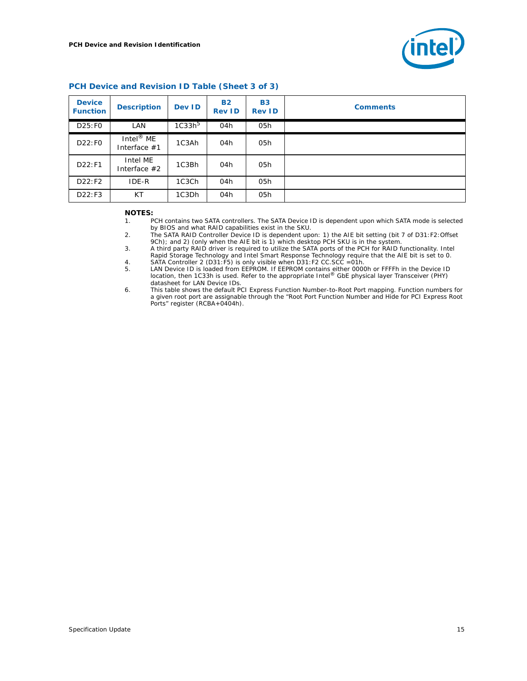| <b>Device</b><br><b>Function</b> | <b>Description</b>                    | Dev ID             | <b>B2</b><br><b>Rev ID</b> | <b>B3</b><br><b>Rev ID</b> | <b>Comments</b> |
|----------------------------------|---------------------------------------|--------------------|----------------------------|----------------------------|-----------------|
| D25:F0                           | LAN                                   | 1C33h <sup>5</sup> | 04h                        | 05h                        |                 |
| D22:F0                           | Intel <sup>®</sup> ME<br>Interface #1 | 1C3Ah              | 04h                        | 05h                        |                 |
| D22:F1                           | Intel ME<br>Interface $#2$            | 1C3Bh              | 04h                        | 05h                        |                 |
| D22:F2                           | IDE-R                                 | 1C3Ch              | 04h                        | 05h                        |                 |
| D22: F3                          | <b>KT</b>                             | 1C3Dh              | 04h                        | 05h                        |                 |

#### **PCH Device and Revision ID Table (Sheet 3 of 3)**

#### **NOTES:**

1. PCH contains two SATA controllers. The SATA Device ID is dependent upon which SATA mode is selected

by BIOS and what RAID capabilities exist in the SKU. 2. The SATA RAID Controller Device ID is dependent upon: 1) the AIE bit setting (bit 7 of D31:F2:Offset 9Ch); and 2) (only when the AIE bit is 1) which desktop PCH SKU is in the system. 3. A third party RAID driver is required to utilize the SATA ports of the PCH for RAID functionality. Intel

Rapid Storage Technology and Intel Smart Response Technology require that the AIE bit is set to 0.

4. SATA Controller 2 (D31:F5) is only visible when D31:F2 CC.SCC =01h.<br>5. LAN Device ID is loaded from EEPROM. If EEPROM contains either 0000h or FFFFh in the Device ID<br>location, then 1C33h is used. Refer to the appropriat datasheet for LAN Device IDs.

6. This table shows the default PCI Express Function Number-to-Root Port mapping. Function numbers for a given root port are assignable through the "Root Port Function Number and Hide for PCI Express Root Ports" register (RCBA+0404h).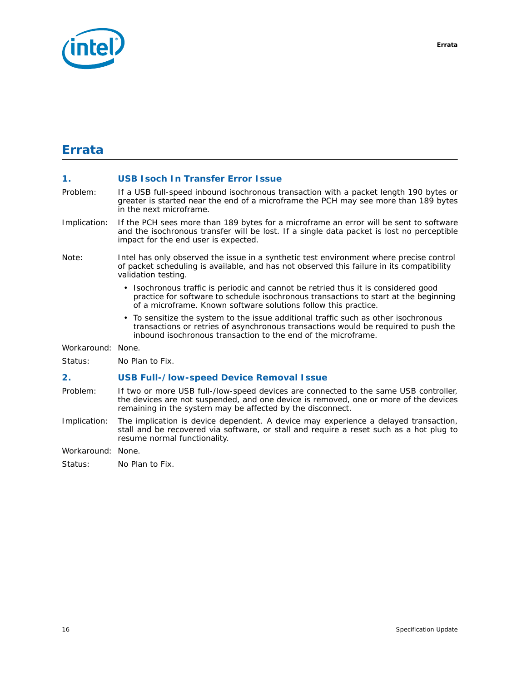

#### <span id="page-15-0"></span>**1. USB Isoch In Transfer Error Issue**

- Problem: If a USB full-speed inbound isochronous transaction with a packet length 190 bytes or greater is started near the end of a microframe the PCH may see more than 189 bytes in the next microframe.
- Implication: If the PCH sees more than 189 bytes for a microframe an error will be sent to software and the isochronous transfer will be lost. If a single data packet is lost no perceptible impact for the end user is expected.
- *Note:* Intel has only observed the issue in a synthetic test environment where precise control of packet scheduling is available, and has not observed this failure in its compatibility validation testing.
	- Isochronous traffic is periodic and cannot be retried thus it is considered good practice for software to schedule isochronous transactions to start at the beginning of a microframe. Known software solutions follow this practice.
	- To sensitize the system to the issue additional traffic such as other isochronous transactions or retries of asynchronous transactions would be required to push the inbound isochronous transaction to the end of the microframe.

Workaround: None.

Status: No Plan to Fix.

#### **2. USB Full-/low-speed Device Removal Issue**

- Problem: If two or more USB full-/low-speed devices are connected to the same USB controller, the devices are not suspended, and one device is removed, one or more of the devices remaining in the system may be affected by the disconnect.
- Implication: The implication is device dependent. A device may experience a delayed transaction, stall and be recovered via software, or stall and require a reset such as a hot plug to resume normal functionality.

Workaround: None.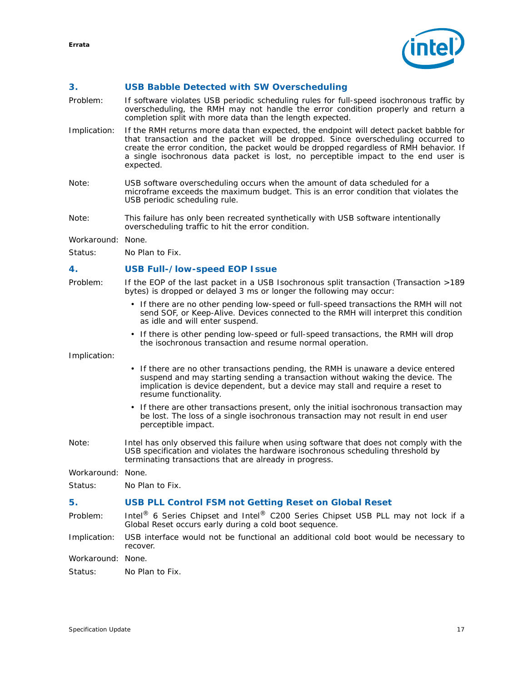

#### **3. USB Babble Detected with SW Overscheduling**

- Problem: If software violates USB periodic scheduling rules for full-speed isochronous traffic by overscheduling, the RMH may not handle the error condition properly and return a completion split with more data than the length expected.
- Implication: If the RMH returns more data than expected, the endpoint will detect packet babble for that transaction and the packet will be dropped. Since overscheduling occurred to create the error condition, the packet would be dropped regardless of RMH behavior. If a single isochronous data packet is lost, no perceptible impact to the end user is expected.
- *Note:* USB software overscheduling occurs when the amount of data scheduled for a microframe exceeds the maximum budget. This is an error condition that violates the USB periodic scheduling rule.
- *Note:* This failure has only been recreated synthetically with USB software intentionally overscheduling traffic to hit the error condition.

Workaround: None.

Status: No Plan to Fix.

#### **4. USB Full-/low-speed EOP Issue**

Problem: If the EOP of the last packet in a USB Isochronous split transaction (Transaction >189 bytes) is dropped or delayed 3 ms or longer the following may occur:

- If there are no other pending low-speed or full-speed transactions the RMH will not send SOF, or Keep-Alive. Devices connected to the RMH will interpret this condition as idle and will enter suspend.
- If there is other pending low-speed or full-speed transactions, the RMH will drop the isochronous transaction and resume normal operation.

Implication:

- If there are no other transactions pending, the RMH is unaware a device entered suspend and may starting sending a transaction without waking the device. The implication is device dependent, but a device may stall and require a reset to resume functionality.
- If there are other transactions present, only the initial isochronous transaction may be lost. The loss of a single isochronous transaction may not result in end user perceptible impact.
- *Note:* Intel has only observed this failure when using software that does not comply with the USB specification and violates the hardware isochronous scheduling threshold by terminating transactions that are already in progress.

Workaround: None.

Status: No Plan to Fix.

#### **5. USB PLL Control FSM not Getting Reset on Global Reset**

Problem: Intel<sup>®</sup> 6 Series Chipset and Intel<sup>®</sup> C200 Series Chipset USB PLL may not lock if a Global Reset occurs early during a cold boot sequence.

Implication: USB interface would not be functional an additional cold boot would be necessary to recover.

Workaround: None.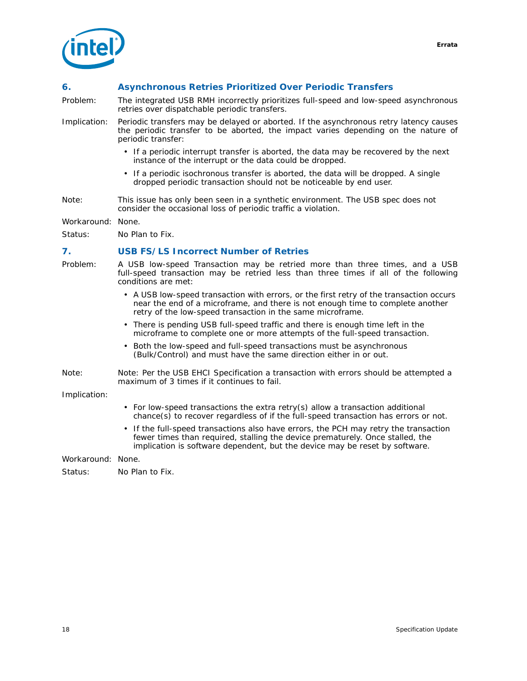

#### **6. Asynchronous Retries Prioritized Over Periodic Transfers**

Problem: The integrated USB RMH incorrectly prioritizes full-speed and low-speed asynchronous retries over dispatchable periodic transfers.

- Implication: Periodic transfers may be delayed or aborted. If the asynchronous retry latency causes the periodic transfer to be aborted, the impact varies depending on the nature of periodic transfer:
	- If a periodic interrupt transfer is aborted, the data may be recovered by the next instance of the interrupt or the data could be dropped.
	- If a periodic isochronous transfer is aborted, the data will be dropped. A single dropped periodic transaction should not be noticeable by end user.
- *Note:* This issue has only been seen in a synthetic environment. The USB spec does not consider the occasional loss of periodic traffic a violation.

Workaround: None.

Status: No Plan to Fix.

#### **7. USB FS/LS Incorrect Number of Retries**

- Problem: A USB low-speed Transaction may be retried more than three times, and a USB full-speed transaction may be retried less than three times if all of the following conditions are met:
	- A USB low-speed transaction with errors, or the first retry of the transaction occurs near the end of a microframe, and there is not enough time to complete another retry of the low-speed transaction in the same microframe.
	- There is pending USB full-speed traffic and there is enough time left in the microframe to complete one or more attempts of the full-speed transaction.
	- Both the low-speed and full-speed transactions must be asynchronous (Bulk/Control) and must have the same direction either in or out.
- *Note:* Note: Per the USB EHCI Specification a transaction with errors should be attempted a maximum of 3 times if it continues to fail.

Implication:

- For low-speed transactions the extra retry(s) allow a transaction additional chance(s) to recover regardless of if the full-speed transaction has errors or not.
- If the full-speed transactions also have errors, the PCH may retry the transaction fewer times than required, stalling the device prematurely. Once stalled, the implication is software dependent, but the device may be reset by software.

Workaround: None.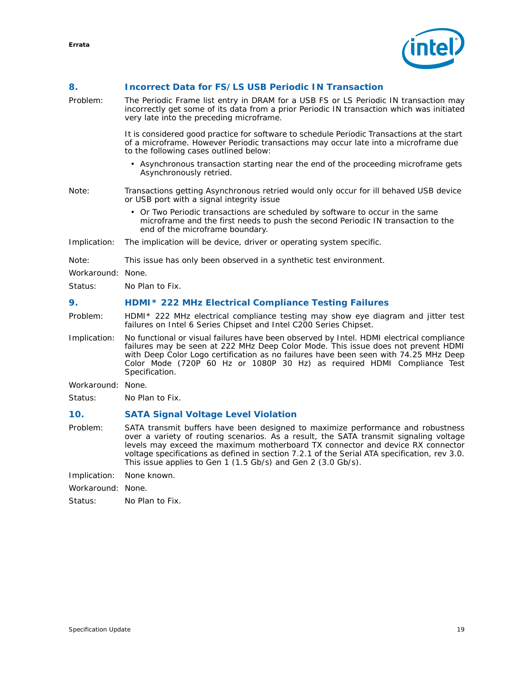

| 8.                | <b>Incorrect Data for FS/LS USB Periodic IN Transaction</b>                                                                                                                                                                                                                                                                                                                                                                |
|-------------------|----------------------------------------------------------------------------------------------------------------------------------------------------------------------------------------------------------------------------------------------------------------------------------------------------------------------------------------------------------------------------------------------------------------------------|
| Problem:          | The Periodic Frame list entry in DRAM for a USB FS or LS Periodic IN transaction may<br>incorrectly get some of its data from a prior Periodic IN transaction which was initiated<br>very late into the preceding microframe.                                                                                                                                                                                              |
|                   | It is considered good practice for software to schedule Periodic Transactions at the start<br>of a microframe. However Periodic transactions may occur late into a microframe due<br>to the following cases outlined below:                                                                                                                                                                                                |
|                   | • Asynchronous transaction starting near the end of the proceeding microframe gets<br>Asynchronously retried.                                                                                                                                                                                                                                                                                                              |
| Note:             | Transactions getting Asynchronous retried would only occur for ill behaved USB device<br>or USB port with a signal integrity issue                                                                                                                                                                                                                                                                                         |
|                   | • Or Two Periodic transactions are scheduled by software to occur in the same<br>microframe and the first needs to push the second Periodic IN transaction to the<br>end of the microframe boundary.                                                                                                                                                                                                                       |
| Implication:      | The implication will be device, driver or operating system specific.                                                                                                                                                                                                                                                                                                                                                       |
| Note:             | This issue has only been observed in a synthetic test environment.                                                                                                                                                                                                                                                                                                                                                         |
| Workaround: None. |                                                                                                                                                                                                                                                                                                                                                                                                                            |
| Status:           | No Plan to Fix.                                                                                                                                                                                                                                                                                                                                                                                                            |
| 9.                | HDMI* 222 MHz Electrical Compliance Testing Failures                                                                                                                                                                                                                                                                                                                                                                       |
| Problem:          | HDMI* 222 MHz electrical compliance testing may show eye diagram and jitter test<br>failures on Intel 6 Series Chipset and Intel C200 Series Chipset.                                                                                                                                                                                                                                                                      |
| Implication:      | No functional or visual failures have been observed by Intel. HDMI electrical compliance<br>failures may be seen at 222 MHz Deep Color Mode. This issue does not prevent HDMI<br>with Deep Color Logo certification as no failures have been seen with 74.25 MHz Deep<br>Color Mode (720P 60 Hz or 1080P 30 Hz) as required HDMI Compliance Test<br>Specification.                                                         |
| Workaround: None. |                                                                                                                                                                                                                                                                                                                                                                                                                            |
| Status:           | No Plan to Fix.                                                                                                                                                                                                                                                                                                                                                                                                            |
| 10.               | <b>SATA Signal Voltage Level Violation</b>                                                                                                                                                                                                                                                                                                                                                                                 |
| Problem:          | SATA transmit buffers have been designed to maximize performance and robustness<br>over a variety of routing scenarios. As a result, the SATA transmit signaling voltage<br>levels may exceed the maximum motherboard TX connector and device RX connector<br>voltage specifications as defined in section 7.2.1 of the Serial ATA specification, rev 3.0.<br>This issue applies to Gen 1 (1.5 Gb/s) and Gen 2 (3.0 Gb/s). |
| Implication:      | None known.                                                                                                                                                                                                                                                                                                                                                                                                                |
| Workaround: None. |                                                                                                                                                                                                                                                                                                                                                                                                                            |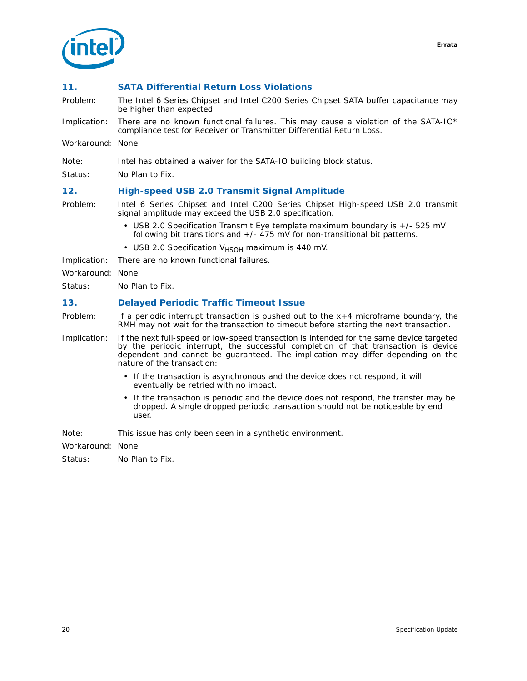

| 11.               | <b>SATA Differential Return Loss Violations</b>                                                                                                                                                                                                                                                 |
|-------------------|-------------------------------------------------------------------------------------------------------------------------------------------------------------------------------------------------------------------------------------------------------------------------------------------------|
| Problem:          | The Intel 6 Series Chipset and Intel C200 Series Chipset SATA buffer capacitance may<br>be higher than expected.                                                                                                                                                                                |
| Implication:      | There are no known functional failures. This may cause a violation of the SATA-IO $*$<br>compliance test for Receiver or Transmitter Differential Return Loss.                                                                                                                                  |
| Workaround: None. |                                                                                                                                                                                                                                                                                                 |
| <i>Note:</i>      | Intel has obtained a waiver for the SATA-IO building block status.                                                                                                                                                                                                                              |
| Status:           | No Plan to Fix.                                                                                                                                                                                                                                                                                 |
| 12.               | <b>High-speed USB 2.0 Transmit Signal Amplitude</b>                                                                                                                                                                                                                                             |
| Problem:          | Intel 6 Series Chipset and Intel C200 Series Chipset High-speed USB 2.0 transmit<br>signal amplitude may exceed the USB 2.0 specification.                                                                                                                                                      |
|                   | • USB 2.0 Specification Transmit Eye template maximum boundary is +/- 525 mV<br>following bit transitions and $+/-$ 475 mV for non-transitional bit patterns.                                                                                                                                   |
|                   | • USB 2.0 Specification $V_{HSOH}$ maximum is 440 mV.                                                                                                                                                                                                                                           |
| Implication:      | There are no known functional failures.                                                                                                                                                                                                                                                         |
| Workaround: None. |                                                                                                                                                                                                                                                                                                 |
| Status:           | No Plan to Fix.                                                                                                                                                                                                                                                                                 |
| 13.               | <b>Delayed Periodic Traffic Timeout Issue</b>                                                                                                                                                                                                                                                   |
| Problem:          | If a periodic interrupt transaction is pushed out to the $x+4$ microframe boundary, the<br>RMH may not wait for the transaction to timeout before starting the next transaction.                                                                                                                |
| Implication:      | If the next full-speed or low-speed transaction is intended for the same device targeted<br>by the periodic interrupt, the successful completion of that transaction is device<br>dependent and cannot be guaranteed. The implication may differ depending on the<br>nature of the transaction: |
|                   | • If the transaction is asynchronous and the device does not respond, it will<br>eventually be retried with no impact.                                                                                                                                                                          |
|                   | • If the transaction is periodic and the device does not respond, the transfer may be<br>dropped. A single dropped periodic transaction should not be noticeable by end<br>user.                                                                                                                |
| <i>Note:</i>      | This issue has only been seen in a synthetic environment.                                                                                                                                                                                                                                       |
| Workaround: None. |                                                                                                                                                                                                                                                                                                 |
| Status:           | No Plan to Fix.                                                                                                                                                                                                                                                                                 |
|                   |                                                                                                                                                                                                                                                                                                 |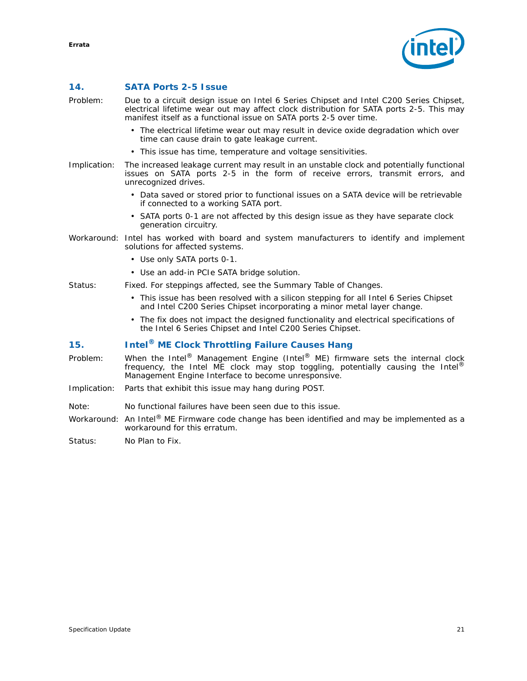#### **14. SATA Ports 2-5 Issue**

Problem: Due to a circuit design issue on Intel 6 Series Chipset and Intel C200 Series Chipset, electrical lifetime wear out may affect clock distribution for SATA ports 2-5. This may manifest itself as a functional issue on SATA ports 2-5 over time.

- The electrical lifetime wear out may result in device oxide degradation which over time can cause drain to gate leakage current.
- This issue has time, temperature and voltage sensitivities.
- Implication: The increased leakage current may result in an unstable clock and potentially functional issues on SATA ports 2-5 in the form of receive errors, transmit errors, and unrecognized drives.
	- Data saved or stored prior to functional issues on a SATA device will be retrievable if connected to a working SATA port.
	- SATA ports 0-1 are not affected by this design issue as they have separate clock generation circuitry.
- Workaround: Intel has worked with board and system manufacturers to identify and implement solutions for affected systems.
	- Use only SATA ports 0-1.
	- Use an add-in PCIe SATA bridge solution.
- Status: Fixed. For steppings affected, see the Summary Table of Changes.
	- This issue has been resolved with a silicon stepping for all Intel 6 Series Chipset and Intel C200 Series Chipset incorporating a minor metal layer change.
	- The fix does not impact the designed functionality and electrical specifications of the Intel 6 Series Chipset and Intel C200 Series Chipset.

#### **15. Intel® ME Clock Throttling Failure Causes Hang**

- Problem: When the Intel<sup>®</sup> Management Engine (Intel<sup>®</sup> ME) firmware sets the internal clock frequency, the Intel ME clock may stop toggling, potentially causing the Intel<sup>®</sup> Management Engine Interface to become unresponsive.
- Implication: Parts that exhibit this issue may hang during POST.
- *Note:* No functional failures have been seen due to this issue.
- Workaround: An Intel<sup>®</sup> ME Firmware code change has been identified and may be implemented as a workaround for this erratum.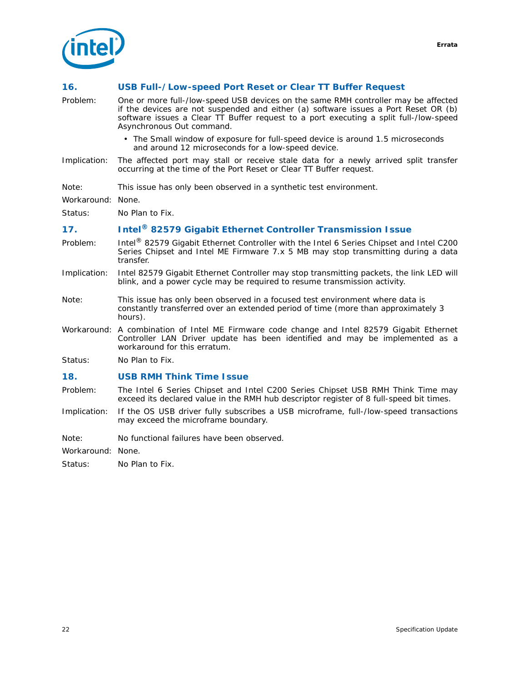

#### **16. USB Full-/Low-speed Port Reset or Clear TT Buffer Request**

- Problem: One or more full-/low-speed USB devices on the same RMH controller may be affected if the devices are not suspended and either (a) software issues a Port Reset OR (b) software issues a Clear TT Buffer request to a port executing a split full-/low-speed Asynchronous Out command.
	- The Small window of exposure for full-speed device is around 1.5 microseconds and around 12 microseconds for a low-speed device.
- Implication: The affected port may stall or receive stale data for a newly arrived split transfer occurring at the time of the Port Reset or Clear TT Buffer request.
- *Note:* This issue has only been observed in a synthetic test environment.

Workaround: None.

Status: No Plan to Fix.

#### **17. Intel® 82579 Gigabit Ethernet Controller Transmission Issue**

- Problem: Intel® 82579 Gigabit Ethernet Controller with the Intel 6 Series Chipset and Intel C200 Series Chipset and Intel ME Firmware 7.x 5 MB may stop transmitting during a data transfer.
- Implication: Intel 82579 Gigabit Ethernet Controller may stop transmitting packets, the link LED will blink, and a power cycle may be required to resume transmission activity.
- *Note:* This issue has only been observed in a focused test environment where data is constantly transferred over an extended period of time (more than approximately 3 hours).
- Workaround: A combination of Intel ME Firmware code change and Intel 82579 Gigabit Ethernet Controller LAN Driver update has been identified and may be implemented as a workaround for this erratum.
- Status: No Plan to Fix.

#### **18. USB RMH Think Time Issue**

- Problem: The Intel 6 Series Chipset and Intel C200 Series Chipset USB RMH Think Time may exceed its declared value in the RMH hub descriptor register of 8 full-speed bit times.
- Implication: If the OS USB driver fully subscribes a USB microframe, full-/low-speed transactions may exceed the microframe boundary.
- *Note:* No functional failures have been observed.

Workaround: None.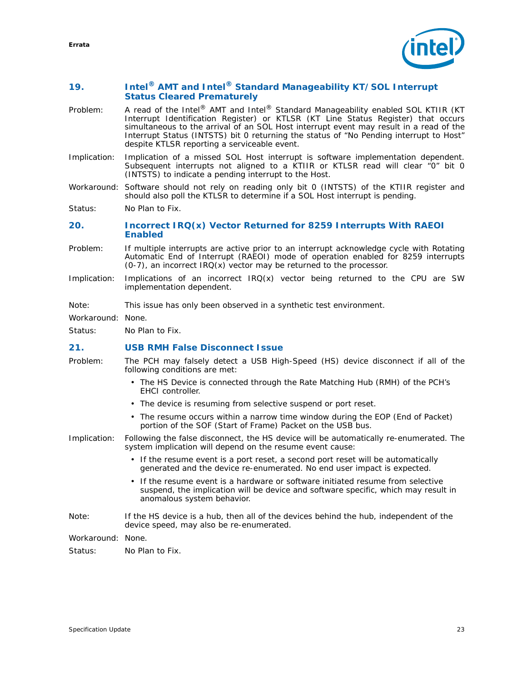

#### **19. Intel® AMT and Intel® Standard Manageability KT/SOL Interrupt Status Cleared Prematurely**

- Problem:  $A$  read of the Intel® AMT and Intel® Standard Manageability enabled SOL KTIIR (KT Interrupt Identification Register) or KTLSR (KT Line Status Register) that occurs simultaneous to the arrival of an SOL Host interrupt event may result in a read of the Interrupt Status (INTSTS) bit 0 returning the status of "No Pending interrupt to Host" despite KTLSR reporting a serviceable event.
- Implication: Implication of a missed SOL Host interrupt is software implementation dependent. Subsequent interrupts not aligned to a KTIIR or KTLSR read will clear "0" bit 0 (INTSTS) to indicate a pending interrupt to the Host.
- Workaround: Software should not rely on reading only bit 0 (INTSTS) of the KTIIR register and should also poll the KTLSR to determine if a SOL Host interrupt is pending.

Status: No Plan to Fix.

- **20. Incorrect IRQ(x) Vector Returned for 8259 Interrupts With RAEOI Enabled**
- Problem: If multiple interrupts are active prior to an interrupt acknowledge cycle with Rotating Automatic End of Interrupt (RAEOI) mode of operation enabled for 8259 interrupts (0-7), an incorrect IRQ(x) vector may be returned to the processor.
- Implication: Implications of an incorrect IRQ(x) vector being returned to the CPU are SW implementation dependent.
- *Note:* This issue has only been observed in a synthetic test environment.
- Workaround: None.

Status: No Plan to Fix.

#### **21. USB RMH False Disconnect Issue**

- Problem: The PCH may falsely detect a USB High-Speed (HS) device disconnect if all of the following conditions are met:
	- The HS Device is connected through the Rate Matching Hub (RMH) of the PCH's EHCI controller.
	- The device is resuming from selective suspend or port reset.
	- The resume occurs within a narrow time window during the EOP (End of Packet) portion of the SOF (Start of Frame) Packet on the USB bus.
- Implication: Following the false disconnect, the HS device will be automatically re-enumerated. The system implication will depend on the resume event cause:
	- If the resume event is a port reset, a second port reset will be automatically generated and the device re-enumerated. No end user impact is expected.
	- If the resume event is a hardware or software initiated resume from selective suspend, the implication will be device and software specific, which may result in anomalous system behavior.
- *Note:* If the HS device is a hub, then all of the devices behind the hub, independent of the device speed, may also be re-enumerated.

Workaround: None.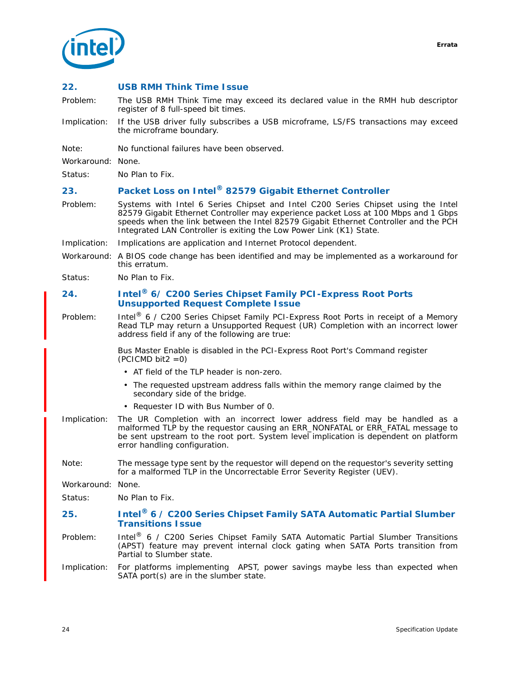

#### **22. USB RMH Think Time Issue**

Problem: The USB RMH Think Time may exceed its declared value in the RMH hub descriptor register of 8 full-speed bit times.

Implication: If the USB driver fully subscribes a USB microframe, LS/FS transactions may exceed the microframe boundary.

*Note:* No functional failures have been observed.

Workaround: None.

Status: No Plan to Fix.

#### **23. Packet Loss on Intel® 82579 Gigabit Ethernet Controller**

- Problem: Systems with Intel 6 Series Chipset and Intel C200 Series Chipset using the Intel 82579 Gigabit Ethernet Controller may experience packet Loss at 100 Mbps and 1 Gbps speeds when the link between the Intel 82579 Gigabit Ethernet Controller and the PCH Integrated LAN Controller is exiting the Low Power Link (K1) State.
- Implication: Implications are application and Internet Protocol dependent.
- Workaround: A BIOS code change has been identified and may be implemented as a workaround for this erratum.
- Status: No Plan to Fix.

#### **24. Intel® 6/ C200 Series Chipset Family PCI-Express Root Ports Unsupported Request Complete Issue**

Problem: Intel<sup>®</sup> 6 / C200 Series Chipset Family PCI-Express Root Ports in receipt of a Memory Read TLP may return a Unsupported Request (UR) Completion with an incorrect lower address field if any of the following are true:

> Bus Master Enable is disabled in the PCI-Express Root Port's Command register  $(PCICMD bit2 = 0)$

- AT field of the TLP header is non-zero.
- The requested upstream address falls within the memory range claimed by the secondary side of the bridge.
- Requester ID with Bus Number of 0.
- Implication: The UR Completion with an incorrect lower address field may be handled as a malformed TLP by the requestor causing an ERR\_NONFATAL or ERR\_FATAL message to be sent upstream to the root port. System level implication is dependent on platform error handling configuration.
- *Note:* The message type sent by the requestor will depend on the requestor's severity setting for a malformed TLP in the Uncorrectable Error Severity Register (UEV).
- Workaround: None.
- Status: No Plan to Fix.

#### **25. Intel® 6 / C200 Series Chipset Family SATA Automatic Partial Slumber Transitions Issue**

Problem: Intel<sup>®</sup> 6 / C200 Series Chipset Family SATA Automatic Partial Slumber Transitions (APST) feature may prevent internal clock gating when SATA Ports transition from Partial to Slumber state.

Implication: For platforms implementing APST, power savings maybe less than expected when SATA port(s) are in the slumber state.

*Errata*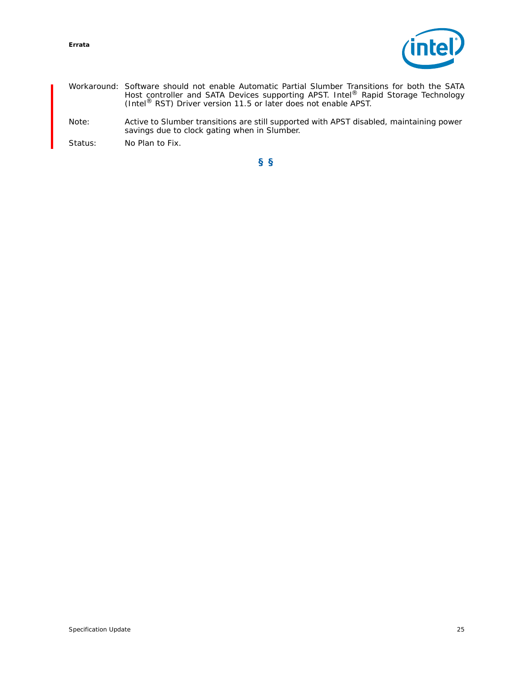

- Workaround: Software should not enable Automatic Partial Slumber Transitions for both the SATA Host controller and SATA Devices supporting APST. Intel® Rapid Storage Technology (Intel® RST) Driver version 11.5 or later does not enable APST.
- *Note:* Active to Slumber transitions are still supported with APST disabled, maintaining power savings due to clock gating when in Slumber.
- Status: No Plan to Fix.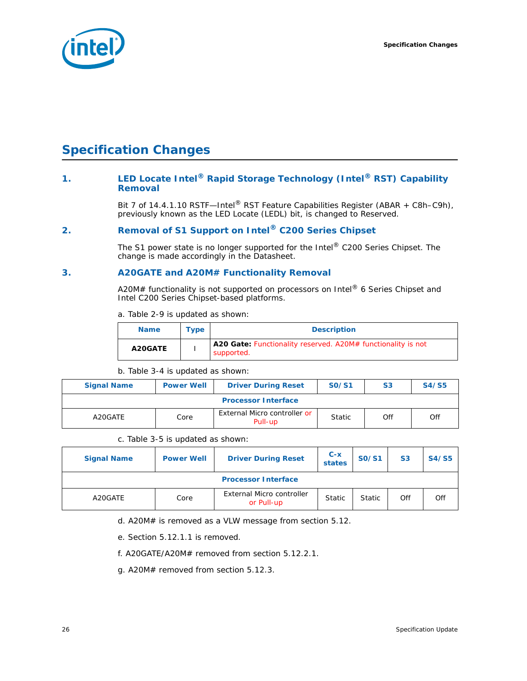

# <span id="page-25-0"></span>**Specification Changes**

#### **1. LED Locate Intel® Rapid Storage Technology (Intel® RST) Capability Removal**

Bit 7 of 14.4.1.10 RSTF—Intel<sup>®</sup> RST Feature Capabilities Register (ABAR + C8h–C9h), previously known as the LED Locate (LEDL) bit, is changed to Reserved.

#### **2. Removal of S1 Support on Intel® C200 Series Chipset**

The S1 power state is no longer supported for the Intel<sup>®</sup> C200 Series Chipset. The change is made accordingly in the Datasheet.

#### **3. A20GATE and A20M# Functionality Removal**

A20M# functionality is not supported on processors on Intel<sup>®</sup> 6 Series Chipset and Intel C200 Series Chipset-based platforms.

|  |  |  |  | a. Table 2-9 is updated as shown: |  |  |
|--|--|--|--|-----------------------------------|--|--|
|--|--|--|--|-----------------------------------|--|--|

| <b>Name</b> | $T$ vpe | <b>Description</b>                                                         |  |  |  |
|-------------|---------|----------------------------------------------------------------------------|--|--|--|
| A20GATE     |         | A20 Gate: Functionality reserved. A20M# functionality is not<br>supported. |  |  |  |

b. Table 3-4 is updated as shown:

| <b>Signal Name</b>         | <b>Power Well</b> | <b>Driver During Reset</b>              | SO/S1         | S3  | S4/S5 |  |  |
|----------------------------|-------------------|-----------------------------------------|---------------|-----|-------|--|--|
| <b>Processor Interface</b> |                   |                                         |               |     |       |  |  |
| A20GATE                    | Core              | External Micro controller or<br>Pull-up | <b>Static</b> | Off | Off   |  |  |

c. Table 3-5 is updated as shown:

| <b>Signal Name</b>         | <b>Power Well</b> | <b>Driver During Reset</b>              | $C - x$<br>states | <b>SO/S1</b>  | S <sub>3</sub> | S4/S5 |  |  |
|----------------------------|-------------------|-----------------------------------------|-------------------|---------------|----------------|-------|--|--|
| <b>Processor Interface</b> |                   |                                         |                   |               |                |       |  |  |
| A20GATE                    | Core              | External Micro controller<br>or Pull-up | <b>Static</b>     | <b>Static</b> | Off            | Off   |  |  |

- d. A20M# is removed as a VLW message from section 5.12.
- e. Section 5.12.1.1 is removed.
- f. A20GATE/A20M# removed from section 5.12.2.1.
- g. A20M# removed from section 5.12.3.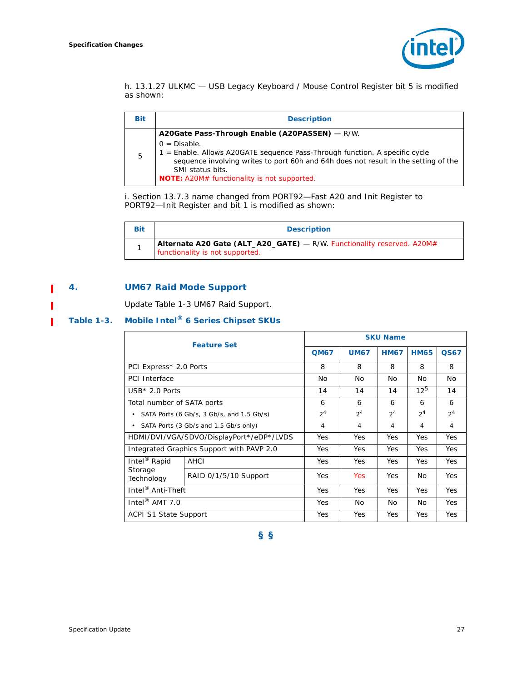

h. 13.1.27 ULKMC — USB Legacy Keyboard / Mouse Control Register bit 5 is modified as shown:

| <b>Bit</b> | <b>Description</b>                                                                                                                                                                                                                                                                                        |
|------------|-----------------------------------------------------------------------------------------------------------------------------------------------------------------------------------------------------------------------------------------------------------------------------------------------------------|
| 5          | A20Gate Pass-Through Enable (A20PASSEN) - R/W.<br>$0 = Disable.$<br>1 = Enable. Allows A20GATE sequence Pass-Through function. A specific cycle<br>sequence involving writes to port 60h and 64h does not result in the setting of the<br>SMI status bits.<br>NOTE: A20M# functionality is not supported. |

i. Section 13.7.3 name changed from PORT92—Fast A20 and Init Register to PORT92—Init Register and bit 1 is modified as shown:

| <b>Bit</b> | <b>Description</b>                                                                                        |
|------------|-----------------------------------------------------------------------------------------------------------|
|            | Alternate A20 Gate (ALT_A20_GATE) - R/W. Functionality reserved. A20M#<br>functionality is not supported. |

#### **4. UM67 Raid Mode Support** П

Update Table 1-3 UM67 Raid Support.

**Table 1-3. Mobile Intel® 6 Series Chipset SKUs**

|                                           | <b>Feature Set</b>                        |                |                | <b>SKU Name</b> |                |             |
|-------------------------------------------|-------------------------------------------|----------------|----------------|-----------------|----------------|-------------|
|                                           |                                           | <b>QM67</b>    | <b>UM67</b>    | <b>HM67</b>     | <b>HM65</b>    | <b>QS67</b> |
| PCI Express* 2.0 Ports                    |                                           | 8              | 8              | 8               | 8              | 8           |
| <b>PCI Interface</b>                      |                                           | No.            | No             | No              | No             | No          |
| $USB* 2.0$ Ports                          |                                           | 14             | 14             | 14              | $12^{5}$       | 14          |
| Total number of SATA ports                | 6                                         | 6              | 6              | 6               | 6              |             |
| SATA Ports (6 Gb/s, 3 Gb/s, and 1.5 Gb/s) | 2 <sup>4</sup>                            | 2 <sup>4</sup> | 2 <sup>4</sup> | 2 <sup>4</sup>  | 2 <sup>4</sup> |             |
|                                           | SATA Ports (3 Gb/s and 1.5 Gb/s only)     | 4              | 4              | 4               | 4              | 4           |
|                                           | HDMI/DVI/VGA/SDVO/DisplayPort*/eDP*/LVDS  | Yes            | Yes            | Yes             | Yes            | Yes         |
|                                           | Integrated Graphics Support with PAVP 2.0 | Yes            | Yes            | Yes             | Yes            | Yes         |
| Intel <sup>®</sup> Rapid                  | AHCI                                      | Yes            | Yes            | Yes             | Yes            | Yes         |
| Storage<br>Technology                     | RAID 0/1/5/10 Support                     | Yes            | <b>Yes</b>     | Yes             | No.            | Yes         |
| Intel <sup>®</sup> Anti-Theft             | Yes                                       | Yes            | Yes            | Yes             | Yes            |             |
| Intel <sup>®</sup> AMT 7.0                | Yes                                       | No             | No             | No.             | Yes            |             |
| <b>ACPI S1 State Support</b>              |                                           | Yes            | Yes            | Yes             | Yes            | Yes         |

**§ §**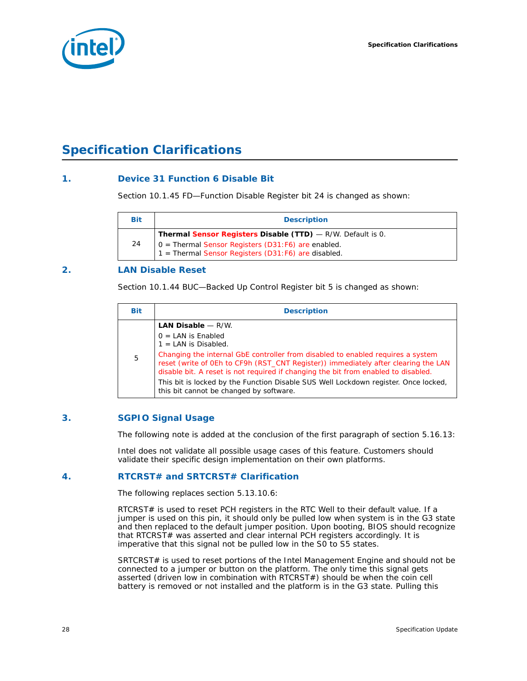# <span id="page-27-0"></span>**Specification Clarifications**

#### **1. Device 31 Function 6 Disable Bit**

Section 10.1.45 FD—Function Disable Register bit 24 is changed as shown:

| <b>Bit</b> | <b>Description</b>                                                                                            |
|------------|---------------------------------------------------------------------------------------------------------------|
|            | <b>Thermal Sensor Registers Disable (TTD)</b> $- R/W$ . Default is 0.                                         |
| 24         | $0 =$ Thermal Sensor Registers (D31:F6) are enabled.<br>$1 =$ Thermal Sensor Registers (D31:F6) are disabled. |

#### **2. LAN Disable Reset**

Section 10.1.44 BUC—Backed Up Control Register bit 5 is changed as shown:

| <b>Bit</b> | <b>Description</b>                                                                                                                                                                                                                                          |
|------------|-------------------------------------------------------------------------------------------------------------------------------------------------------------------------------------------------------------------------------------------------------------|
|            | <b>LAN Disable <math>- R/W</math>.</b>                                                                                                                                                                                                                      |
|            | $0 =$ LAN is Enabled<br>$1 =$ LAN is Disabled.                                                                                                                                                                                                              |
| 5          | Changing the internal GbE controller from disabled to enabled requires a system<br>reset (write of OEh to CF9h (RST_CNT Register)) immediately after clearing the LAN<br>disable bit. A reset is not required if changing the bit from enabled to disabled. |
|            | This bit is locked by the Function Disable SUS Well Lockdown register. Once locked,<br>this bit cannot be changed by software.                                                                                                                              |

#### **3. SGPIO Signal Usage**

The following note is added at the conclusion of the first paragraph of section 5.16.13:

Intel does not validate all possible usage cases of this feature. Customers should validate their specific design implementation on their own platforms.

#### **4. RTCRST# and SRTCRST# Clarification**

The following replaces section 5.13.10.6:

RTCRST# is used to reset PCH registers in the RTC Well to their default value. If a jumper is used on this pin, it should only be pulled low when system is in the G3 state and then replaced to the default jumper position. Upon booting, BIOS should recognize that RTCRST# was asserted and clear internal PCH registers accordingly. It is imperative that this signal not be pulled low in the S0 to S5 states.

SRTCRST# is used to reset portions of the Intel Management Engine and should not be connected to a jumper or button on the platform. The only time this signal gets asserted (driven low in combination with RTCRST#) should be when the coin cell battery is removed or not installed and the platform is in the G3 state. Pulling this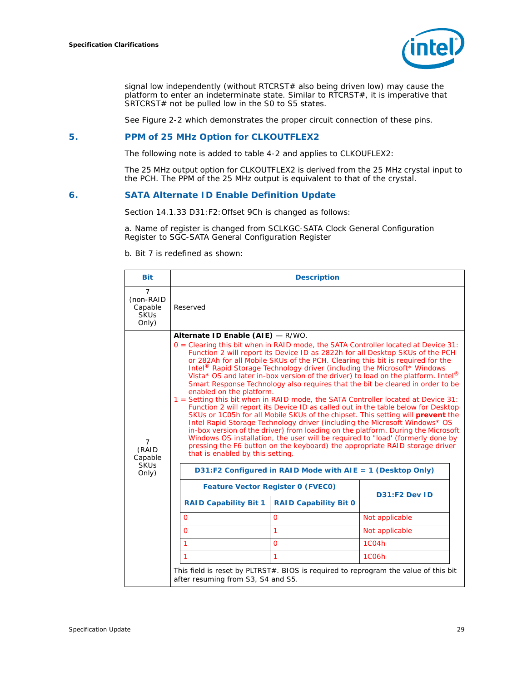

signal low independently (without RTCRST# also being driven low) may cause the platform to enter an indeterminate state. Similar to RTCRST#, it is imperative that SRTCRST# not be pulled low in the S0 to S5 states.

See Figure 2-2 which demonstrates the proper circuit connection of these pins.

#### **5. PPM of 25 MHz Option for CLKOUTFLEX2**

The following note is added to table 4-2 and applies to CLKOUFLEX2:

The 25 MHz output option for CLKOUTFLEX2 is derived from the 25 MHz crystal input to the PCH. The PPM of the 25 MHz output is equivalent to that of the crystal.

#### **6. SATA Alternate ID Enable Definition Update**

Section 14.1.33 D31:F2:Offset 9Ch is changed as follows:

a. Name of register is changed from SCLKGC-SATA Clock General Configuration Register to SGC-SATA General Configuration Register

b. Bit 7 is redefined as shown:

| <b>Bit</b>                                        | <b>Description</b>                                                                                                                                                                                                                                                                                                                                                                                                                                                                                                                                                                                                                                                                                                                                                                                                                                                                                                                                                                                                                                                                                                                                                                                                                         |                              |                   |  |  |  |  |  |  |
|---------------------------------------------------|--------------------------------------------------------------------------------------------------------------------------------------------------------------------------------------------------------------------------------------------------------------------------------------------------------------------------------------------------------------------------------------------------------------------------------------------------------------------------------------------------------------------------------------------------------------------------------------------------------------------------------------------------------------------------------------------------------------------------------------------------------------------------------------------------------------------------------------------------------------------------------------------------------------------------------------------------------------------------------------------------------------------------------------------------------------------------------------------------------------------------------------------------------------------------------------------------------------------------------------------|------------------------------|-------------------|--|--|--|--|--|--|
| 7<br>(non-RAID<br>Capable<br><b>SKUs</b><br>Only) | Reserved                                                                                                                                                                                                                                                                                                                                                                                                                                                                                                                                                                                                                                                                                                                                                                                                                                                                                                                                                                                                                                                                                                                                                                                                                                   |                              |                   |  |  |  |  |  |  |
| $\overline{7}$<br>(RAID<br>Capable<br><b>SKUs</b> | Alternate ID Enable $(AIE) - R/WO$ .<br>$0 =$ Clearing this bit when in RAID mode, the SATA Controller located at Device 31:<br>Function 2 will report its Device ID as 2822h for all Desktop SKUs of the PCH<br>or 282Ah for all Mobile SKUs of the PCH. Clearing this bit is required for the<br>Intel <sup>®</sup> Rapid Storage Technology driver (including the Microsoft* Windows<br>Vista* OS and later in-box version of the driver) to load on the platform. Intel <sup>®</sup><br>Smart Response Technology also requires that the bit be cleared in order to be<br>enabled on the platform.<br>1 = Setting this bit when in RAID mode, the SATA Controller located at Device 31:<br>Function 2 will report its Device ID as called out in the table below for Desktop<br>SKUs or 1C05h for all Mobile SKUs of the chipset. This setting will prevent the<br>Intel Rapid Storage Technology driver (including the Microsoft Windows* OS<br>in-box version of the driver) from loading on the platform. During the Microsoft<br>Windows OS installation, the user will be required to "load' (formerly done by<br>pressing the F6 button on the keyboard) the appropriate RAID storage driver<br>that is enabled by this setting. |                              |                   |  |  |  |  |  |  |
| Only)                                             | D31:F2 Configured in RAID Mode with $AIE = 1$ (Desktop Only)                                                                                                                                                                                                                                                                                                                                                                                                                                                                                                                                                                                                                                                                                                                                                                                                                                                                                                                                                                                                                                                                                                                                                                               |                              |                   |  |  |  |  |  |  |
|                                                   | <b>Feature Vector Register 0 (FVECO)</b>                                                                                                                                                                                                                                                                                                                                                                                                                                                                                                                                                                                                                                                                                                                                                                                                                                                                                                                                                                                                                                                                                                                                                                                                   |                              | D31:F2 Dev ID     |  |  |  |  |  |  |
|                                                   | <b>RAID Capability Bit 1</b>                                                                                                                                                                                                                                                                                                                                                                                                                                                                                                                                                                                                                                                                                                                                                                                                                                                                                                                                                                                                                                                                                                                                                                                                               | <b>RAID Capability Bit 0</b> |                   |  |  |  |  |  |  |
|                                                   | $\Omega$                                                                                                                                                                                                                                                                                                                                                                                                                                                                                                                                                                                                                                                                                                                                                                                                                                                                                                                                                                                                                                                                                                                                                                                                                                   | $\Omega$                     | Not applicable    |  |  |  |  |  |  |
|                                                   | $\mathbf{O}$                                                                                                                                                                                                                                                                                                                                                                                                                                                                                                                                                                                                                                                                                                                                                                                                                                                                                                                                                                                                                                                                                                                                                                                                                               | $\mathbf{1}$                 | Not applicable    |  |  |  |  |  |  |
|                                                   | 1                                                                                                                                                                                                                                                                                                                                                                                                                                                                                                                                                                                                                                                                                                                                                                                                                                                                                                                                                                                                                                                                                                                                                                                                                                          | $\mathbf{O}$                 | 1C <sub>04h</sub> |  |  |  |  |  |  |
|                                                   | 1                                                                                                                                                                                                                                                                                                                                                                                                                                                                                                                                                                                                                                                                                                                                                                                                                                                                                                                                                                                                                                                                                                                                                                                                                                          | $\mathbf{1}$                 | 1C06h             |  |  |  |  |  |  |
|                                                   | This field is reset by PLTRST#. BIOS is required to reprogram the value of this bit<br>after resuming from S3, S4 and S5.                                                                                                                                                                                                                                                                                                                                                                                                                                                                                                                                                                                                                                                                                                                                                                                                                                                                                                                                                                                                                                                                                                                  |                              |                   |  |  |  |  |  |  |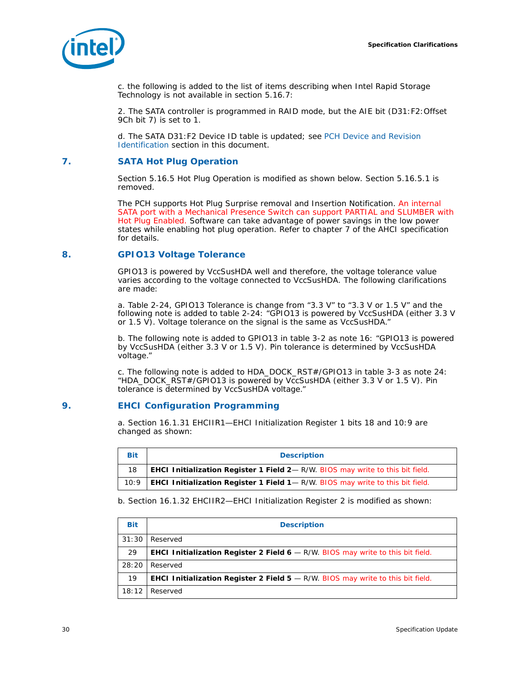

c. the following is added to the list of items describing when Intel Rapid Storage Technology is not available in section 5.16.7:

2. The SATA controller is programmed in RAID mode, but the AIE bit (D31:F2:Offset 9Ch bit 7) is set to 1.

d. The SATA D31:F2 Device ID table is updated; see [PCH Device and Revision](#page-12-0)  [Identification](#page-12-0) section in this document.

#### **7. SATA Hot Plug Operation**

Section 5.16.5 Hot Plug Operation is modified as shown below. Section 5.16.5.1 is removed.

The PCH supports Hot Plug Surprise removal and Insertion Notification. An internal SATA port with a Mechanical Presence Switch can support PARTIAL and SLUMBER with Hot Plug Enabled. Software can take advantage of power savings in the low power states while enabling hot plug operation. Refer to chapter 7 of the AHCI specification for details.

#### **8. GPIO13 Voltage Tolerance**

GPIO13 is powered by VccSusHDA well and therefore, the voltage tolerance value varies according to the voltage connected to VccSusHDA. The following clarifications are made:

a. Table 2-24, GPIO13 Tolerance is change from "3.3 V" to "3.3 V or 1.5 V" and the following note is added to table 2-24: "GPIO13 is powered by VccSusHDA (either 3.3 V or 1.5 V). Voltage tolerance on the signal is the same as VccSusHDA."

b. The following note is added to GPIO13 in table 3-2 as note 16: "GPIO13 is powered by VccSusHDA (either 3.3 V or 1.5 V). Pin tolerance is determined by VccSusHDA voltage."

c. The following note is added to HDA\_DOCK\_RST#/GPIO13 in table 3-3 as note 24: "HDA\_DOCK\_RST#/GPIO13 is powered by VccSusHDA (either 3.3 V or 1.5 V). Pin tolerance is determined by VccSusHDA voltage."

#### **9. EHCI Configuration Programming**

a. Section 16.1.31 EHCIIR1—EHCI Initialization Register 1 bits 18 and 10:9 are changed as shown:

| <b>Bit</b> | <b>Description</b>                                                                                  |  |  |  |
|------------|-----------------------------------------------------------------------------------------------------|--|--|--|
| 18         | <b>EHCI Initialization Register 1 Field <math>2 - R/W</math>.</b> BIOS may write to this bit field. |  |  |  |
| 10:9       | <b>EHCI Initialization Register 1 Field 1</b> — R/W. BIOS may write to this bit field.              |  |  |  |

b. Section 16.1.32 EHCIIR2—EHCI Initialization Register 2 is modified as shown:

| <b>Bit</b> | <b>Description</b>                                                                                  |
|------------|-----------------------------------------------------------------------------------------------------|
| 31:30      | Reserved                                                                                            |
| 29         | <b>EHCI Initialization Register 2 Field 6 – R/W. BIOS may write to this bit field.</b>              |
| 28:20      | Reserved                                                                                            |
| 19         | <b>EHCI Initialization Register 2 Field <math>5 - R/W</math>.</b> BIOS may write to this bit field. |
| 18:12      | Reserved                                                                                            |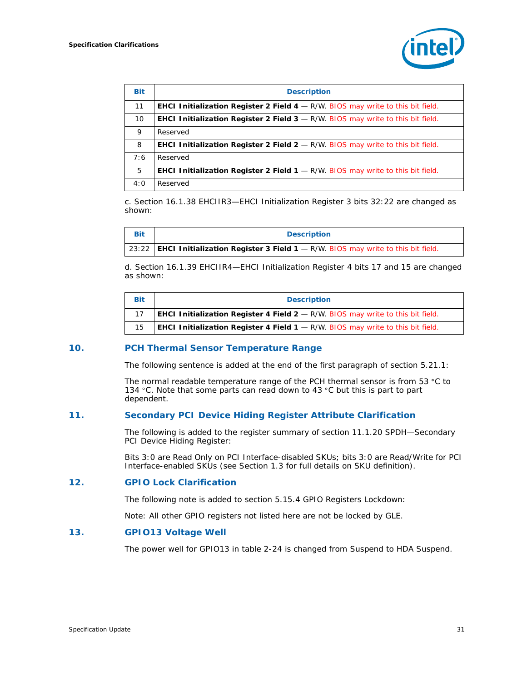

| <b>Bit</b> | <b>Description</b>                                                                                  |
|------------|-----------------------------------------------------------------------------------------------------|
| 11         | <b>EHCI Initialization Register 2 Field 4</b> $-$ R/W. BIOS may write to this bit field.            |
| 10         | <b>EHCI Initialization Register 2 Field <math>3 - R/W</math>.</b> BIOS may write to this bit field. |
| 9          | Reserved                                                                                            |
| 8          | <b>EHCI Initialization Register 2 Field <math>2 - R/W</math>.</b> BIOS may write to this bit field. |
| 7:6        | Reserved                                                                                            |
| 5          | <b>EHCI Initialization Register 2 Field <math>1 - R/W</math>.</b> BIOS may write to this bit field. |
| 4:0        | Reserved                                                                                            |

c. Section 16.1.38 EHCIIR3—EHCI Initialization Register 3 bits 32:22 are changed as shown:

| Bit | <b>Description</b>                                                                             |
|-----|------------------------------------------------------------------------------------------------|
|     | 23:22 <b>EHCI Initialization Register 3 Field 1</b> $-$ R/W. BIOS may write to this bit field. |

d. Section 16.1.39 EHCIIR4—EHCI Initialization Register 4 bits 17 and 15 are changed as shown:

| <b>Bit</b> | <b>Description</b>                                                                                  |  |  |  |
|------------|-----------------------------------------------------------------------------------------------------|--|--|--|
| 17         | <b>EHCI Initialization Register 4 Field <math>2 - R/W</math>. BIOS may write to this bit field.</b> |  |  |  |
| 15         | <b>EHCI Initialization Register 4 Field <math>1 - R/W</math>. BIOS may write to this bit field.</b> |  |  |  |

#### **10. PCH Thermal Sensor Temperature Range**

The following sentence is added at the end of the first paragraph of section 5.21.1:

The normal readable temperature range of the PCH thermal sensor is from 53  $\degree$ C to 134 °C. Note that some parts can read down to 43 °C but this is part to part dependent.

#### **11. Secondary PCI Device Hiding Register Attribute Clarification**

The following is added to the register summary of section 11.1.20 SPDH—Secondary PCI Device Hiding Register:

Bits 3:0 are Read Only on PCI Interface-disabled SKUs; bits 3:0 are Read/Write for PCI Interface-enabled SKUs (see Section 1.3 for full details on SKU definition).

#### **12. GPIO Lock Clarification**

The following note is added to section 5.15.4 GPIO Registers Lockdown:

Note: All other GPIO registers not listed here are not be locked by GLE.

#### **13. GPIO13 Voltage Well**

The power well for GPIO13 in table 2-24 is changed from Suspend to HDA Suspend.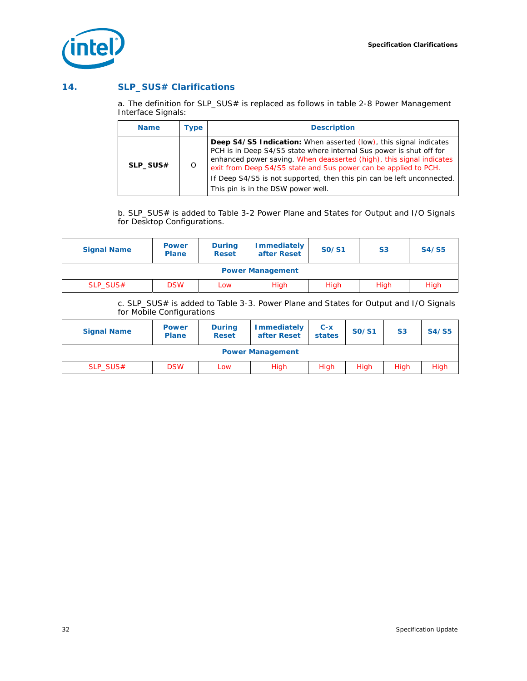

#### **14. SLP\_SUS# Clarifications**

a. The definition for SLP\_SUS# is replaced as follows in table 2-8 Power Management Interface Signals:

| <b>Name</b> | Type     | <b>Description</b>                                                                                                                                                                                                                                                                                                                                                                                         |
|-------------|----------|------------------------------------------------------------------------------------------------------------------------------------------------------------------------------------------------------------------------------------------------------------------------------------------------------------------------------------------------------------------------------------------------------------|
| SLP_SUS#    | $\Omega$ | <b>Deep S4/S5 Indication:</b> When asserted (low), this signal indicates<br>PCH is in Deep S4/S5 state where internal Sus power is shut off for<br>enhanced power saving. When deasserted (high), this signal indicates<br>exit from Deep S4/S5 state and Sus power can be applied to PCH.<br>If Deep S4/S5 is not supported, then this pin can be left unconnected.<br>This pin is in the DSW power well. |

b. SLP\_SUS# is added to Table 3-2 Power Plane and States for Output and I/O Signals for Desktop Configurations.

| <b>Signal Name</b>      | <b>Power</b><br><b>Plane</b> | <b>During</b><br><b>Reset</b> | <b>Immediately</b><br>after Reset | SO/S1 | S <sub>3</sub> | <b>S4/S5</b> |  |  |
|-------------------------|------------------------------|-------------------------------|-----------------------------------|-------|----------------|--------------|--|--|
| <b>Power Management</b> |                              |                               |                                   |       |                |              |  |  |
| SLP SUS#                | Low                          | <b>High</b>                   | High                              | High  | High           |              |  |  |

c. SLP\_SUS# is added to Table 3-3. Power Plane and States for Output and I/O Signals for Mobile Configurations

| <b>Signal Name</b>      | <b>Power</b><br><b>Plane</b> | <b>During</b><br><b>Reset</b> | <b>Immediately</b><br>after Reset | $C - x$<br>states | <b>SO/S1</b> | S <sub>3</sub> | S4/S5 |  |  |
|-------------------------|------------------------------|-------------------------------|-----------------------------------|-------------------|--------------|----------------|-------|--|--|
| <b>Power Management</b> |                              |                               |                                   |                   |              |                |       |  |  |
| SLP SUS#                | <b>DSW</b>                   | Low                           | High                              | High              | High         | High           | High  |  |  |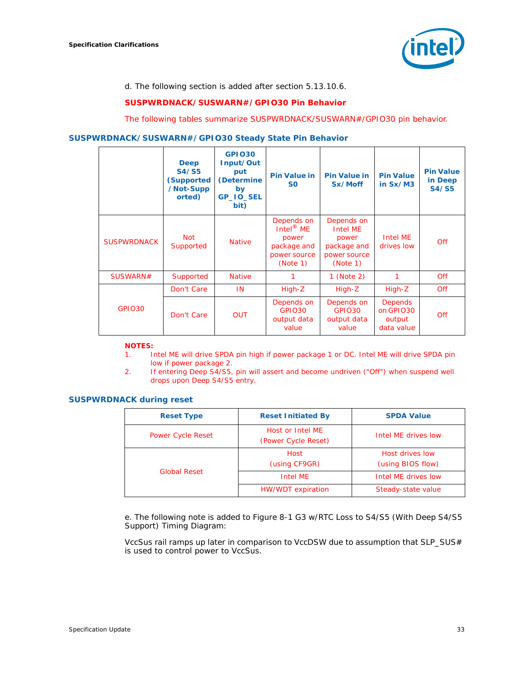

d. The following section is added after section 5.13.10.6.

#### **SUSPWRDNACK/SUSWARN#/GPIO30 Pin Behavior**

The following tables summarize SUSPWRDNACK/SUSWARN#/GPIO30 pin behavior.

#### **SUSPWRDNACK/SUSWARN#/GPIO30 Steady State Pin Behavior**

|                    | <b>Deep</b><br>S4/S5<br>(Supported<br>/Not-Supp<br>orted) | <b>GPI030</b><br>Input/Out<br>put<br>(Determine<br>by<br>GP_IO_SEL<br>bit) | <b>Pin Value in</b><br>SO.                                                              | <b>Pin Value in</b><br>Sx/Moff                                                    | <b>Pin Value</b><br>in $Sx/M3$                      | <b>Pin Value</b><br>in Deep<br><b>S4/S5</b> |
|--------------------|-----------------------------------------------------------|----------------------------------------------------------------------------|-----------------------------------------------------------------------------------------|-----------------------------------------------------------------------------------|-----------------------------------------------------|---------------------------------------------|
| <b>SUSPWRDNACK</b> | <b>Not</b><br>Supported                                   | <b>Native</b>                                                              | Depends on<br>Intel <sup>®</sup> ME<br>power<br>package and<br>power source<br>(Note 1) | Depends on<br><b>Intel ME</b><br>power<br>package and<br>power source<br>(Note 1) | Intel ME<br>drives low                              | Off                                         |
| SUSWARN#           | Supported                                                 | <b>Native</b>                                                              | 1                                                                                       | 1 (Note 2)                                                                        |                                                     | Off                                         |
|                    | Don't Care                                                | IN                                                                         | High-Z                                                                                  | High-Z                                                                            | High-Z                                              | Off                                         |
| <b>GPIO30</b>      | Don't Care                                                | <b>OUT</b>                                                                 | Depends on<br>GPIO <sub>30</sub><br>output data<br>value                                | Depends on<br>GPIO <sub>30</sub><br>output data<br>value                          | <b>Depends</b><br>on GPIO30<br>output<br>data value | Off                                         |

#### **NOTES:**

- 1. Intel ME will drive SPDA pin high if power package 1 or DC. Intel ME will drive SPDA pin low if power package 2.
- 2. If entering Deep S4/S5, pin will assert and become undriven ("Off") when suspend well drops upon Deep S4/S5 entry.

#### **SUSPWRDNACK during reset**

| <b>Reset Type</b>        | <b>Reset Initiated By</b>               | <b>SPDA Value</b>                    |  |  |
|--------------------------|-----------------------------------------|--------------------------------------|--|--|
| <b>Power Cycle Reset</b> | Host or Intel ME<br>(Power Cycle Reset) | Intel ME drives low                  |  |  |
|                          | Host<br>(using CF9GR)                   | Host drives low<br>(using BIOS flow) |  |  |
| Global Reset             | Intel ME                                | Intel ME drives low                  |  |  |
|                          | HW/WDT expiration                       | Steady-state value                   |  |  |

e. The following note is added to Figure 8-1 G3 w/RTC Loss to S4/S5 (With Deep S4/S5 Support) Timing Diagram:

VccSus rail ramps up later in comparison to VccDSW due to assumption that SLP\_SUS# is used to control power to VccSus.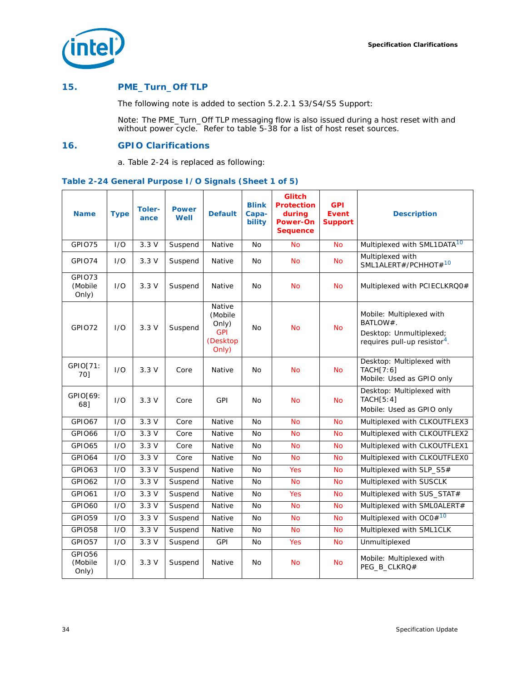

#### **15. PME\_Turn\_Off TLP**

The following note is added to section 5.2.2.1 S3/S4/S5 Support:

Note: The PME\_Turn\_Off TLP messaging flow is also issued during a host reset with and without power cycle. Refer to table 5-38 for a list of host reset sources.

#### **16. GPIO Clarifications**

a. Table 2-24 is replaced as following:

#### **Table 2-24 General Purpose I/O Signals (Sheet 1 of 5)**

| <b>Name</b>                       | <b>Type</b> | <b>Toler-</b><br>ance | <b>Power</b><br>Well | <b>Default</b>                                                | <b>Blink</b><br>Capa-<br>bility | <b>Glitch</b><br><b>Protection</b><br>during<br>Power-On<br><b>Sequence</b> | <b>GPI</b><br>Event<br><b>Support</b> | <b>Description</b>                                                                                          |
|-----------------------------------|-------------|-----------------------|----------------------|---------------------------------------------------------------|---------------------------------|-----------------------------------------------------------------------------|---------------------------------------|-------------------------------------------------------------------------------------------------------------|
| GPIO75                            | 1/O         | 3.3V                  | Suspend              | Native                                                        | <b>No</b>                       | <b>No</b>                                                                   | <b>No</b>                             | Multiplexed with SML1DATA <sup>10</sup>                                                                     |
| GPIO74                            | 1/O         | 3.3V                  | Suspend              | Native                                                        | No                              | <b>No</b>                                                                   | <b>No</b>                             | Multiplexed with<br>SML1ALERT#/PCHHOT#10                                                                    |
| GPIO73<br>(Mobile<br>Only)        | I/O         | 3.3V                  | Suspend              | Native                                                        | No                              | <b>No</b>                                                                   | <b>No</b>                             | Multiplexed with PCIECLKRQ0#                                                                                |
| GPIO72                            | 1/O         | 3.3V                  | Suspend              | Native<br>(Mobile<br>Only)<br><b>GPI</b><br>(Desktop<br>Only) | <b>No</b>                       | <b>No</b>                                                                   | <b>No</b>                             | Mobile: Multiplexed with<br>BATLOW#.<br>Desktop: Unmultiplexed;<br>requires pull-up resistor <sup>4</sup> . |
| GPIO[71:<br>701                   | 1/O         | 3.3V                  | Core                 | Native                                                        | <b>No</b>                       | No                                                                          | <b>No</b>                             | Desktop: Multiplexed with<br>TACH[7:6]<br>Mobile: Used as GPIO only                                         |
| GPIO[69:<br>68]                   | 1/O         | 3.3V                  | Core                 | <b>GPI</b>                                                    | No                              | <b>No</b>                                                                   | <b>No</b>                             | Desktop: Multiplexed with<br>TACH[5:4]<br>Mobile: Used as GPIO only                                         |
| <b>GPIO67</b>                     | 1/O         | 3.3V                  | Core                 | Native                                                        | <b>No</b>                       | <b>No</b>                                                                   | <b>No</b>                             | Multiplexed with CLKOUTFLEX3                                                                                |
| <b>GPIO66</b>                     | 1/O         | 3.3V                  | Core                 | Native                                                        | <b>No</b>                       | <b>No</b>                                                                   | <b>No</b>                             | Multiplexed with CLKOUTFLEX2                                                                                |
| <b>GPIO65</b>                     | I/O         | 3.3V                  | Core                 | Native                                                        | <b>No</b>                       | <b>No</b>                                                                   | <b>No</b>                             | Multiplexed with CLKOUTFLEX1                                                                                |
| GPIO64                            | 1/O         | 3.3V                  | Core                 | Native                                                        | <b>No</b>                       | <b>No</b>                                                                   | <b>No</b>                             | Multiplexed with CLKOUTFLEX0                                                                                |
| GPIO63                            | 1/O         | 3.3V                  | Suspend              | Native                                                        | <b>No</b>                       | Yes                                                                         | <b>No</b>                             | Multiplexed with SLP S5#                                                                                    |
| <b>GPIO62</b>                     | I/O         | 3.3V                  | Suspend              | Native                                                        | <b>No</b>                       | <b>No</b>                                                                   | <b>No</b>                             | Multiplexed with SUSCLK                                                                                     |
| <b>GPIO61</b>                     | I/O         | 3.3V                  | Suspend              | Native                                                        | No                              | Yes                                                                         | <b>No</b>                             | Multiplexed with SUS_STAT#                                                                                  |
| <b>GPIO60</b>                     | 1/O         | 3.3V                  | Suspend              | Native                                                        | <b>No</b>                       | <b>No</b>                                                                   | <b>No</b>                             | Multiplexed with SMLOALERT#                                                                                 |
| <b>GPIO59</b>                     | I/O         | 3.3V                  | Suspend              | Native                                                        | No                              | <b>No</b>                                                                   | <b>No</b>                             | Multiplexed with OC0#10                                                                                     |
| GPIO58                            | 1/O         | 3.3V                  | Suspend              | Native                                                        | <b>No</b>                       | <b>No</b>                                                                   | <b>No</b>                             | Multiplexed with SML1CLK                                                                                    |
| GPIO57                            | 1/O         | 3.3V                  | Suspend              | <b>GPI</b>                                                    | <b>No</b>                       | Yes                                                                         | <b>No</b>                             | Unmultiplexed                                                                                               |
| <b>GPIO56</b><br>(Mobile<br>Only) | 1/O         | 3.3V                  | Suspend              | Native                                                        | No                              | <b>No</b>                                                                   | <b>No</b>                             | Mobile: Multiplexed with<br>PEG_B_CLKRQ#                                                                    |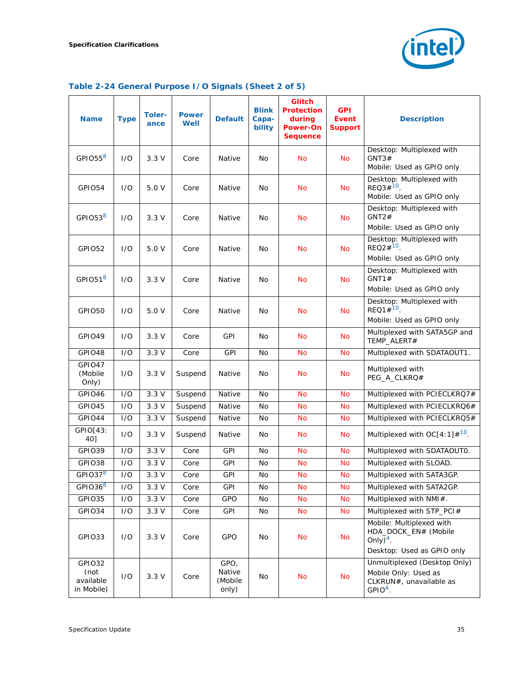

| <b>Name</b>                               | <b>Type</b> | <b>Toler-</b><br>ance | <b>Power</b><br>Well | <b>Default</b>                     | <b>Blink</b><br>Capa-<br>bility | Glitch<br><b>Protection</b><br>during<br>Power-On<br><b>Sequence</b> | <b>GPI</b><br>Event<br><b>Support</b> | <b>Description</b>                                                                             |
|-------------------------------------------|-------------|-----------------------|----------------------|------------------------------------|---------------------------------|----------------------------------------------------------------------|---------------------------------------|------------------------------------------------------------------------------------------------|
| GPIO55 <sup>8</sup>                       | I/O         | 3.3V                  | Core                 | Native                             | No                              | <b>No</b>                                                            | <b>No</b>                             | Desktop: Multiplexed with<br>GNT3#<br>Mobile: Used as GPIO only                                |
| GPIO54                                    | 1/O         | 5.0 V                 | Core                 | Native                             | No                              | <b>No</b>                                                            | <b>No</b>                             | Desktop: Multiplexed with<br>REQ3 $#^{10}$ .<br>Mobile: Used as GPIO only                      |
| GP1O53 <sup>8</sup>                       | I/O         | 3.3V                  | Core                 | Native                             | No                              | <b>No</b>                                                            | <b>No</b>                             | Desktop: Multiplexed with<br>GNT2#<br>Mobile: Used as GPIO only                                |
| GPIO52                                    | 1/O         | 5.0V                  | Core                 | Native                             | No                              | <b>No</b>                                                            | <b>No</b>                             | Desktop: Multiplexed with<br>REQ2 $\#$ <sup>10</sup> .<br>Mobile: Used as GPIO only            |
| GPIO51 $8$                                | I/O         | 3.3V                  | Core                 | Native                             | No                              | <b>No</b>                                                            | <b>No</b>                             | Desktop: Multiplexed with<br>GNT1#<br>Mobile: Used as GPIO only                                |
| GPIO50                                    | 1/O         | 5.0V                  | Core                 | Native                             | No                              | <b>No</b>                                                            | <b>No</b>                             | Desktop: Multiplexed with<br>REQ1 $\#^{10}$ .<br>Mobile: Used as GPIO only                     |
| GPIO49                                    | I/O         | 3.3V                  | Core                 | <b>GPI</b>                         | No                              | <b>No</b>                                                            | <b>No</b>                             | Multiplexed with SATA5GP and<br>TEMP_ALERT#                                                    |
| GPIO48                                    | I/O         | 3.3V                  | Core                 | <b>GPI</b>                         | No                              | <b>No</b>                                                            | <b>No</b>                             | Multiplexed with SDATAOUT1.                                                                    |
| GPIO47<br>(Mobile<br>Only)                | 1/O         | 3.3V                  | Suspend              | Native                             | No                              | <b>No</b>                                                            | <b>No</b>                             | Multiplexed with<br>PEG_A_CLKRQ#                                                               |
| GPIO46                                    | I/O         | 3.3V                  | Suspend              | Native                             | No                              | <b>No</b>                                                            | <b>No</b>                             | Multiplexed with PCIECLKRQ7#                                                                   |
| GPIO45                                    | I/O         | 3.3V                  | Suspend              | Native                             | No                              | No                                                                   | <b>No</b>                             | Multiplexed with PCIECLKRQ6#                                                                   |
| GPIO44                                    | I/O         | 3.3V                  | Suspend              | Native                             | No                              | <b>No</b>                                                            | <b>No</b>                             | Multiplexed with PCIECLKRQ5#                                                                   |
| GPIO[43:<br>40]                           | I/O         | 3.3V                  | Suspend              | Native                             | No                              | No                                                                   | <b>No</b>                             | Multiplexed with OC[4:1] $\#^{10}$ .                                                           |
| GPIO39                                    | I/O         | 3.3V                  | Core                 | <b>GPI</b>                         | No                              | <b>No</b>                                                            | <b>No</b>                             | Multiplexed with SDATAOUTO.                                                                    |
| GPIO38                                    | 1/O         | 3.3V                  | Core                 | <b>GPI</b>                         | No                              | No                                                                   | <b>No</b>                             | Multiplexed with SLOAD.                                                                        |
| GPIO378                                   | I/O         | 3.3V                  | Core                 | <b>GPI</b>                         | No                              | <b>No</b>                                                            | <b>No</b>                             | Multiplexed with SATA3GP.                                                                      |
| GPIO36 <sup>8</sup>                       | 1/O         | 3.3V                  | Core                 | <b>GPI</b>                         | No                              | <b>No</b>                                                            | <b>No</b>                             | Multiplexed with SATA2GP.                                                                      |
| GPIO35                                    | 1/O         | 3.3V                  | Core                 | GPO                                | No                              | <b>No</b>                                                            | <b>No</b>                             | Multiplexed with NMI#.                                                                         |
| GPIO34                                    | 1/O         | 3.3V                  | Core                 | <b>GPI</b>                         | No                              | <b>No</b>                                                            | <b>No</b>                             | Multiplexed with STP_PCI#                                                                      |
| GPIO33                                    | 1/O         | 3.3V                  | Core                 | GPO                                | No                              | <b>No</b>                                                            | <b>No</b>                             | Mobile: Multiplexed with<br>HDA_DOCK_EN# (Mobile<br>Only $)^4$ .<br>Desktop: Used as GPIO only |
| GPIO32<br>(not<br>available<br>in Mobile) | 1/O         | 3.3V                  | Core                 | GPO,<br>Native<br>(Mobile<br>only) | No                              | <b>No</b>                                                            | <b>No</b>                             | Unmultiplexed (Desktop Only)<br>Mobile Only: Used as<br>CLKRUN#, unavailable as<br>$GPIO4$ .   |

#### **Table 2-24 General Purpose I/O Signals (Sheet 2 of 5)**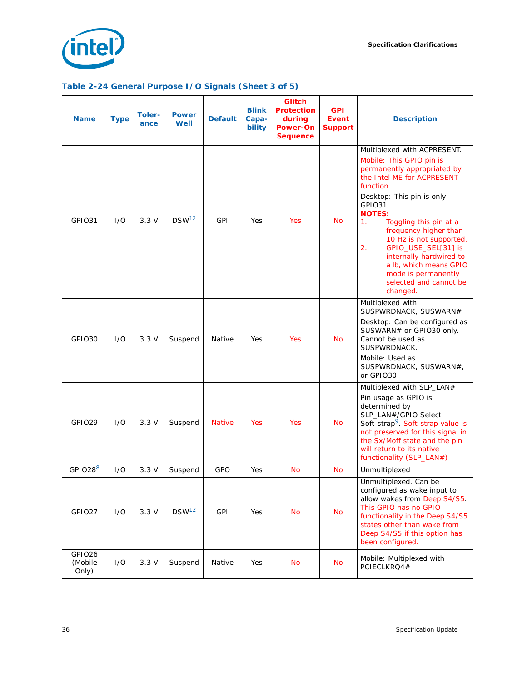

| <b>Name</b>                | <b>Type</b> | <b>Toler-</b><br>ance | <b>Power</b><br>Well | <b>Default</b> | <b>Blink</b><br>Capa-<br>bility | <b>Glitch</b><br><b>Protection</b><br>during<br>Power-On<br><b>Sequence</b> | <b>GPI</b><br><b>Event</b><br><b>Support</b> | <b>Description</b>                                                                                                                                                                                                                                                                                                                                                                                                            |
|----------------------------|-------------|-----------------------|----------------------|----------------|---------------------------------|-----------------------------------------------------------------------------|----------------------------------------------|-------------------------------------------------------------------------------------------------------------------------------------------------------------------------------------------------------------------------------------------------------------------------------------------------------------------------------------------------------------------------------------------------------------------------------|
| GPIO31                     | 1/O         | 3.3V                  | DSW <sup>12</sup>    | <b>GPI</b>     | Yes                             | Yes                                                                         | <b>No</b>                                    | Multiplexed with ACPRESENT.<br>Mobile: This GPIO pin is<br>permanently appropriated by<br>the Intel ME for ACPRESENT<br>function.<br>Desktop: This pin is only<br>GPIO31.<br><b>NOTES:</b><br>1.<br>Toggling this pin at a<br>frequency higher than<br>10 Hz is not supported.<br>2.<br>GPIO_USE_SEL[31] is<br>internally hardwired to<br>a lb, which means GPIO<br>mode is permanently<br>selected and cannot be<br>changed. |
| GPIO30                     | I/O         | 3.3V                  | Suspend              | Native         | Yes                             | Yes                                                                         | <b>No</b>                                    | Multiplexed with<br>SUSPWRDNACK, SUSWARN#<br>Desktop: Can be configured as<br>SUSWARN# or GPIO30 only.<br>Cannot be used as<br>SUSPWRDNACK.<br>Mobile: Used as<br>SUSPWRDNACK, SUSWARN#,<br>or GPIO30                                                                                                                                                                                                                         |
| GPIO29                     | 1/O         | 3.3V                  | Suspend              | <b>Native</b>  | <b>Yes</b>                      | Yes                                                                         | <b>No</b>                                    | Multiplexed with SLP_LAN#<br>Pin usage as GPIO is<br>determined by<br>SLP_LAN#/GPIO Select<br>Soft-strap <sup>9</sup> . Soft-strap value is<br>not preserved for this signal in<br>the Sx/Moff state and the pin<br>will return to its native<br>functionality (SLP_LAN#)                                                                                                                                                     |
| GPIO28 <sup>8</sup>        | I/O         | 3.3V                  | Suspend              | GPO            | <b>Yes</b>                      | <b>No</b>                                                                   | <b>No</b>                                    | Unmultiplexed                                                                                                                                                                                                                                                                                                                                                                                                                 |
| GPIO27                     | I/O         | 3.3V                  | DSW <sup>12</sup>    | <b>GPI</b>     | Yes                             | <b>No</b>                                                                   | <b>No</b>                                    | Unmultiplexed. Can be<br>configured as wake input to<br>allow wakes from Deep S4/S5.<br>This GPIO has no GPIO<br>functionality in the Deep S4/S5<br>states other than wake from<br>Deep S4/S5 if this option has<br>been configured.                                                                                                                                                                                          |
| GPIO26<br>(Mobile<br>Only) | 1/O         | 3.3V                  | Suspend              | Native         | Yes                             | <b>No</b>                                                                   | No                                           | Mobile: Multiplexed with<br>PCIECLKRQ4#                                                                                                                                                                                                                                                                                                                                                                                       |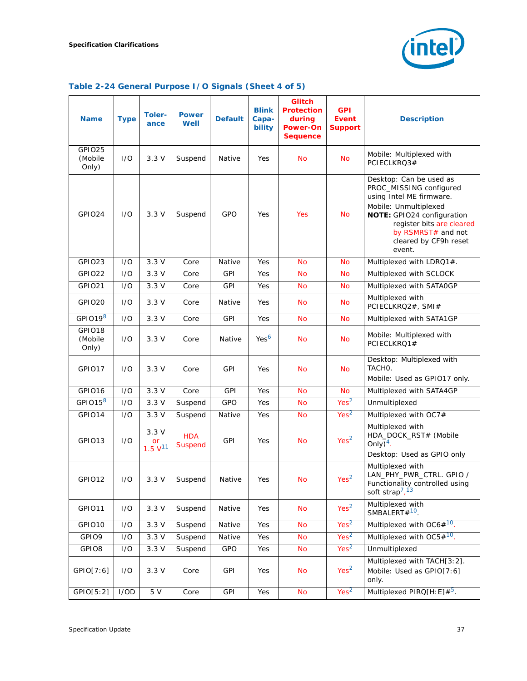

| <b>Name</b>                | <b>Type</b> | <b>Toler-</b><br>ance      | <b>Power</b><br>Well  | <b>Default</b> | <b>Blink</b><br>Capa-<br>bility | Glitch<br><b>Protection</b><br>during<br>Power-On<br><b>Sequence</b> | <b>GPI</b><br>Event<br><b>Support</b> | <b>Description</b>                                                                                                                                                                                                          |
|----------------------------|-------------|----------------------------|-----------------------|----------------|---------------------------------|----------------------------------------------------------------------|---------------------------------------|-----------------------------------------------------------------------------------------------------------------------------------------------------------------------------------------------------------------------------|
| GPIO25<br>(Mobile<br>Only) | I/O         | 3.3V                       | Suspend               | Native         | Yes                             | <b>No</b>                                                            | <b>No</b>                             | Mobile: Multiplexed with<br>PCIECLKRQ3#                                                                                                                                                                                     |
| GPIO24                     | I/O         | 3.3V                       | Suspend               | GPO            | Yes                             | <b>Yes</b>                                                           | <b>No</b>                             | Desktop: Can be used as<br>PROC_MISSING configured<br>using Intel ME firmware.<br>Mobile: Unmultiplexed<br>NOTE: GPIO24 configuration<br>register bits are cleared<br>by RSMRST# and not<br>cleared by CF9h reset<br>event. |
| GPIO23                     | I/O         | 3.3V                       | Core                  | Native         | Yes                             | <b>No</b>                                                            | <b>No</b>                             | Multiplexed with LDRQ1#.                                                                                                                                                                                                    |
| GPIO22                     | I/O         | 3.3V                       | Core                  | <b>GPI</b>     | Yes                             | <b>No</b>                                                            | <b>No</b>                             | Multiplexed with SCLOCK                                                                                                                                                                                                     |
| GPIO21                     | I/O         | 3.3V                       | Core                  | <b>GPI</b>     | Yes                             | No                                                                   | <b>No</b>                             | Multiplexed with SATA0GP                                                                                                                                                                                                    |
| GPIO <sub>20</sub>         | 1/O         | 3.3V                       | Core                  | Native         | Yes                             | No                                                                   | No                                    | Multiplexed with<br>PCIECLKRQ2#, SMI#                                                                                                                                                                                       |
| GPIO198                    | I/O         | 3.3V                       | Core                  | <b>GPI</b>     | Yes                             | <b>No</b>                                                            | <b>No</b>                             | Multiplexed with SATA1GP                                                                                                                                                                                                    |
| GPIO18<br>(Mobile<br>Only) | I/O         | 3.3V                       | Core                  | Native         | Yes <sup>6</sup>                | <b>No</b>                                                            | <b>No</b>                             | Mobile: Multiplexed with<br>PCIECLKRQ1#                                                                                                                                                                                     |
| GPIO17                     | 1/O         | 3.3V                       | Core                  | <b>GPI</b>     | Yes                             | <b>No</b>                                                            | <b>No</b>                             | Desktop: Multiplexed with<br>TACHO.<br>Mobile: Used as GPIO17 only.                                                                                                                                                         |
| GPIO16                     | I/O         | 3.3V                       | Core                  | <b>GPI</b>     | Yes                             | <b>No</b>                                                            | <b>No</b>                             | Multiplexed with SATA4GP                                                                                                                                                                                                    |
| GPIO15 <sup>8</sup>        | I/O         | 3.3V                       | Suspend               | GPO            | Yes                             | <b>No</b>                                                            | Yes <sup>2</sup>                      | Unmultiplexed                                                                                                                                                                                                               |
| GPIO14                     | I/O         | 3.3V                       | Suspend               | Native         | Yes                             | <b>No</b>                                                            | Yes <sup>2</sup>                      | Multiplexed with OC7#                                                                                                                                                                                                       |
| GPIO13                     | 1/O         | 3.3V<br>or<br>$1.5 V^{11}$ | <b>HDA</b><br>Suspend | <b>GPI</b>     | Yes                             | <b>No</b>                                                            | Yes <sup>2</sup>                      | Multiplexed with<br>HDA_DOCK_RST# (Mobile<br>Only $)^4$ .<br>Desktop: Used as GPIO only                                                                                                                                     |
| GPIO12                     | 1/O         | 3.3V                       | Suspend               | Native         | Yes                             | No                                                                   | Yes <sup>2</sup>                      | Multiplexed with<br>LAN_PHY_PWR_CTRL. GPIO /<br>Functionality controlled using<br>soft strap <sup>7</sup> , <sup>13</sup>                                                                                                   |
| GPIO11                     | I/O         | 3.3V                       | Suspend               | Native         | Yes                             | <b>No</b>                                                            | Yes <sup>2</sup>                      | Multiplexed with<br>SMBALERT# <sup>10</sup> .                                                                                                                                                                               |
| GPIO10                     | 1/O         | 3.3V                       | Suspend               | Native         | Yes                             | <b>No</b>                                                            | Yes <sup>2</sup>                      | Multiplexed with OC6# <sup>10</sup> .                                                                                                                                                                                       |
| GPIO9                      | I/O         | 3.3V                       | Suspend               | Native         | Yes                             | <b>No</b>                                                            | Yes <sup>2</sup>                      | Multiplexed with $OCS#^{10}$ .                                                                                                                                                                                              |
| GPIO8                      | 1/O         | 3.3V                       | Suspend               | GPO            | Yes                             | No                                                                   | Yes <sup>2</sup>                      | Unmultiplexed                                                                                                                                                                                                               |
| GPIO[7:6]                  | 1/O         | 3.3V                       | Core                  | <b>GPI</b>     | Yes                             | <b>No</b>                                                            | Yes <sup>2</sup>                      | Multiplexed with TACH[3:2].<br>Mobile: Used as GPIO[7:6]<br>only.                                                                                                                                                           |
| GPIO[5:2]                  | I/OD        | 5V                         | Core                  | GPI            | Yes                             | <b>No</b>                                                            | Yes <sup>2</sup>                      | Multiplexed PIRQ[H: $E$ ] $#^5$ .                                                                                                                                                                                           |

# **Table 2-24 General Purpose I/O Signals (Sheet 4 of 5)**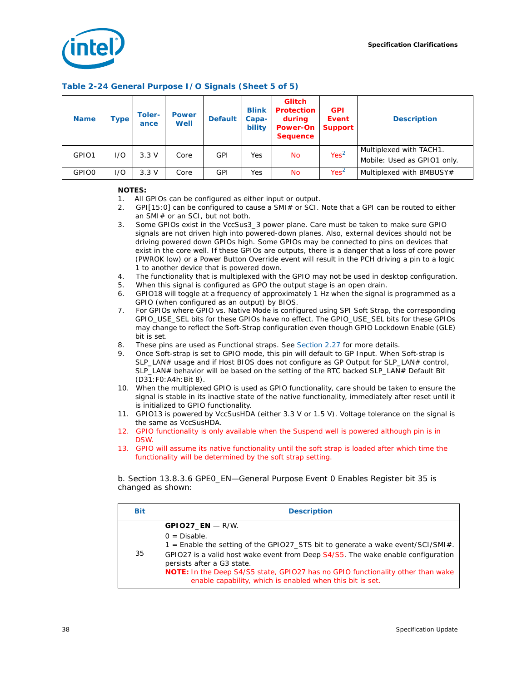

# **Table 2-24 General Purpose I/O Signals (Sheet 5 of 5)**

| <b>Name</b>  | <b>Type</b> | Toler-<br>ance | <b>Power</b><br>Well | <b>Default</b> | <b>Blink</b><br>Capa-<br>bility | <b>Glitch</b><br><b>Protection</b><br>during<br>Power-On<br><b>Sequence</b> | <b>GPI</b><br>Event<br><b>Support</b> | <b>Description</b>                                     |
|--------------|-------------|----------------|----------------------|----------------|---------------------------------|-----------------------------------------------------------------------------|---------------------------------------|--------------------------------------------------------|
| GPIO1        | I/O         | 3.3V           | Core                 | <b>GPI</b>     | Yes                             | <b>No</b>                                                                   | Yes <sup>2</sup>                      | Multiplexed with TACH1.<br>Mobile: Used as GPIO1 only. |
| <b>GPIOO</b> | 1/O         | 3.3V           | Core                 | GPI            | Yes                             | <b>No</b>                                                                   | Yes <sup>2</sup>                      | Multiplexed with BMBUSY#                               |

### **NOTES:**

- 1. All GPIOs can be configured as either input or output.
- 2. GPI[15:0] can be configured to cause a SMI# or SCI. Note that a GPI can be routed to either an SMI# or an SCI, but not both.
- 3. Some GPIOs exist in the VccSus3\_3 power plane. Care must be taken to make sure GPIO signals are not driven high into powered-down planes. Also, external devices should not be driving powered down GPIOs high. Some GPIOs may be connected to pins on devices that exist in the core well. If these GPIOs are outputs, there is a danger that a loss of core power (PWROK low) or a Power Button Override event will result in the PCH driving a pin to a logic 1 to another device that is powered down.
- 4. The functionality that is multiplexed with the GPIO may not be used in desktop configuration.
- 5. When this signal is configured as GPO the output stage is an open drain.
- 6. GPIO18 will toggle at a frequency of approximately 1 Hz when the signal is programmed as a GPIO (when configured as an output) by BIOS.
- 7. For GPIOs where GPIO vs. Native Mode is configured using SPI Soft Strap, the corresponding GPIO\_USE\_SEL bits for these GPIOs have no effect. The GPIO\_USE\_SEL bits for these GPIOs may change to reflect the Soft-Strap configuration even though GPIO Lockdown Enable (GLE) bit is set.
- 8. These pins are used as Functional straps. See Section 2.27 for more details.
- 9. Once Soft-strap is set to GPIO mode, this pin will default to GP Input. When Soft-strap is SLP\_LAN# usage and if Host BIOS does not configure as GP Output for SLP\_LAN# control, SLP\_LAN# behavior will be based on the setting of the RTC backed SLP\_LAN# Default Bit (D31:F0:A4h:Bit 8).
- 10. When the multiplexed GPIO is used as GPIO functionality, care should be taken to ensure the signal is stable in its inactive state of the native functionality, immediately after reset until it is initialized to GPIO functionality.
- 11. GPIO13 is powered by VccSusHDA (either 3.3 V or 1.5 V). Voltage tolerance on the signal is the same as VccSusHDA.
- 12. GPIO functionality is only available when the Suspend well is powered although pin is in DSW.
- 13. GPIO will assume its native functionality until the soft strap is loaded after which time the functionality will be determined by the soft strap setting.

b. Section 13.8.3.6 GPE0\_EN—General Purpose Event 0 Enables Register bit 35 is changed as shown:

| <b>Bit</b> | <b>Description</b>                                                                                                                                                                                                                                                                                                                                                                                        |
|------------|-----------------------------------------------------------------------------------------------------------------------------------------------------------------------------------------------------------------------------------------------------------------------------------------------------------------------------------------------------------------------------------------------------------|
| 35         | $GPIO27$ <sub>-</sub> $EN - R/W$ .<br>$0 = Disable.$<br>1 = Enable the setting of the GPIO27_STS bit to generate a wake event/SCI/SMI#.<br>GPIO27 is a valid host wake event from Deep S4/S5. The wake enable configuration<br>persists after a G3 state.<br>NOTE: In the Deep S4/S5 state, GPIO27 has no GPIO functionality other than wake<br>enable capability, which is enabled when this bit is set. |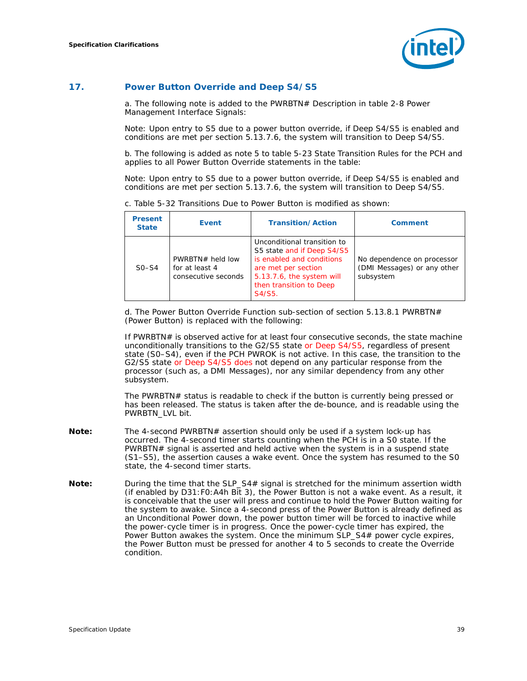

# **17. Power Button Override and Deep S4/S5**

a. The following note is added to the PWRBTN# Description in table 2-8 Power Management Interface Signals:

Note: Upon entry to S5 due to a power button override, if Deep S4/S5 is enabled and conditions are met per section 5.13.7.6, the system will transition to Deep S4/S5.

b. The following is added as note 5 to table 5-23 State Transition Rules for the PCH and applies to all Power Button Override statements in the table:

Note: Upon entry to S5 due to a power button override, if Deep S4/S5 is enabled and conditions are met per section 5.13.7.6, the system will transition to Deep S4/S5.

|  |  |  | c. Table 5-32 Transitions Due to Power Button is modified as shown: |
|--|--|--|---------------------------------------------------------------------|
|  |  |  |                                                                     |

| <b>Present</b><br><b>State</b> | Event                                                       | <b>Transition/Action</b>                                                                                                                                                        | Comment                                                                |
|--------------------------------|-------------------------------------------------------------|---------------------------------------------------------------------------------------------------------------------------------------------------------------------------------|------------------------------------------------------------------------|
| $SO-S4$                        | $PWRETN#$ held low<br>for at least 4<br>consecutive seconds | Unconditional transition to<br>S5 state and if Deep S4/S5<br>is enabled and conditions<br>are met per section<br>5.13.7.6, the system will<br>then transition to Deep<br>S4/S5. | No dependence on processor<br>(DMI Messages) or any other<br>subsystem |

d. The Power Button Override Function sub-section of section 5.13.8.1 PWRBTN# (Power Button) is replaced with the following:

If PWRBTN# is observed active for at least four consecutive seconds, the state machine unconditionally transitions to the G2/S5 state or Deep S4/S5, regardless of present state (S0–S4), even if the PCH PWROK is not active. In this case, the transition to the G2/S5 state or Deep S4/S5 does not depend on any particular response from the processor (such as, a DMI Messages), nor any similar dependency from any other subsystem.

The PWRBTN# status is readable to check if the button is currently being pressed or has been released. The status is taken after the de-bounce, and is readable using the PWRBTN\_LVL bit.

- *Note:* The 4-second PWRBTN# assertion should only be used if a system lock-up has occurred. The 4-second timer starts counting when the PCH is in a S0 state. If the PWRBTN# signal is asserted and held active when the system is in a suspend state (S1–S5), the assertion causes a wake event. Once the system has resumed to the S0 state, the 4-second timer starts.
- *Note:* During the time that the SLP\_S4# signal is stretched for the minimum assertion width (if enabled by D31:F0:A4h Bit 3), the Power Button is not a wake event. As a result, it is conceivable that the user will press and continue to hold the Power Button waiting for the system to awake. Since a 4-second press of the Power Button is already defined as an Unconditional Power down, the power button timer will be forced to inactive while the power-cycle timer is in progress. Once the power-cycle timer has expired, the Power Button awakes the system. Once the minimum SLP\_S4# power cycle expires, the Power Button must be pressed for another 4 to 5 seconds to create the Override condition.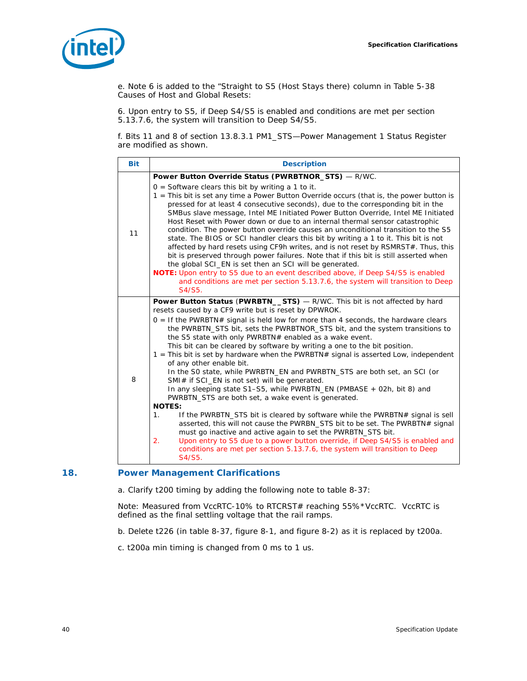

e. Note 6 is added to the "Straight to S5 (Host Stays there) column in Table 5-38 Causes of Host and Global Resets:

6. Upon entry to S5, if Deep S4/S5 is enabled and conditions are met per section 5.13.7.6, the system will transition to Deep S4/S5.

f. Bits 11 and 8 of section 13.8.3.1 PM1\_STS—Power Management 1 Status Register are modified as shown.

| <b>Bit</b> | <b>Description</b>                                                                                                                                                                                                                                                                                                                                                                                                                                                                                                                                                                                                                                                                                                                                                                                                                                                                                                                                                                                                 |
|------------|--------------------------------------------------------------------------------------------------------------------------------------------------------------------------------------------------------------------------------------------------------------------------------------------------------------------------------------------------------------------------------------------------------------------------------------------------------------------------------------------------------------------------------------------------------------------------------------------------------------------------------------------------------------------------------------------------------------------------------------------------------------------------------------------------------------------------------------------------------------------------------------------------------------------------------------------------------------------------------------------------------------------|
|            | Power Button Override Status (PWRBTNOR_STS) - R/WC.                                                                                                                                                                                                                                                                                                                                                                                                                                                                                                                                                                                                                                                                                                                                                                                                                                                                                                                                                                |
| 11         | $0 =$ Software clears this bit by writing a 1 to it.<br>1 = This bit is set any time a Power Button Override occurs (that is, the power button is<br>pressed for at least 4 consecutive seconds), due to the corresponding bit in the<br>SMBus slave message, Intel ME Initiated Power Button Override, Intel ME Initiated<br>Host Reset with Power down or due to an internal thermal sensor catastrophic<br>condition. The power button override causes an unconditional transition to the S5<br>state. The BIOS or SCI handler clears this bit by writing a 1 to it. This bit is not<br>affected by hard resets using CF9h writes, and is not reset by RSMRST#. Thus, this<br>bit is preserved through power failures. Note that if this bit is still asserted when<br>the global SCI EN is set then an SCI will be generated.<br>NOTE: Upon entry to S5 due to an event described above, if Deep S4/S5 is enabled<br>and conditions are met per section 5.13.7.6, the system will transition to Deep<br>S4/S5. |
|            | Power Button Status (PWRBTN_STS) - R/WC. This bit is not affected by hard<br>resets caused by a CF9 write but is reset by DPWROK.                                                                                                                                                                                                                                                                                                                                                                                                                                                                                                                                                                                                                                                                                                                                                                                                                                                                                  |
| 8          | $0 =$ If the PWRBTN# signal is held low for more than 4 seconds, the hardware clears<br>the PWRBTN_STS bit, sets the PWRBTNOR_STS bit, and the system transitions to<br>the S5 state with only PWRBTN# enabled as a wake event.                                                                                                                                                                                                                                                                                                                                                                                                                                                                                                                                                                                                                                                                                                                                                                                    |
|            | This bit can be cleared by software by writing a one to the bit position.                                                                                                                                                                                                                                                                                                                                                                                                                                                                                                                                                                                                                                                                                                                                                                                                                                                                                                                                          |
|            | $1 =$ This bit is set by hardware when the PWRBTN# signal is asserted Low, independent<br>of any other enable bit.                                                                                                                                                                                                                                                                                                                                                                                                                                                                                                                                                                                                                                                                                                                                                                                                                                                                                                 |
|            | In the S0 state, while PWRBTN_EN and PWRBTN_STS are both set, an SCI (or<br>SMI# if SCI_EN is not set) will be generated.                                                                                                                                                                                                                                                                                                                                                                                                                                                                                                                                                                                                                                                                                                                                                                                                                                                                                          |
|            | In any sleeping state S1-S5, while PWRBTN_EN (PMBASE + 02h, bit 8) and<br>PWRBTN_STS are both set, a wake event is generated.                                                                                                                                                                                                                                                                                                                                                                                                                                                                                                                                                                                                                                                                                                                                                                                                                                                                                      |
|            | <b>NOTES:</b>                                                                                                                                                                                                                                                                                                                                                                                                                                                                                                                                                                                                                                                                                                                                                                                                                                                                                                                                                                                                      |
|            | If the PWRBTN_STS bit is cleared by software while the PWRBTN# signal is sell<br>1.                                                                                                                                                                                                                                                                                                                                                                                                                                                                                                                                                                                                                                                                                                                                                                                                                                                                                                                                |
|            | asserted, this will not cause the PWRBN_STS bit to be set. The PWRBTN# signal<br>must go inactive and active again to set the PWRBTN_STS bit.                                                                                                                                                                                                                                                                                                                                                                                                                                                                                                                                                                                                                                                                                                                                                                                                                                                                      |
|            | Upon entry to S5 due to a power button override, if Deep S4/S5 is enabled and<br>2.<br>conditions are met per section 5.13.7.6, the system will transition to Deep<br>S4/S5.                                                                                                                                                                                                                                                                                                                                                                                                                                                                                                                                                                                                                                                                                                                                                                                                                                       |
|            |                                                                                                                                                                                                                                                                                                                                                                                                                                                                                                                                                                                                                                                                                                                                                                                                                                                                                                                                                                                                                    |

# **18. Power Management Clarifications**

a. Clarify t200 timing by adding the following note to table 8-37:

Note: Measured from VccRTC-10% to RTCRST# reaching 55%\*VccRTC. VccRTC is defined as the final settling voltage that the rail ramps.

- b. Delete t226 (in table 8-37, figure 8-1, and figure 8-2) as it is replaced by t200a.
- c. t200a min timing is changed from 0 ms to 1 us.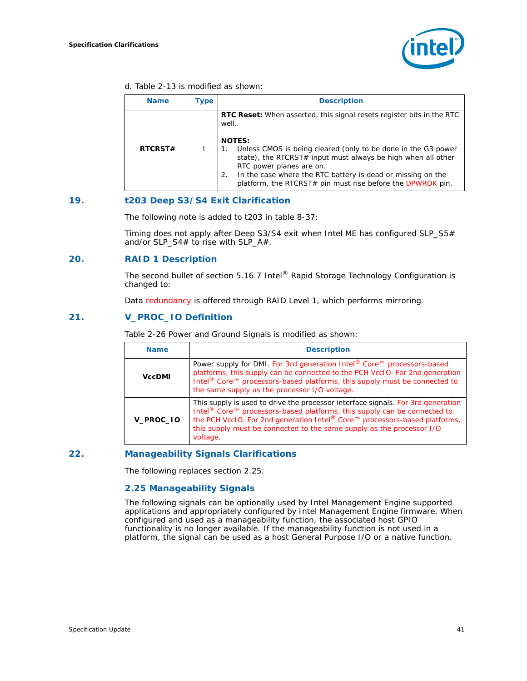

|  |  |  |  |  | d. Table 2-13 is modified as shown: |  |  |
|--|--|--|--|--|-------------------------------------|--|--|
|--|--|--|--|--|-------------------------------------|--|--|

| <b>Name</b> | Type | <b>Description</b>                                                                                                                                                                                                                                                                                                                                                                              |
|-------------|------|-------------------------------------------------------------------------------------------------------------------------------------------------------------------------------------------------------------------------------------------------------------------------------------------------------------------------------------------------------------------------------------------------|
| RTCRST#     |      | RTC Reset: When asserted, this signal resets register bits in the RTC<br>well.<br><b>NOTES:</b><br>Unless CMOS is being cleared (only to be done in the G3 power<br>state), the RTCRST# input must always be high when all other<br>RTC power planes are on.<br>In the case where the RTC battery is dead or missing on the<br>2.<br>platform, the RTCRST# pin must rise before the DPWROK pin. |

# **19. t203 Deep S3/S4 Exit Clarification**

The following note is added to t203 in table 8-37:

Timing does not apply after Deep S3/S4 exit when Intel ME has configured SLP\_S5# and/or SLP\_S4# to rise with SLP\_A#.

# **20. RAID 1 Description**

The second bullet of section 5.16.7 Intel $^{\circledR}$  Rapid Storage Technology Configuration is changed to:

Data redundancy is offered through RAID Level 1, which performs mirroring.

# **21. V\_PROC\_IO Definition**

Table 2-26 Power and Ground Signals is modified as shown:

| <b>Name</b> | <b>Description</b>                                                                                                                                                                                                                                                                                                                                      |
|-------------|---------------------------------------------------------------------------------------------------------------------------------------------------------------------------------------------------------------------------------------------------------------------------------------------------------------------------------------------------------|
| VccDMI      | Power supply for DMI. For 3rd generation Intel <sup>®</sup> Core™ processors-based<br>platforms, this supply can be connected to the PCH VccIO. For 2nd generation<br>Intel <sup>®</sup> Core™ processors-based platforms, this supply must be connected to<br>the same supply as the processor I/O voltage.                                            |
| V PROC 10   | This supply is used to drive the processor interface signals. For 3rd generation<br>Intel <sup>®</sup> Core <sup>™</sup> processors-based platforms, this supply can be connected to<br>the PCH VccIO. For 2nd generation Intel® Core™ processors-based platforms,<br>this supply must be connected to the same supply as the processor I/O<br>voltage. |

# **22. Manageability Signals Clarifications**

The following replaces section 2.25:

# **2.25 Manageability Signals**

The following signals can be optionally used by Intel Management Engine supported applications and appropriately configured by Intel Management Engine firmware. When configured and used as a manageability function, the associated host GPIO functionality is no longer available. If the manageability function is not used in a platform, the signal can be used as a host General Purpose I/O or a native function.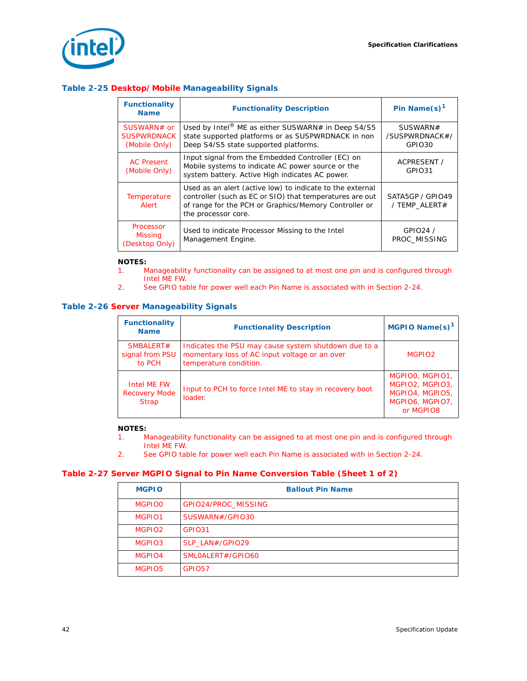

# **Table 2-25 Desktop/Mobile Manageability Signals**

| <b>Functionality</b><br><b>Name</b>                | <b>Functionality Description</b>                                                                                                                                                                      | Pin Name $(s)$ <sup>1</sup>          |
|----------------------------------------------------|-------------------------------------------------------------------------------------------------------------------------------------------------------------------------------------------------------|--------------------------------------|
| SUSWARN# or<br><b>SUSPWRDNACK</b><br>(Mobile Only) | Used by Intel <sup>®</sup> ME as either SUSWARN# in Deep S4/S5<br>state supported platforms or as SUSPWRDNACK in non<br>Deep S4/S5 state supported platforms.                                         | SUSWARN#<br>/SUSPWRDNACK#/<br>GPIO30 |
| <b>AC Present</b><br>(Mobile Only)                 | Input signal from the Embedded Controller (EC) on<br>Mobile systems to indicate AC power source or the<br>system battery. Active High indicates AC power.                                             | ACPRESENT /<br>GPIO31                |
| Temperature<br>Alert                               | Used as an alert (active low) to indicate to the external<br>controller (such as EC or SIO) that temperatures are out<br>of range for the PCH or Graphics/Memory Controller or<br>the processor core. | SATA5GP / GPIO49<br>/ TEMP ALERT#    |
| Processor<br><b>Missing</b><br>(Desktop Only)      | Used to indicate Processor Missing to the Intel<br>Management Engine.                                                                                                                                 | GPIO24 /<br>PROC MISSING             |

## **NOTES:**

- 1. Manageability functionality can be assigned to at most one pin and is configured through Intel ME FW.
- 2. See GPIO table for power well each Pin Name is associated with in Section 2-24.

# **Table 2-26 Server Manageability Signals**

| <b>Functionality</b><br><b>Name</b>                 | <b>Functionality Description</b>                                                                                                | MGPIO Name $(s)^1$                                                                    |
|-----------------------------------------------------|---------------------------------------------------------------------------------------------------------------------------------|---------------------------------------------------------------------------------------|
| SMBALERT#<br>signal from PSU<br>to PCH              | Indicates the PSU may cause system shutdown due to a<br>momentary loss of AC input voltage or an over<br>temperature condition. | MGPIO <sub>2</sub>                                                                    |
| Intel ME FW<br><b>Recovery Mode</b><br><b>Strap</b> | Input to PCH to force Intel ME to stay in recovery boot<br>loader.                                                              | MGPIO0, MGPIO1,<br>MGPIO2, MGPIO3,<br>MGPIO4, MGPIO5,<br>MGPIO6, MGPIO7,<br>or MGPIO8 |

# **NOTES:**

- 1. Manageability functionality can be assigned to at most one pin and is configured through Intel ME FW.
- 2. See GPIO table for power well each Pin Name is associated with in Section 2-24.

# **Table 2-27 Server MGPIO Signal to Pin Name Conversion Table (Sheet 1 of 2)**

| <b>MGPIO</b>       | <b>Ballout Pin Name</b> |
|--------------------|-------------------------|
| <b>MGPIOO</b>      | GPIO24/PROC MISSING     |
| MGPIO1             | SUSWARN#/GPIO30         |
| MGPIO <sub>2</sub> | GPIO31                  |
| MGPIO3             | SLP LAN#/GPIO29         |
| MGPIO4             | SMLOALERT#/GPIO60       |
| MGPIO5             | GPIO57                  |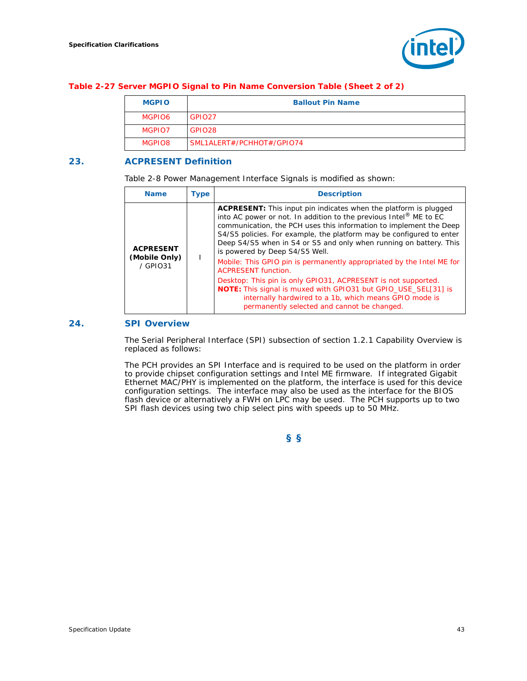

# **Table 2-27 Server MGPIO Signal to Pin Name Conversion Table (Sheet 2 of 2)**

| <b>MGPIO</b> | <b>Ballout Pin Name</b>   |
|--------------|---------------------------|
| MGPIO6       | GPIO <sub>27</sub>        |
| MGPIO7       | GPIO <sub>28</sub>        |
| MGPIO8       | SML1ALERT#/PCHHOT#/GPIO74 |

# **23. ACPRESENT Definition**

Table 2-8 Power Management Interface Signals is modified as shown:

| <b>Name</b>                                   | <b>Type</b> | <b>Description</b>                                                                                                                                                                                                                                                                                                                                                                                                                                                                                                                                                                                                                                                                                                                                                       |  |
|-----------------------------------------------|-------------|--------------------------------------------------------------------------------------------------------------------------------------------------------------------------------------------------------------------------------------------------------------------------------------------------------------------------------------------------------------------------------------------------------------------------------------------------------------------------------------------------------------------------------------------------------------------------------------------------------------------------------------------------------------------------------------------------------------------------------------------------------------------------|--|
| <b>ACPRESENT</b><br>(Mobile Only)<br>/ GPIO31 |             | <b>ACPRESENT:</b> This input pin indicates when the platform is plugged<br>into AC power or not. In addition to the previous Intel <sup>®</sup> ME to EC<br>communication, the PCH uses this information to implement the Deep<br>S4/S5 policies. For example, the platform may be configured to enter<br>Deep S4/S5 when in S4 or S5 and only when running on battery. This<br>is powered by Deep S4/S5 Well.<br>Mobile: This GPIO pin is permanently appropriated by the Intel ME for<br><b>ACPRESENT function.</b><br>Desktop: This pin is only GPIO31, ACPRESENT is not supported.<br><b>NOTE:</b> This signal is muxed with GPIO31 but GPIO USE SEL[31] is<br>internally hardwired to a 1b, which means GPIO mode is<br>permanently selected and cannot be changed. |  |

# **24. SPI Overview**

The Serial Peripheral Interface (SPI) subsection of section 1.2.1 Capability Overview is replaced as follows:

The PCH provides an SPI Interface and is required to be used on the platform in order to provide chipset configuration settings and Intel ME firmware. If integrated Gigabit Ethernet MAC/PHY is implemented on the platform, the interface is used for this device configuration settings. The interface may also be used as the interface for the BIOS flash device or alternatively a FWH on LPC may be used. The PCH supports up to two SPI flash devices using two chip select pins with speeds up to 50 MHz.

**§ §**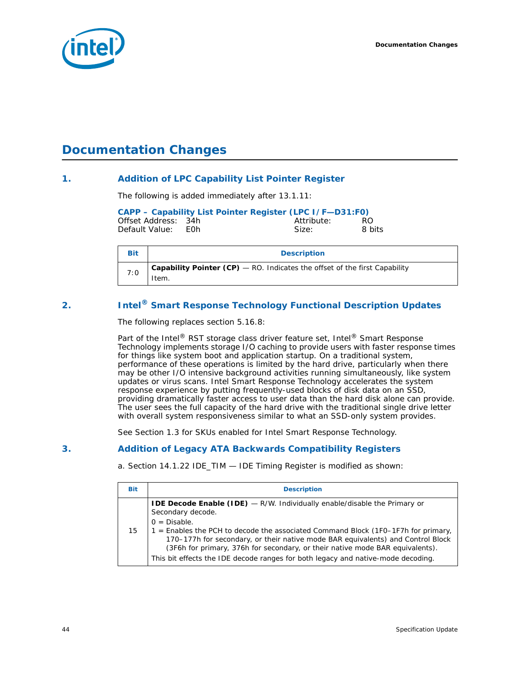

# **Documentation Changes**

# **1. Addition of LPC Capability List Pointer Register**

The following is added immediately after 13.1.11:

**CAPP – Capability List Pointer Register (LPC I/F—D31:F0)** Offset Address: 34h Attribute: RO Default Value: E0h Size: 8 bits

| Bit | <b>Description</b>                                                                         |
|-----|--------------------------------------------------------------------------------------------|
| 7:0 | <b>Capability Pointer (CP)</b> - RO. Indicates the offset of the first Capability<br>Item. |

# **2. Intel® Smart Response Technology Functional Description Updates**

The following replaces section 5.16.8:

Part of the Intel<sup>®</sup> RST storage class driver feature set, Intel<sup>®</sup> Smart Response Technology implements storage I/O caching to provide users with faster response times for things like system boot and application startup. On a traditional system, performance of these operations is limited by the hard drive, particularly when there may be other I/O intensive background activities running simultaneously, like system updates or virus scans. Intel Smart Response Technology accelerates the system response experience by putting frequently-used blocks of disk data on an SSD, providing dramatically faster access to user data than the hard disk alone can provide. The user sees the full capacity of the hard drive with the traditional single drive letter with overall system responsiveness similar to what an SSD-only system provides.

See Section 1.3 for SKUs enabled for Intel Smart Response Technology.

# **3. Addition of Legacy ATA Backwards Compatibility Registers**

a. Section 14.1.22 IDE\_TIM — IDE Timing Register is modified as shown:

| <b>Bit</b> | <b>Description</b>                                                                                                                                                                                                                                                                                                                                                                                                                                                       |
|------------|--------------------------------------------------------------------------------------------------------------------------------------------------------------------------------------------------------------------------------------------------------------------------------------------------------------------------------------------------------------------------------------------------------------------------------------------------------------------------|
| 15         | <b>IDE Decode Enable (IDE)</b> $-$ R/W. Individually enable/disable the Primary or<br>Secondary decode.<br>$0 = Disable.$<br>$1 =$ Enables the PCH to decode the associated Command Block (1F0-1F7h for primary,<br>170–177h for secondary, or their native mode BAR equivalents) and Control Block<br>(3F6h for primary, 376h for secondary, or their native mode BAR equivalents).<br>This bit effects the IDE decode ranges for both legacy and native-mode decoding. |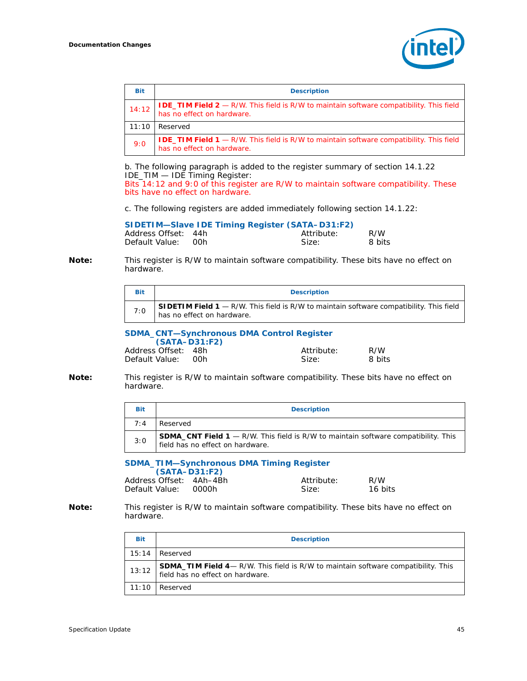

| <b>Bit</b> | <b>Description</b>                                                                                                           |
|------------|------------------------------------------------------------------------------------------------------------------------------|
| 14:12      | <b>IDE_TIM Field 2</b> - R/W. This field is R/W to maintain software compatibility. This field<br>has no effect on hardware. |
| 11:10      | Reserved                                                                                                                     |
| 9:0        | <b>IDE_TIM Field 1</b> - R/W. This field is R/W to maintain software compatibility. This field<br>has no effect on hardware. |

b. The following paragraph is added to the register summary of section 14.1.22 IDE\_TIM — IDE Timing Register: Bits 14:12 and 9:0 of this register are R/W to maintain software compatibility. These

bits have no effect on hardware.

c. The following registers are added immediately following section 14.1.22:

|                     |     | SIDETIM-Slave IDE Timing Register (SATA-D31:F2) |        |
|---------------------|-----|-------------------------------------------------|--------|
| Address Offset: 44h |     | Attribute:                                      | R/W    |
| Default Value:      | 00h | Size:                                           | 8 bits |

### *Note:* This register is R/W to maintain software compatibility. These bits have no effect on hardware.

| Bit | <b>Description</b>                                                                                                           |
|-----|------------------------------------------------------------------------------------------------------------------------------|
| 7:0 | <b>SIDETIM Field 1</b> - R/W. This field is R/W to maintain software compatibility. This field<br>has no effect on hardware. |

# **SDMA\_CNT—Synchronous DMA Control Register**

|                     | $(SATA-D31:F2)$ |            |        |
|---------------------|-----------------|------------|--------|
| Address Offset: 48h |                 | Attribute: | R/W    |
| Default Value:      | 00h             | Size:      | 8 bits |

### **Note:** This register is R/W to maintain software compatibility. These bits have no effect on hardware.

| <b>Bit</b> | <b>Description</b>                                                                                                            |
|------------|-------------------------------------------------------------------------------------------------------------------------------|
| 7:4        | Reserved                                                                                                                      |
| 3:0        | <b>SDMA_CNT Field 1</b> - R/W. This field is R/W to maintain software compatibility. This<br>field has no effect on hardware. |

# **SDMA\_TIM—Synchronous DMA Timing Register**

|                         | $(SATA-D31:F2)$ |            |         |
|-------------------------|-----------------|------------|---------|
| Address Offset: 4Ah-4Bh |                 | Attribute: | R/W     |
| Default Value:          | 0000h           | Size:      | 16 bits |

```
Note: This register is R/W to maintain software compatibility. These bits have no effect on 
             hardware.
```

| <b>Bit</b> | <b>Description</b>                                                                                                            |
|------------|-------------------------------------------------------------------------------------------------------------------------------|
| 15:14      | Reserved                                                                                                                      |
| 13:12      | <b>SDMA_TIM Field 4</b> — R/W. This field is R/W to maintain software compatibility. This<br>field has no effect on hardware. |
| 11:10      | Reserved                                                                                                                      |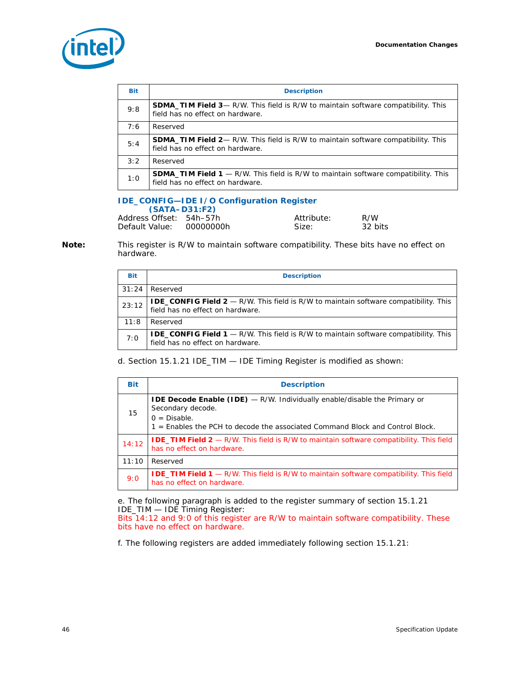

| <b>Bit</b> | <b>Description</b>                                                                                                                 |
|------------|------------------------------------------------------------------------------------------------------------------------------------|
| 9:8        | <b>SDMA_TIM Field 3</b> — R/W. This field is R/W to maintain software compatibility. This<br>field has no effect on hardware.      |
| 7:6        | Reserved                                                                                                                           |
| 5:4        | <b>SDMA_TIM Field 2—</b> R/W. This field is R/W to maintain software compatibility. This<br>field has no effect on hardware.       |
| 3:2        | Reserved                                                                                                                           |
| 1:0        | <b>SDMA_TIM Field 1</b> - $R/W$ . This field is $R/W$ to maintain software compatibility. This<br>field has no effect on hardware. |

# **IDE\_CONFIG—IDE I/O Configuration Register (SATA–D31:F2)**

Address Offset: 54h–57h Attribute: R/W Default Value: 00000000h Size:

*Note:* This register is R/W to maintain software compatibility. These bits have no effect on hardware.

| <b>Bit</b> | <b>Description</b>                                                                                                                |
|------------|-----------------------------------------------------------------------------------------------------------------------------------|
| 31:24      | Reserved                                                                                                                          |
| 23:12      | <b>IDE_CONFIG Field 2</b> $-$ R/W. This field is R/W to maintain software compatibility. This<br>field has no effect on hardware. |
| 11:8       | Reserved                                                                                                                          |
| 7:0        | <b>IDE_CONFIG Field 1</b> $-$ R/W. This field is R/W to maintain software compatibility. This<br>field has no effect on hardware. |

d. Section 15.1.21 IDE\_TIM — IDE Timing Register is modified as shown:

| <b>Bit</b> | <b>Description</b>                                                                                                                                                                                       |  |  |
|------------|----------------------------------------------------------------------------------------------------------------------------------------------------------------------------------------------------------|--|--|
| 15         | <b>IDE Decode Enable (IDE)</b> - R/W. Individually enable/disable the Primary or<br>Secondary decode.<br>$0 = Disable.$<br>1 = Enables the PCH to decode the associated Command Block and Control Block. |  |  |
| 14:12      | <b>IDE_TIM Field 2</b> $-$ R/W. This field is R/W to maintain software compatibility. This field<br>has no effect on hardware.                                                                           |  |  |
| 11:10      | Reserved                                                                                                                                                                                                 |  |  |
| 9:0        | <b>IDE_TIM Field 1</b> — R/W. This field is R/W to maintain software compatibility. This field<br>has no effect on hardware.                                                                             |  |  |

e. The following paragraph is added to the register summary of section 15.1.21 IDE\_TIM — IDE Timing Register: Bits 14:12 and 9:0 of this register are R/W to maintain software compatibility. These bits have no effect on hardware.

f. The following registers are added immediately following section 15.1.21: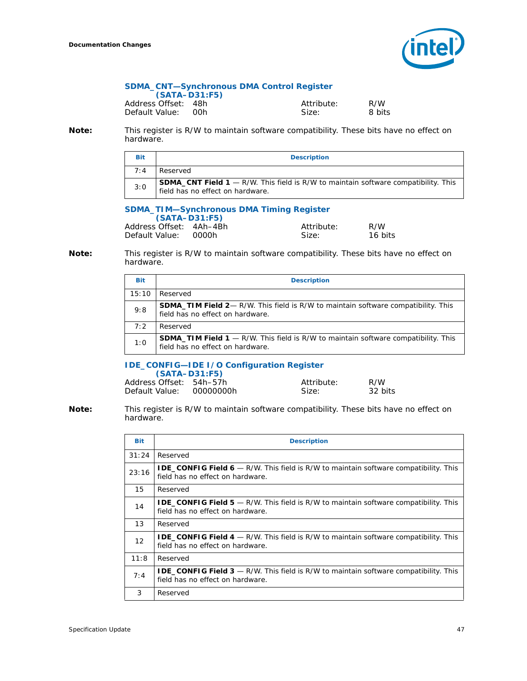

## **SDMA\_CNT—Synchronous DMA Control Register**

|                     | $(SATA-D31:F5)$ |            |        |
|---------------------|-----------------|------------|--------|
| Address Offset: 48h |                 | Attribute: | R/W    |
| Default Value:      | 00h             | Size:      | 8 bits |

*Note:* This register is R/W to maintain software compatibility. These bits have no effect on hardware.

| <b>Bit</b> | <b>Description</b>                                                                                                            |  |
|------------|-------------------------------------------------------------------------------------------------------------------------------|--|
| 7:4        | Reserved                                                                                                                      |  |
| 3:0        | <b>SDMA_CNT Field 1</b> - R/W. This field is R/W to maintain software compatibility. This<br>field has no effect on hardware. |  |

# **SDMA\_TIM—Synchronous DMA Timing Register (SATA–D31:F5)**

| Address Offset: 4Ah-4Bh | Attribute: | R/W     |
|-------------------------|------------|---------|
| Default Value: 0000h    | Size:      | 16 bits |

**Note:** This register is R/W to maintain software compatibility. These bits have no effect on hardware.

| <b>Bit</b> | <b>Description</b>                                                                                                                 |
|------------|------------------------------------------------------------------------------------------------------------------------------------|
| 15:10      | Reserved                                                                                                                           |
| 9:8        | <b>SDMA_TIM Field 2</b> — R/W. This field is R/W to maintain software compatibility. This<br>field has no effect on hardware.      |
| 7:2        | Reserved                                                                                                                           |
| 1:0        | <b>SDMA_TIM Field 1</b> - $R/W$ . This field is $R/W$ to maintain software compatibility. This<br>field has no effect on hardware. |

# **IDE\_CONFIG—IDE I/O Configuration Register**

|                         | $(SATA-D31:F5)$ |            |         |
|-------------------------|-----------------|------------|---------|
| Address Offset: 54h–57h |                 | Attribute: | R/W     |
| Default Value:          | 00000000h       | Size:      | 32 bits |

*Note:* This register is R/W to maintain software compatibility. These bits have no effect on hardware.

| <b>Bit</b> | <b>Description</b>                                                                                                                |
|------------|-----------------------------------------------------------------------------------------------------------------------------------|
| 31:24      | Reserved                                                                                                                          |
| 23:16      | <b>IDE_CONFIG Field 6</b> — R/W. This field is R/W to maintain software compatibility. This<br>field has no effect on hardware.   |
| 15         | Reserved                                                                                                                          |
| 14         | <b>IDE_CONFIG Field 5</b> $-$ R/W. This field is R/W to maintain software compatibility. This<br>field has no effect on hardware. |
| 13         | Reserved                                                                                                                          |
| 12         | <b>IDE_CONFIG Field 4</b> $-$ R/W. This field is R/W to maintain software compatibility. This<br>field has no effect on hardware. |
| 11:8       | Reserved                                                                                                                          |
| 7:4        | <b>IDE_CONFIG Field 3</b> $-$ R/W. This field is R/W to maintain software compatibility. This<br>field has no effect on hardware. |
| 3          | Reserved                                                                                                                          |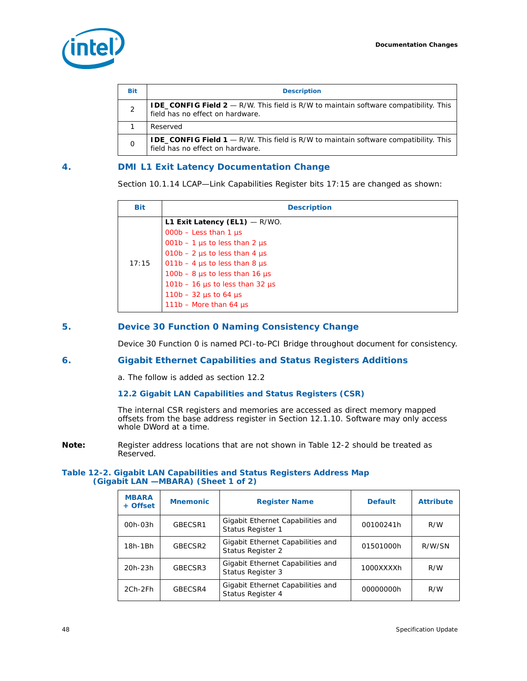

| <b>Bit</b> | <b>Description</b>                                                                                                              |
|------------|---------------------------------------------------------------------------------------------------------------------------------|
| 2          | <b>IDE_CONFIG Field 2</b> - R/W. This field is R/W to maintain software compatibility. This<br>field has no effect on hardware. |
|            | Reserved                                                                                                                        |
| 0          | <b>IDE_CONFIG Field 1</b> - R/W. This field is R/W to maintain software compatibility. This<br>field has no effect on hardware. |

# **4. DMI L1 Exit Latency Documentation Change**

Section 10.1.14 LCAP—Link Capabilities Register bits 17:15 are changed as shown:

| <b>Bit</b> | <b>Description</b>                        |  |  |
|------------|-------------------------------------------|--|--|
|            | L1 Exit Latency $(EL1) - R/WO$ .          |  |  |
|            | $000b - Less than 1 \mu s$                |  |  |
|            | $001b - 1$ µs to less than 2 µs           |  |  |
|            | $010b - 2 \mu s$ to less than 4 $\mu s$   |  |  |
| 17:15      | $011b - 4 \mu s$ to less than 8 $\mu s$   |  |  |
|            | 100b – 8 $\mu$ s to less than 16 $\mu$ s  |  |  |
|            | 101b – 16 $\mu$ s to less than 32 $\mu$ s |  |  |
|            | 110b – 32 $\mu$ s to 64 $\mu$ s           |  |  |
|            | 111b – More than 64 $\mu$ s               |  |  |

# **5. Device 30 Function 0 Naming Consistency Change**

Device 30 Function 0 is named PCI-to-PCI Bridge throughout document for consistency.

# **6. Gigabit Ethernet Capabilities and Status Registers Additions**

a. The follow is added as section 12.2

# **12.2 Gigabit LAN Capabilities and Status Registers (CSR)**

The internal CSR registers and memories are accessed as direct memory mapped offsets from the base address register in Section 12.1.10. Software may only access whole DWord at a time.

*Note:* Register address locations that are not shown in Table 12-2 should be treated as Reserved.

### **Table 12-2. Gigabit LAN Capabilities and Status Registers Address Map (Gigabit LAN —MBARA) (Sheet 1 of 2)**

| <b>MBARA</b><br>+ Offset | <b>Mnemonic</b> | <b>Register Name</b>                                          | <b>Default</b> | <b>Attribute</b> |
|--------------------------|-----------------|---------------------------------------------------------------|----------------|------------------|
| $00h-03h$                | GBECSR1         | Gigabit Ethernet Capabilities and<br>Status Register 1        | 00100241h      | R/W              |
| 18h-1Bh                  | GBECSR2         | Gigabit Ethernet Capabilities and<br><b>Status Register 2</b> | 01501000h      | R/W/SN           |
| $20h-23h$                | GBECSR3         | Gigabit Ethernet Capabilities and<br><b>Status Register 3</b> | 1000XXXXh      | R/W              |
| 2Ch-2Fh                  | GBECSR4         | Gigabit Ethernet Capabilities and<br>Status Register 4        | 00000000h      | R/W              |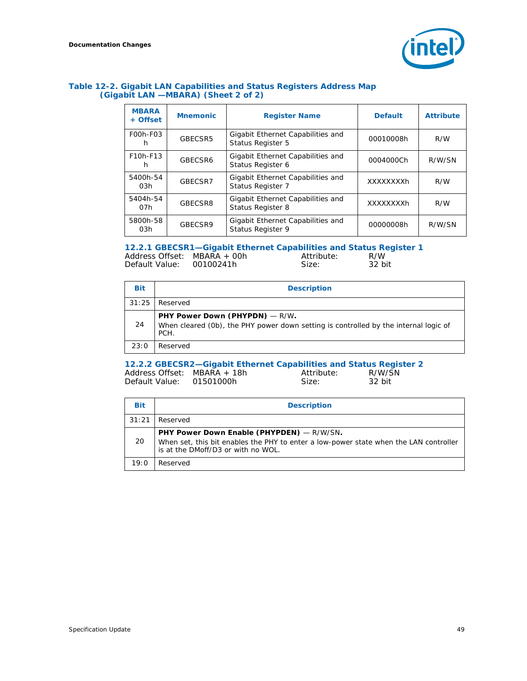

# **Table 12-2. Gigabit LAN Capabilities and Status Registers Address Map (Gigabit LAN —MBARA) (Sheet 2 of 2)**

| <b>MBARA</b><br>+ Offset | <b>Mnemonic</b> | <b>Register Name</b>                                          | <b>Default</b> | <b>Attribute</b> |
|--------------------------|-----------------|---------------------------------------------------------------|----------------|------------------|
| F00h-F03<br>h            | GBECSR5         | Gigabit Ethernet Capabilities and<br><b>Status Register 5</b> | 00010008h      | R/W              |
| F10h-F13<br>h            | GBECSR6         | Gigabit Ethernet Capabilities and<br>Status Register 6        | 0004000Ch      | R/W/SN           |
| 5400h-54<br>03h          | GBECSR7         | Gigabit Ethernet Capabilities and<br>Status Register 7        | XXXXXXXXh      | R/W              |
| 5404h-54<br>07h          | GBECSR8         | Gigabit Ethernet Capabilities and<br>Status Register 8        | XXXXXXXXh      | R/W              |
| 5800h-58<br>03h          | GBECSR9         | Gigabit Ethernet Capabilities and<br>Status Register 9        | 00000008h      | R/W/SN           |

**12.2.1 GBECSR1—Gigabit Ethernet Capabilities and Status Register 1**

| Address Offset: MBARA + 00h |           | Attribute: | R/W    |
|-----------------------------|-----------|------------|--------|
| Default Value:              | 00100241h | Size:      | 32 bit |

| Attribute:<br>Size: |  |
|---------------------|--|
|                     |  |

| <b>Bit</b> | <b>Description</b>                                                                                                                |
|------------|-----------------------------------------------------------------------------------------------------------------------------------|
| 31:25      | Reserved                                                                                                                          |
| 24         | PHY Power Down (PHYPDN) $- R/W$ .<br>When cleared (0b), the PHY power down setting is controlled by the internal logic of<br>PCH. |
| 23:0       | Reserved                                                                                                                          |

|                             | 12.2.2 GBECSR2-Gigabit Ethernet Capabilities and Status Register 2 |            |          |
|-----------------------------|--------------------------------------------------------------------|------------|----------|
| Address Offset: MBARA + 18h |                                                                    | Attribute: | R/W/SN   |
| Default Value:              | 01501000h                                                          | Size:      | $32$ bit |

| Bit   | <b>Description</b>                                                                                                                                                       |
|-------|--------------------------------------------------------------------------------------------------------------------------------------------------------------------------|
| 31:21 | Reserved                                                                                                                                                                 |
| 20    | PHY Power Down Enable (PHYPDEN) - R/W/SN.<br>When set, this bit enables the PHY to enter a low-power state when the LAN controller<br>is at the DMoff/D3 or with no WOL. |
| 19:0  | Reserved                                                                                                                                                                 |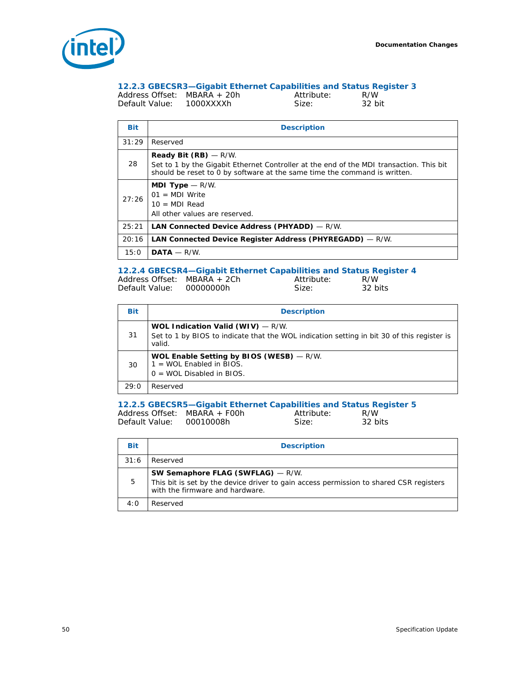

# **12.2.3 GBECSR3—Gigabit Ethernet Capabilities and Status Register 3**

| Address Offset: MBARA + 20h |           |  |
|-----------------------------|-----------|--|
| Default Value:              | 1000XXXXh |  |

Attribute: R/W<br>Size: 32 bit

| <b>Bit</b> | <b>Description</b>                                                                                                                                                                               |
|------------|--------------------------------------------------------------------------------------------------------------------------------------------------------------------------------------------------|
| 31:29      | Reserved                                                                                                                                                                                         |
| 28         | Ready Bit $(RB) - R/W$ .<br>Set to 1 by the Gigabit Ethernet Controller at the end of the MDI transaction. This bit<br>should be reset to 0 by software at the same time the command is written. |
| 27:26      | MDI Type $- R/W$ .<br>$01 = MDI Write$<br>$10 = MDI Read$<br>All other values are reserved.                                                                                                      |
| 25:21      | <b>LAN Connected Device Address (PHYADD)</b> — R/W.                                                                                                                                              |
| 20:16      | LAN Connected Device Register Address (PHYREGADD) - R/W.                                                                                                                                         |
| 15:0       | $\mathsf{DATA} = \mathsf{R}/\mathsf{W}$ .                                                                                                                                                        |

# **12.2.4 GBECSR4—Gigabit Ethernet Capabilities and Status Register 4**

Address Offset: MBARA + 2Ch Attribute: R/W Default Value: 00000000h Size: 32 bits

| <b>Bit</b> | <b>Description</b>                                                                                                                           |
|------------|----------------------------------------------------------------------------------------------------------------------------------------------|
| 31         | WOL Indication Valid (WIV) $- R/W$ .<br>Set to 1 by BIOS to indicate that the WOL indication setting in bit 30 of this register is<br>valid. |
| 30         | WOL Enable Setting by BIOS (WESB) - R/W.<br>$1 = WOL$ Enabled in BIOS.<br>$0 = WOL$ Disabled in BIOS.                                        |
| 29:0       | Reserved                                                                                                                                     |

# **12.2.5 GBECSR5—Gigabit Ethernet Capabilities and Status Register 5**

Address Offset: MBARA + F00h Attribute: R/W Default Value: 00010008h Size: 32 bits

| <b>Bit</b> | <b>Description</b>                                                                                                                                             |
|------------|----------------------------------------------------------------------------------------------------------------------------------------------------------------|
| 31:6       | Reserved                                                                                                                                                       |
| 5          | SW Semaphore FLAG (SWFLAG) - R/W.<br>This bit is set by the device driver to gain access permission to shared CSR registers<br>with the firmware and hardware. |
| 4:0        | Reserved                                                                                                                                                       |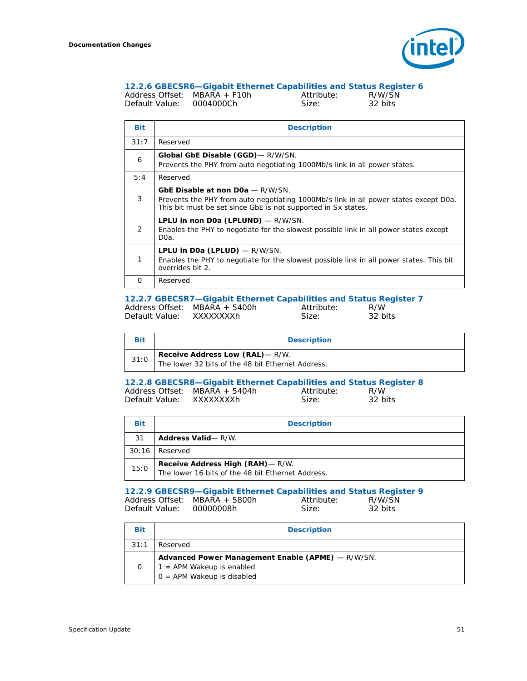

|                                | 12.2.6 GBECSR6-Gigabit Ethernet Capabilities and Status Register 6 |            |         |
|--------------------------------|--------------------------------------------------------------------|------------|---------|
| Address Offset: $MBARA + F10h$ |                                                                    | Attribute: | R/W/SN  |
| Default Value:                 | 0004000Ch                                                          | Size:      | 32 bits |

| <b>Bit</b> | <b>Description</b>                                                                                                                                                                        |
|------------|-------------------------------------------------------------------------------------------------------------------------------------------------------------------------------------------|
| 31:7       | Reserved                                                                                                                                                                                  |
| 6          | Global GbE Disable (GGD) - R/W/SN.<br>Prevents the PHY from auto negotiating 1000Mb/s link in all power states.                                                                           |
| 5:4        | Reserved                                                                                                                                                                                  |
| 3          | GbE Disable at non D0a - R/W/SN.<br>Prevents the PHY from auto negotiating 1000Mb/s link in all power states except D0a.<br>This bit must be set since GbE is not supported in Sx states. |
| 2          | <b>LPLU in non D0a (LPLUND)</b> $- R/W/SN$ .<br>Enables the PHY to negotiate for the slowest possible link in all power states except<br>D <sub>O</sub> a.                                |
| 1          | LPLU in D0a (LPLUD) $- R/W/SN$ .<br>Enables the PHY to negotiate for the slowest possible link in all power states. This bit<br>overrides bit 2.                                          |
| ∩          | Reserved                                                                                                                                                                                  |

# **12.2.7 GBECSR7—Gigabit Ethernet Capabilities and Status Register 7**

|                | TERM COLODING CIGARING INTO THE CAPARTHYPO GITS CHANG INCORPORATION |            |         |  |
|----------------|---------------------------------------------------------------------|------------|---------|--|
|                | Address Offset: MBARA + 5400h                                       | Attribute: | R/W     |  |
| Default Value: | XXXXXXXXh                                                           | Size:      | 32 bits |  |

| <b>Bit</b> | <b>Description</b>                                                                    |
|------------|---------------------------------------------------------------------------------------|
| 31:0       | Receive Address Low (RAL) - R/W.<br>The lower 32 bits of the 48 bit Ethernet Address. |
|            |                                                                                       |

### **12.2.8 GBECSR8—Gigabit Ethernet Capabilities and Status Register 8**

|                | Address Offset: MBARA + 5404h | Attribute: | R/W      |  |
|----------------|-------------------------------|------------|----------|--|
| Default Value: | XXXXXXXXh                     | Size:      | -32 bits |  |

| <b>Bit</b> | <b>Description</b>                                                                     |
|------------|----------------------------------------------------------------------------------------|
| 31         | <b>Address Valid</b> — R/W.                                                            |
| 30:16      | <b>Reserved</b>                                                                        |
| 15:0       | Receive Address High (RAH) - R/W.<br>The lower 16 bits of the 48 bit Ethernet Address. |

# **12.2.9 GBECSR9—Gigabit Ethernet Capabilities and Status Register 9**

|            | Address Offset: MBARA + 5800h<br>Attribute:<br>R/W/SN<br>32 bits<br>Default Value: 00000008h<br>Size: |
|------------|-------------------------------------------------------------------------------------------------------|
| <b>Bit</b> | <b>Description</b>                                                                                    |
| 31:1       | Reserved                                                                                              |
|            | Advanced Power Management Enable (APME) - R/W/SN.<br>ADM Woken is spoked                              |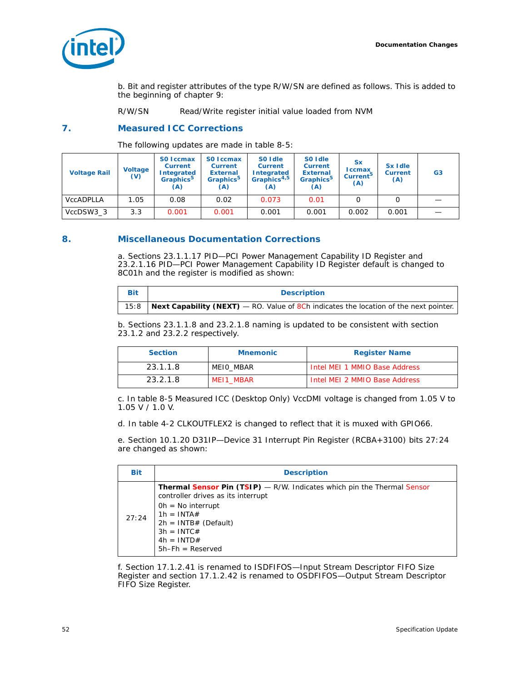

b. Bit and register attributes of the type R/W/SN are defined as follows. This is added to the beginning of chapter 9:

R/W/SN Read/Write register initial value loaded from NVM

# **7. Measured ICC Corrections**

The following updates are made in table 8-5:

| <b>Voltage Rail</b> | <b>Voltage</b><br>(V) | SO Iccmax<br><b>Current</b><br><b>Integrated</b><br>Graphics <sup>5</sup><br>(A) | SO Iccmax<br><b>Current</b><br><b>External</b><br>Graphics <sup>5</sup><br>(A) | SO Idle<br><b>Current</b><br><b>Integrated</b><br>Graphics <sup>4,5</sup><br>(A) | SO Idle<br><b>Current</b><br><b>External</b><br>Graphics <sup>5</sup><br>(A) | <b>Sx</b><br><b>I</b> ccmax<br>Current <sup>5</sup><br>(A) | Sx Idle<br><b>Current</b><br>(A) | G <sub>3</sub> |
|---------------------|-----------------------|----------------------------------------------------------------------------------|--------------------------------------------------------------------------------|----------------------------------------------------------------------------------|------------------------------------------------------------------------------|------------------------------------------------------------|----------------------------------|----------------|
| <b>VCCADPLLA</b>    | 1.05                  | 0.08                                                                             | 0.02                                                                           | 0.073                                                                            | 0.01                                                                         |                                                            |                                  |                |
| VccDSW3 3           | 3.3                   | 0.001                                                                            | 0.001                                                                          | 0.001                                                                            | 0.001                                                                        | 0.002                                                      | 0.001                            |                |

**8. Miscellaneous Documentation Corrections**

a. Sections 23.1.1.17 PID—PCI Power Management Capability ID Register and 23.2.1.16 PID—PCI Power Management Capability ID Register default is changed to 8C01h and the register is modified as shown:

| Bit  | <b>Description</b>                                                                           |
|------|----------------------------------------------------------------------------------------------|
| 15:8 | <b>Next Capability (NEXT)</b> — RO. Value of 8Ch indicates the location of the next pointer. |

b. Sections 23.1.1.8 and 23.2.1.8 naming is updated to be consistent with section 23.1.2 and 23.2.2 respectively.

| <b>Section</b> | <b>Mnemonic</b> | <b>Register Name</b>          |
|----------------|-----------------|-------------------------------|
| 23.1.1.8       | MEIO MBAR       | Intel MEI 1 MMIO Base Address |
| 23.2.1.8       | MEI1 MBAR       | Intel MEI 2 MMIO Base Address |

c. In table 8-5 Measured ICC (Desktop Only) VccDMI voltage is changed from 1.05 V to 1.05 V / 1.0 V.

d. In table 4-2 CLKOUTFLEX2 is changed to reflect that it is muxed with GPIO66.

e. Section 10.1.20 D31IP—Device 31 Interrupt Pin Register (RCBA+3100) bits 27:24 are changed as shown:

| <b>Bit</b> | <b>Description</b>                                                                                                                                                                                                                           |
|------------|----------------------------------------------------------------------------------------------------------------------------------------------------------------------------------------------------------------------------------------------|
| 27:24      | <b>Thermal Sensor Pin (TSIP)</b> - R/W. Indicates which pin the Thermal Sensor<br>controller drives as its interrupt<br>$Oh = No$ interrupt<br>$1h = INTA#$<br>$2h = INTB# (Default)$<br>$3h = INTC#$<br>$4h = INTD#$<br>$5h$ –Fh = Reserved |

f. Section 17.1.2.41 is renamed to ISDFIFOS—Input Stream Descriptor FIFO Size Register and section 17.1.2.42 is renamed to OSDFIFOS—Output Stream Descriptor FIFO Size Register.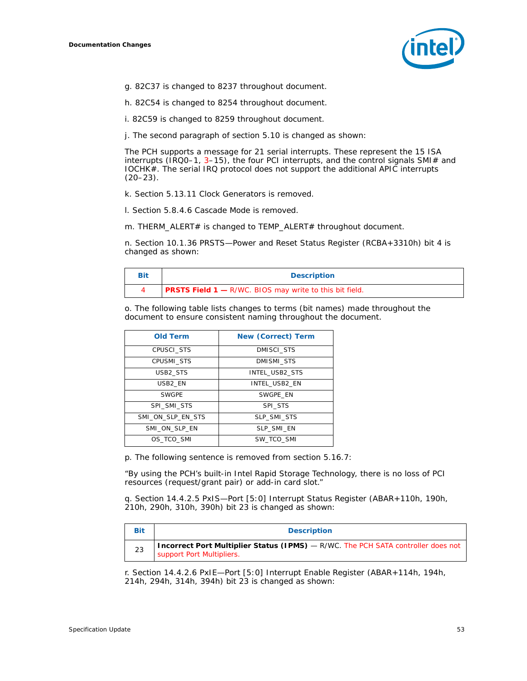

- g. 82C37 is changed to 8237 throughout document.
- h. 82C54 is changed to 8254 throughout document.
- i. 82C59 is changed to 8259 throughout document.
- j. The second paragraph of section 5.10 is changed as shown:

The PCH supports a message for 21 serial interrupts. These represent the 15 ISA interrupts (IRQ0–1, 3–15), the four PCI interrupts, and the control signals SMI# and IOCHK#. The serial IRQ protocol does not support the additional APIC interrupts  $(20-23)$ .

k. Section 5.13.11 Clock Generators is removed.

l. Section 5.8.4.6 Cascade Mode is removed.

m. THERM\_ALERT# is changed to TEMP\_ALERT# throughout document.

n. Section 10.1.36 PRSTS—Power and Reset Status Register (RCBA+3310h) bit 4 is changed as shown:

| Bit | <b>Description</b>                                             |
|-----|----------------------------------------------------------------|
|     | <b>PRSTS Field 1</b> - R/WC. BIOS may write to this bit field. |

o. The following table lists changes to terms (bit names) made throughout the document to ensure consistent naming throughout the document.

| <b>Old Term</b>   | <b>New (Correct) Term</b> |
|-------------------|---------------------------|
| CPUSCI STS        | DMISCI STS                |
| CPUSMI STS        | <b>DMISMI STS</b>         |
| USB2 STS          | INTEL USB2 STS            |
| USB2 EN           | INTEL USB2 EN             |
| <b>SWGPE</b>      | SWGPE EN                  |
| SPI SMI STS       | SPI STS                   |
| SMI ON SLP EN STS | SLP SMI STS               |
| SMI ON SLP EN     | SLP SMI EN                |
| OS TCO SMI        | SW TCO SMI                |

p. The following sentence is removed from section 5.16.7:

"By using the PCH's built-in Intel Rapid Storage Technology, there is no loss of PCI resources (request/grant pair) or add-in card slot."

q. Section 14.4.2.5 PxIS—Port [5:0] Interrupt Status Register (ABAR+110h, 190h, 210h, 290h, 310h, 390h) bit 23 is changed as shown:

| Bit | <b>Description</b>                                                                                            |
|-----|---------------------------------------------------------------------------------------------------------------|
| 23  | Incorrect Port Multiplier Status (IPMS) - R/WC. The PCH SATA controller does not<br>support Port Multipliers. |

r. Section 14.4.2.6 PxIE—Port [5:0] Interrupt Enable Register (ABAR+114h, 194h, 214h, 294h, 314h, 394h) bit 23 is changed as shown: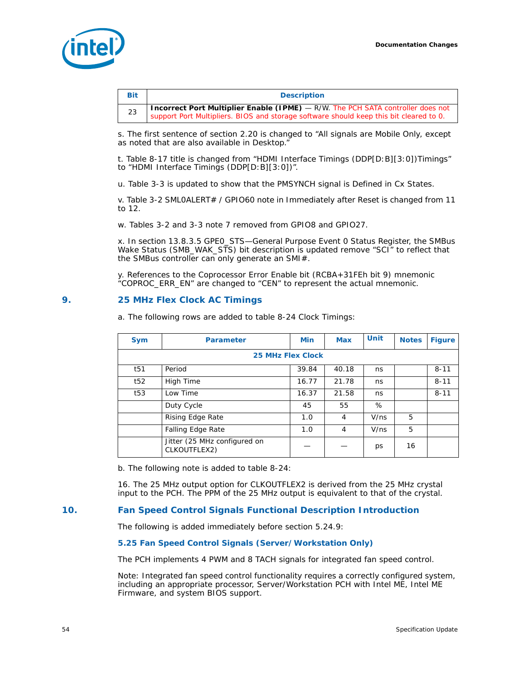

| <b>Bit</b> | <b>Description</b>                                                                                                                                                            |
|------------|-------------------------------------------------------------------------------------------------------------------------------------------------------------------------------|
| 23         | <b>Incorrect Port Multiplier Enable (IPME)</b> - R/W. The PCH SATA controller does not support Port Multipliers. BIOS and storage software should keep this bit cleared to 0. |

s. The first sentence of section 2.20 is changed to "All signals are Mobile Only, except as noted that are also available in Desktop."

t. Table 8-17 title is changed from "HDMI Interface Timings (DDP[D:B][3:0])Timings" to "HDMI Interface Timings (DDP[D:B][3:0])".

u. Table 3-3 is updated to show that the PMSYNCH signal is Defined in Cx States.

v. Table 3-2 SML0ALERT# / GPIO60 note in Immediately after Reset is changed from 11 to 12.

w. Tables 3-2 and 3-3 note 7 removed from GPIO8 and GPIO27.

x. In section 13.8.3.5 GPE0\_STS—General Purpose Event 0 Status Register, the SMBus Wake Status (SMB\_WAK\_STS) bit description is updated remove "SCI" to reflect that the SMBus controller can only generate an SMI#.

y. References to the Coprocessor Error Enable bit (RCBA+31FEh bit 9) mnemonic "COPROC\_ERR\_EN" are changed to "CEN" to represent the actual mnemonic.

# **9. 25 MHz Flex Clock AC Timings**

a. The following rows are added to table 8-24 Clock Timings:

| <b>Sym</b> | <b>Parameter</b>                             | <b>Min</b> | <b>Max</b> | <b>Unit</b> | <b>Notes</b> | <b>Figure</b> |
|------------|----------------------------------------------|------------|------------|-------------|--------------|---------------|
|            | <b>25 MHz Flex Clock</b>                     |            |            |             |              |               |
| t51        | Period                                       | 39.84      | 40.18      | ns          |              | $8 - 11$      |
| t52        | High Time                                    | 16.77      | 21.78      | ns          |              | $8 - 11$      |
| t53        | Low Time                                     | 16.37      | 21.58      | ns          |              | $8 - 11$      |
|            | Duty Cycle                                   | 45         | 55         | %           |              |               |
|            | Rising Edge Rate                             | 1.0        | 4          | V/ns        | 5            |               |
|            | <b>Falling Edge Rate</b>                     | 1.0        | 4          | V/ns        | 5            |               |
|            | Jitter (25 MHz configured on<br>CLKOUTFLEX2) |            |            | ps          | 16           |               |

b. The following note is added to table 8-24:

16. The 25 MHz output option for CLKOUTFLEX2 is derived from the 25 MHz crystal input to the PCH. The PPM of the 25 MHz output is equivalent to that of the crystal.

# **10. Fan Speed Control Signals Functional Description Introduction**

The following is added immediately before section 5.24.9:

# **5.25 Fan Speed Control Signals (Server/Workstation Only)**

The PCH implements 4 PWM and 8 TACH signals for integrated fan speed control.

Note: Integrated fan speed control functionality requires a correctly configured system, including an appropriate processor, Server/Workstation PCH with Intel ME, Intel ME Firmware, and system BIOS support.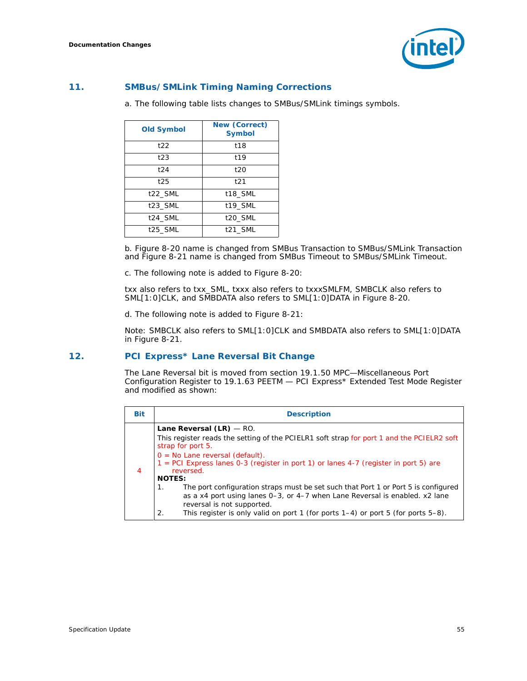

# **11. SMBus/SMLink Timing Naming Corrections**

a. The following table lists changes to SMBus/SMLink timings symbols.

| <b>Old Symbol</b> | <b>New (Correct)</b><br><b>Symbol</b> |
|-------------------|---------------------------------------|
| t22               | t18                                   |
| t23               | †19                                   |
| †24               | t20                                   |
| t25               | t21                                   |
| t22 SML           | t <sub>18</sub> SML                   |
| t23 SML           | t <sub>19</sub> SML                   |
| t24 SML           | t20 SML                               |
| t25 SML           | t21 SML                               |

b. Figure 8-20 name is changed from SMBus Transaction to SMBus/SMLink Transaction and Figure 8-21 name is changed from SMBus Timeout to SMBus/SMLink Timeout.

c. The following note is added to Figure 8-20:

t*xx* also refers to t*xx*\_SML, t*xxx* also refers to t*xxx*SMLFM, SMBCLK also refers to SML[1:0]CLK, and SMBDATA also refers to SML[1:0]DATA in Figure 8-20.

d. The following note is added to Figure 8-21:

Note: SMBCLK also refers to SML[1:0]CLK and SMBDATA also refers to SML[1:0]DATA in Figure 8-21.

# **12. PCI Express\* Lane Reversal Bit Change**

The Lane Reversal bit is moved from section 19.1.50 MPC—Miscellaneous Port Configuration Register to 19.1.63 PEETM — PCI Express\* Extended Test Mode Register and modified as shown:

| <b>Bit</b>     | <b>Description</b>                                                                                                                                                                                                                                                                       |
|----------------|------------------------------------------------------------------------------------------------------------------------------------------------------------------------------------------------------------------------------------------------------------------------------------------|
| $\overline{4}$ | Lane Reversal $(LR)$ - RO.<br>This register reads the setting of the PCIELR1 soft strap for port 1 and the PCIELR2 soft<br>strap for port 5.<br>$0 = No$ Lane reversal (default).<br>$1 = PCI$ Express lanes 0-3 (register in port 1) or lanes 4-7 (register in port 5) are<br>reversed. |
|                | <b>NOTES:</b><br>The port configuration straps must be set such that Port 1 or Port 5 is configured<br>as a $x4$ port using lanes 0–3, or 4–7 when Lane Reversal is enabled. $x2$ lane<br>reversal is not supported.                                                                     |
|                | This register is only valid on port 1 (for ports $1-4$ ) or port 5 (for ports $5-8$ ).<br>2.                                                                                                                                                                                             |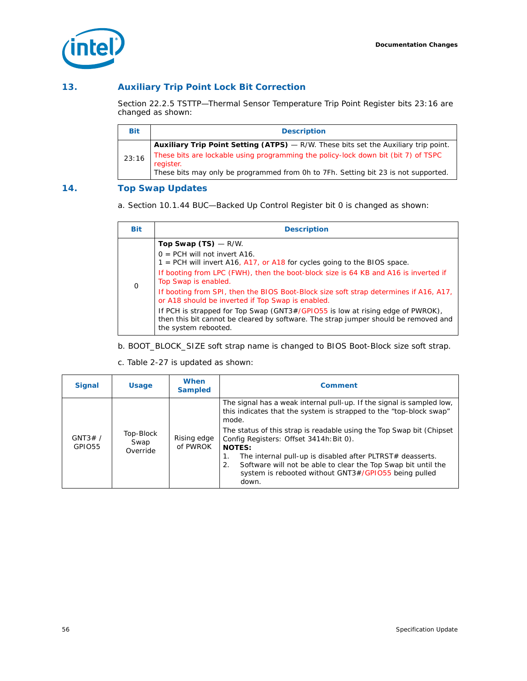

# **13. Auxiliary Trip Point Lock Bit Correction**

Section 22.2.5 TSTTP—Thermal Sensor Temperature Trip Point Register bits 23:16 are changed as shown:

| <b>Bit</b> | <b>Description</b>                                                                                                                                                                                                                                                           |  |  |
|------------|------------------------------------------------------------------------------------------------------------------------------------------------------------------------------------------------------------------------------------------------------------------------------|--|--|
| 23:16      | Auxiliary Trip Point Setting (ATPS) - R/W. These bits set the Auxiliary trip point.<br>These bits are lockable using programming the policy-lock down bit (bit 7) of TSPC<br>register.<br>These bits may only be programmed from 0h to 7Fh. Setting bit 23 is not supported. |  |  |

# **14. Top Swap Updates**

a. Section 10.1.44 BUC—Backed Up Control Register bit 0 is changed as shown:

| <b>Bit</b> | <b>Description</b>                                                                                                                                                                            |
|------------|-----------------------------------------------------------------------------------------------------------------------------------------------------------------------------------------------|
|            | Top Swap $(TS) - R/W$ .                                                                                                                                                                       |
|            | $0 = PCH$ will not invert A16.                                                                                                                                                                |
|            | $1 = PCH$ will invert A16, A17, or A18 for cycles going to the BIOS space.                                                                                                                    |
| $\Omega$   | If booting from LPC (FWH), then the boot-block size is 64 KB and A16 is inverted if                                                                                                           |
|            | Top Swap is enabled.                                                                                                                                                                          |
|            | If booting from SPI, then the BIOS Boot-Block size soft strap determines if A16, A17,<br>or A18 should be inverted if Top Swap is enabled.                                                    |
|            | If PCH is strapped for Top Swap (GNT3#/GPIO55 is low at rising edge of PWROK),<br>then this bit cannot be cleared by software. The strap jumper should be removed and<br>the system rebooted. |

b. BOOT\_BLOCK\_SIZE soft strap name is changed to BIOS Boot-Block size soft strap.

# c. Table 2-27 is updated as shown:

| <b>Signal</b>    | <b>Usage</b>                  | <b>When</b><br><b>Sampled</b> | Comment                                                                                                                                                                                                                                                                                                                                                                                                                                                                                        |
|------------------|-------------------------------|-------------------------------|------------------------------------------------------------------------------------------------------------------------------------------------------------------------------------------------------------------------------------------------------------------------------------------------------------------------------------------------------------------------------------------------------------------------------------------------------------------------------------------------|
| GNT3#/<br>GPIO55 | Top-Block<br>Swap<br>Override | Rising edge<br>of PWROK       | The signal has a weak internal pull-up. If the signal is sampled low,<br>this indicates that the system is strapped to the "top-block swap"<br>mode.<br>The status of this strap is readable using the Top Swap bit (Chipset)<br>Config Registers: Offset 3414h: Bit 0).<br><b>NOTES:</b><br>The internal pull-up is disabled after PLTRST# deasserts.<br>Software will not be able to clear the Top Swap bit until the<br>2.<br>system is rebooted without GNT3#/GPIO55 being pulled<br>down. |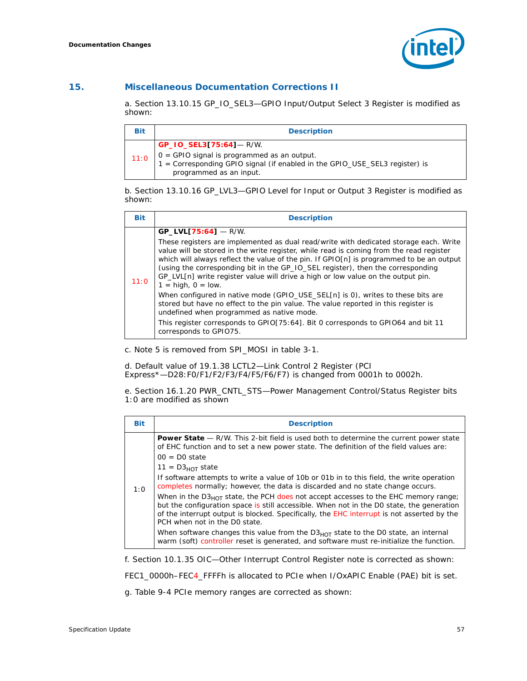

# **15. Miscellaneous Documentation Corrections II**

a. Section 13.10.15 GP\_IO\_SEL3—GPIO Input/Output Select 3 Register is modified as shown:

| <b>Bit</b> | <b>Description</b>                                                                                                                                                                                  |  |
|------------|-----------------------------------------------------------------------------------------------------------------------------------------------------------------------------------------------------|--|
| 11:0       | $GP_IO_SEL3[75:64] - R/W.$<br>$\vert$ 0 = GPIO signal is programmed as an output.<br>$\vert$ 1 = Corresponding GPIO signal (if enabled in the GPIO_USE_SEL3 register) is<br>programmed as an input. |  |

b. Section 13.10.16 GP\_LVL3—GPIO Level for Input or Output 3 Register is modified as shown:

| $GP_LVL[75:64] - R/W.$<br>These registers are implemented as dual read/write with dedicated storage each. Write<br>value will be stored in the write register, while read is coming from the read register<br>which will always reflect the value of the pin. If GPIO[n] is programmed to be an output<br>(using the corresponding bit in the GP_IO_SEL register), then the corresponding<br>GP_LVL[n] write register value will drive a high or low value on the output pin.<br>11:0<br>$1 = high, 0 = low.$ | <b>Bit</b> | <b>Description</b>                                                              |
|---------------------------------------------------------------------------------------------------------------------------------------------------------------------------------------------------------------------------------------------------------------------------------------------------------------------------------------------------------------------------------------------------------------------------------------------------------------------------------------------------------------|------------|---------------------------------------------------------------------------------|
| stored but have no effect to the pin value. The value reported in this register is<br>undefined when programmed as native mode.<br>This register corresponds to GPIO[75:64]. Bit 0 corresponds to GPIO64 and bit 11<br>corresponds to GPIO75.                                                                                                                                                                                                                                                                 |            | When configured in native mode (GPIO_USE_SEL[n] is 0), writes to these bits are |

c. Note 5 is removed from SPI\_MOSI in table 3-1.

d. Default value of 19.1.38 LCTL2—Link Control 2 Register (PCI Express\*—D28:F0/F1/F2/F3/F4/F5/F6/F7) is changed from 0001h to 0002h.

e. Section 16.1.20 PWR\_CNTL\_STS—Power Management Control/Status Register bits 1:0 are modified as shown

| <b>Bit</b> | <b>Description</b>                                                                                                                                                                                                                                                                                                                                                                                                                                                                                                                                                                                                                                                                                                                                                                                                                                                                                                             |
|------------|--------------------------------------------------------------------------------------------------------------------------------------------------------------------------------------------------------------------------------------------------------------------------------------------------------------------------------------------------------------------------------------------------------------------------------------------------------------------------------------------------------------------------------------------------------------------------------------------------------------------------------------------------------------------------------------------------------------------------------------------------------------------------------------------------------------------------------------------------------------------------------------------------------------------------------|
| 1:0        | <b>Power State</b> - R/W. This 2-bit field is used both to determine the current power state<br>of EHC function and to set a new power state. The definition of the field values are:<br>$00 = D0$ state<br>$11 = D3_{HOT}$ state<br>If software attempts to write a value of 10b or 01b in to this field, the write operation<br>completes normally; however, the data is discarded and no state change occurs.<br>When in the $D3_{HOT}$ state, the PCH does not accept accesses to the EHC memory range;<br>but the configuration space is still accessible. When not in the D0 state, the generation<br>of the interrupt output is blocked. Specifically, the EHC interrupt is not asserted by the<br>PCH when not in the DO state.<br>When software changes this value from the $D3_{HOT}$ state to the D0 state, an internal<br>warm (soft) controller reset is generated, and software must re-initialize the function. |

f. Section 10.1.35 OIC—Other Interrupt Control Register note is corrected as shown:

FEC1\_0000h–FEC4\_FFFFh is allocated to PCIe when I/OxAPIC Enable (PAE) bit is set.

g. Table 9-4 PCIe memory ranges are corrected as shown: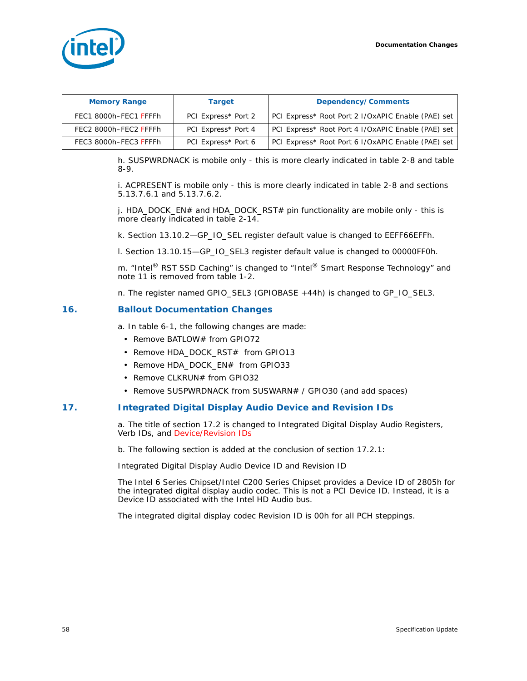

| <b>Memory Range</b>   | <b>Target</b>       | Dependency/Comments                                |
|-----------------------|---------------------|----------------------------------------------------|
| FEC1 8000h-FEC1 FFFFh | PCI Express* Port 2 | PCI Express* Root Port 2 I/OxAPIC Enable (PAE) set |
| FEC2 8000h-FEC2 FFFFh | PCI Express* Port 4 | PCI Express* Root Port 4 I/OxAPIC Enable (PAE) set |
| FEC3 8000h-FEC3 FFFFh | PCI Express* Port 6 | PCI Express* Root Port 6 I/OxAPIC Enable (PAE) set |

h. SUSPWRDNACK is mobile only - this is more clearly indicated in table 2-8 and table 8-9.

i. ACPRESENT is mobile only - this is more clearly indicated in table 2-8 and sections 5.13.7.6.1 and 5.13.7.6.2.

j. HDA\_DOCK\_EN# and HDA\_DOCK\_RST# pin functionality are mobile only - this is more clearly indicated in table 2-14.

k. Section 13.10.2—GP\_IO\_SEL register default value is changed to EEFF66EFFh.

l. Section 13.10.15—GP\_IO\_SEL3 register default value is changed to 00000FF0h.

m. "Intel<sup>®</sup> RST SSD Caching" is changed to "Intel® Smart Response Technology" and note 11 is removed from table 1-2.

n. The register named GPIO\_SEL3 (GPIOBASE +44h) is changed to GP\_IO\_SEL3.

# **16. Ballout Documentation Changes**

a. In table 6-1, the following changes are made:

- Remove BATLOW# from GPIO72
- Remove HDA\_DOCK\_RST# from GPIO13
- Remove HDA\_DOCK\_EN# from GPIO33
- Remove CLKRUN# from GPIO32
- Remove SUSPWRDNACK from SUSWARN# / GPIO30 (and add spaces)

### **17. Integrated Digital Display Audio Device and Revision IDs**

a. The title of section 17.2 is changed to Integrated Digital Display Audio Registers, Verb IDs, and Device/Revision IDs

b. The following section is added at the conclusion of section 17.2.1:

Integrated Digital Display Audio Device ID and Revision ID

The Intel 6 Series Chipset/Intel C200 Series Chipset provides a Device ID of 2805h for the integrated digital display audio codec. This is not a PCI Device ID. Instead, it is a Device ID associated with the Intel HD Audio bus.

The integrated digital display codec Revision ID is 00h for all PCH steppings.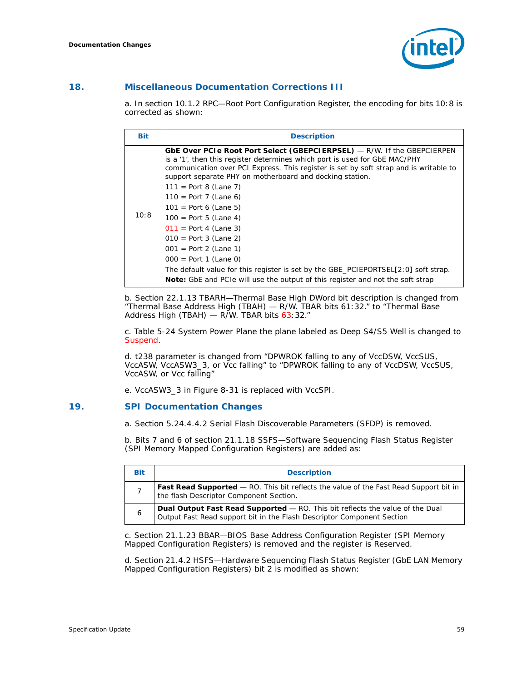

# **18. Miscellaneous Documentation Corrections III**

a. In section 10.1.2 RPC—Root Port Configuration Register, the encoding for bits 10:8 is corrected as shown:

| <b>Bit</b> | <b>Description</b>                                                                                                                                                                                                                                                                                                                                                                                                                                                                                                                                                                                                                                                                                                   |
|------------|----------------------------------------------------------------------------------------------------------------------------------------------------------------------------------------------------------------------------------------------------------------------------------------------------------------------------------------------------------------------------------------------------------------------------------------------------------------------------------------------------------------------------------------------------------------------------------------------------------------------------------------------------------------------------------------------------------------------|
| 10:8       | GbE Over PCI e Root Port Select (GBEPCIERPSEL) $-$ R/W. If the GBEPCIERPEN<br>is a '1', then this register determines which port is used for GbE MAC/PHY<br>communication over PCI Express. This register is set by soft strap and is writable to<br>support separate PHY on motherboard and docking station.<br>$111 =$ Port 8 (Lane 7)<br>$110 =$ Port 7 (Lane 6)<br>$101 =$ Port 6 (Lane 5)<br>$100 =$ Port 5 (Lane 4)<br>$011 =$ Port 4 (Lane 3)<br>$010 =$ Port 3 (Lane 2)<br>$001 =$ Port 2 (Lane 1)<br>$000 =$ Port 1 (Lane 0)<br>The default value for this register is set by the GBE_PCIEPORTSEL[2:0] soft strap.<br><b>Note:</b> GbE and PCIe will use the output of this register and not the soft strap |
|            |                                                                                                                                                                                                                                                                                                                                                                                                                                                                                                                                                                                                                                                                                                                      |

b. Section 22.1.13 TBARH—Thermal Base High DWord bit description is changed from "Thermal Base Address High (TBAH) — R/W. TBAR bits 61:32." to "Thermal Base Address High (TBAH) - R/W. TBAR bits 63:32."

c. Table 5-24 System Power Plane the plane labeled as Deep S4/S5 Well is changed to Suspend.

d. t238 parameter is changed from "DPWROK falling to any of VccDSW, VccSUS, VccASW, VccASW3\_3, or Vcc falling" to "DPWROK falling to any of VccDSW, VccSUS, VccASW, or Vcc falling"

e. VccASW3\_3 in Figure 8-31 is replaced with VccSPI.

# **19. SPI Documentation Changes**

a. Section 5.24.4.4.2 Serial Flash Discoverable Parameters (SFDP) is removed.

b. Bits 7 and 6 of section 21.1.18 SSFS—Software Sequencing Flash Status Register (SPI Memory Mapped Configuration Registers) are added as:

| <b>Bit</b> | <b>Description</b>                                                                                                                                          |
|------------|-------------------------------------------------------------------------------------------------------------------------------------------------------------|
|            | Fast Read Supported - RO. This bit reflects the value of the Fast Read Support bit in<br>the flash Descriptor Component Section.                            |
| 6          | <b>Dual Output Fast Read Supported</b> - RO. This bit reflects the value of the Dual Output Fast Read support bit in the Flash Descriptor Component Section |

c. Section 21.1.23 BBAR—BIOS Base Address Configuration Register (SPI Memory Mapped Configuration Registers) is removed and the register is Reserved.

d. Section 21.4.2 HSFS—Hardware Sequencing Flash Status Register (GbE LAN Memory Mapped Configuration Registers) bit 2 is modified as shown: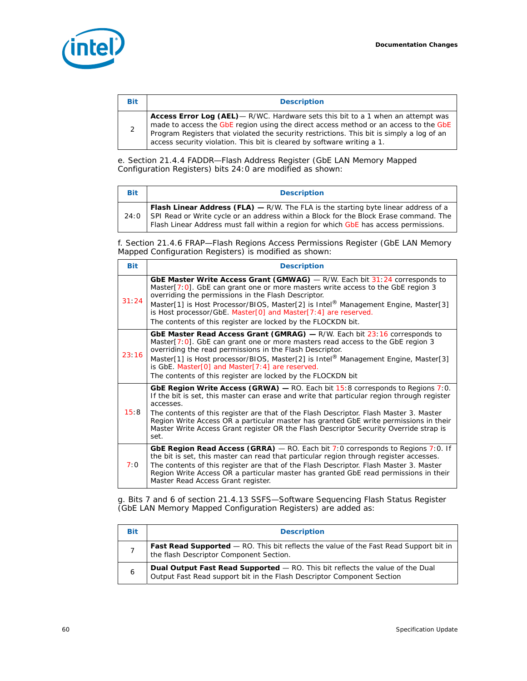

| <b>Bit</b> | <b>Description</b>                                                                                                                                                                                                                                                                                                                                      |
|------------|---------------------------------------------------------------------------------------------------------------------------------------------------------------------------------------------------------------------------------------------------------------------------------------------------------------------------------------------------------|
| 2          | <b>Access Error Log (AEL)</b> — R/WC. Hardware sets this bit to a 1 when an attempt was<br>made to access the GbE region using the direct access method or an access to the GbE<br>Program Registers that violated the security restrictions. This bit is simply a log of an<br>access security violation. This bit is cleared by software writing a 1. |

e. Section 21.4.4 FADDR—Flash Address Register (GbE LAN Memory Mapped Configuration Registers) bits 24:0 are modified as shown:

| <b>Bit</b> | <b>Description</b>                                                                                                                                                                                                                                                           |
|------------|------------------------------------------------------------------------------------------------------------------------------------------------------------------------------------------------------------------------------------------------------------------------------|
| 24:0       | <b>Flash Linear Address (FLA)</b> $-$ R/W. The FLA is the starting byte linear address of a<br>SPI Read or Write cycle or an address within a Block for the Block Erase command. The<br>Flash Linear Address must fall within a region for which GbE has access permissions. |

f. Section 21.4.6 FRAP—Flash Regions Access Permissions Register (GbE LAN Memory Mapped Configuration Registers) is modified as shown:

| <b>Bit</b> | <b>Description</b>                                                                                                                                                                                                                                                                                                                                                                                                                                                              |
|------------|---------------------------------------------------------------------------------------------------------------------------------------------------------------------------------------------------------------------------------------------------------------------------------------------------------------------------------------------------------------------------------------------------------------------------------------------------------------------------------|
| 31 24      | GbE Master Write Access Grant (GMWAG) $- R/W$ . Each bit 31:24 corresponds to<br>Master[7:0]. GbE can grant one or more masters write access to the GbE region 3<br>overriding the permissions in the Flash Descriptor.<br>Master[1] is Host Processor/BIOS, Master[2] is Intel® Management Engine, Master[3]<br>is Host processor/GbE. Master[0] and Master[7:4] are reserved.<br>The contents of this register are locked by the FLOCKDN bit.                                 |
| 23 16      | GbE Master Read Access Grant (GMRAG) $-$ R/W. Each bit 23:16 corresponds to<br>Master[7:0]. GbE can grant one or more masters read access to the GbE region 3<br>overriding the read permissions in the Flash Descriptor.<br>Master[1] is Host processor/BIOS, Master[2] is Intel® Management Engine, Master[3]<br>is GbE. Master[0] and Master[7:4] are reserved.<br>The contents of this register are locked by the FLOCKDN bit                                               |
| 15:8       | GbE Region Write Access (GRWA) $-$ RO. Each bit 15:8 corresponds to Regions 7:0.<br>If the bit is set, this master can erase and write that particular region through register<br>accesses.<br>The contents of this register are that of the Flash Descriptor. Flash Master 3. Master<br>Region Write Access OR a particular master has granted GbE write permissions in their<br>Master Write Access Grant register OR the Flash Descriptor Security Override strap is<br>set. |
| 7:0        | GbE Region Read Access (GRRA) $-$ RO. Each bit 7:0 corresponds to Regions 7:0. If<br>the bit is set, this master can read that particular region through register accesses.<br>The contents of this register are that of the Flash Descriptor. Flash Master 3. Master<br>Region Write Access OR a particular master has granted GbE read permissions in their<br>Master Read Access Grant register.                                                                             |

g. Bits 7 and 6 of section 21.4.13 SSFS—Software Sequencing Flash Status Register (GbE LAN Memory Mapped Configuration Registers) are added as:

| <b>Bit</b> | <b>Description</b>                                                                                                                                          |
|------------|-------------------------------------------------------------------------------------------------------------------------------------------------------------|
|            | <b>Fast Read Supported</b> — RO. This bit reflects the value of the Fast Read Support bit in the flash Descriptor Component Section.                        |
| 6          | <b>Dual Output Fast Read Supported</b> - RO. This bit reflects the value of the Dual Output Fast Read support bit in the Flash Descriptor Component Section |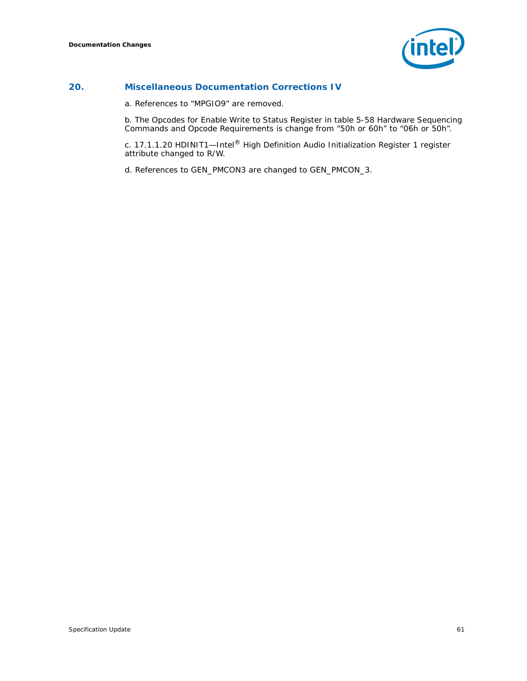

# **20. Miscellaneous Documentation Corrections IV**

a. References to "MPGIO9" are removed.

b. The Opcodes for Enable Write to Status Register in table 5-58 Hardware Sequencing Commands and Opcode Requirements is change from "50h or 60h" to "06h or 50h".

c. 17.1.1.20 HDINIT1—Intel $^{\circledR}$  High Definition Audio Initialization Register 1 register attribute changed to R/W.

d. References to GEN\_PMCON3 are changed to GEN\_PMCON\_3.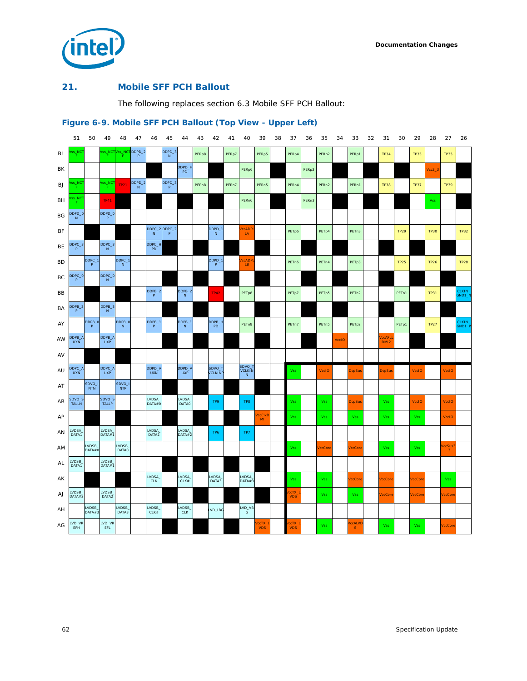

# **21. Mobile SFF PCH Ballout**

The following replaces section 6.3 Mobile SFF PCH Ballout:



# **Figure 6-9. Mobile SFF PCH Ballout (Top View - Upper Left)**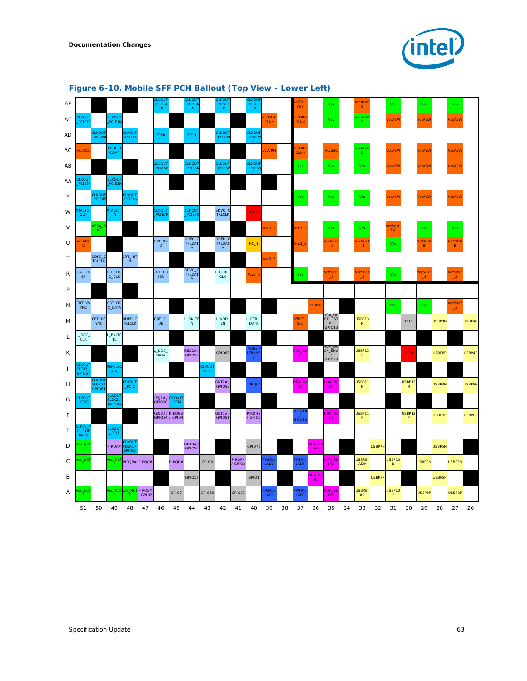



# **Figure 6-10. Mobile SFF PCH Ballout (Top View - Lower Left)**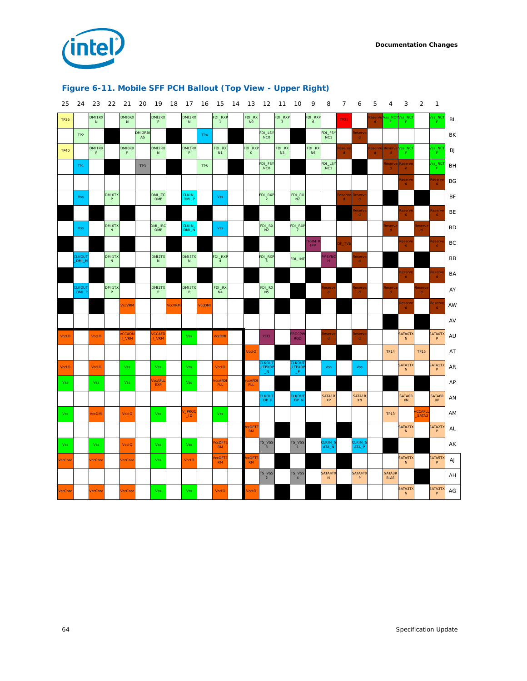

| 25          | 24                     | 23                  | 22                            | 21                         | 20          | 19                         | 18            | 17                                   | 16              | 15                         | 14 | 13                       | 12                               | 11                                | 10                         | 9                        | 8                            | $\overline{7}$                | 6                            | 5                    | 4                      | 3                            | $\overline{c}$        | $\mathbf{1}$                       |           |
|-------------|------------------------|---------------------|-------------------------------|----------------------------|-------------|----------------------------|---------------|--------------------------------------|-----------------|----------------------------|----|--------------------------|----------------------------------|-----------------------------------|----------------------------|--------------------------|------------------------------|-------------------------------|------------------------------|----------------------|------------------------|------------------------------|-----------------------|------------------------------------|-----------|
| <b>TP36</b> |                        | DMI1RX<br>${\sf N}$ |                               | <b>DMIORX</b><br>${\sf N}$ |             | DMI2RX<br>P                |               | DMI3RX<br>${\sf N}$                  |                 | FDI_RXF<br>$\mathbf{1}$    |    | FDI_RX<br>NO             |                                  | DI_RXP<br>$\overline{\mathbf{3}}$ |                            | DI_RXF<br>$\epsilon$     |                              | <b>TP22</b>                   |                              | eserv<br>$\mathbf d$ | ss_NC<br>F             | ss_NC<br>Æ                   |                       | is NC<br>F                         | <b>BL</b> |
|             | TP <sub>2</sub>        |                     |                               |                            | MI2RB<br>AS |                            |               |                                      | TP4             |                            |    |                          | FDI_LSY<br><b>NCO</b>            |                                   |                            |                          | FDI_FSY<br>NC <sub>1</sub>   |                               | eserv<br>$\mathbf d$         |                      |                        |                              |                       |                                    | BK        |
| <b>TP40</b> |                        | DMI1RX<br>P         |                               | DMIORX<br>P                |             | DMI2RX<br>${\sf N}$        |               | DMI3RX<br>P                          |                 | FDI_RX<br>N1               |    | FDI_RXF<br>$\mathsf{o}$  |                                  | FDI_RX<br>N3                      |                            | FDI_RX<br>N <sub>6</sub> |                              | eserv<br>$\mathbf d$          |                              | eserv<br>$\mathbf d$ | Reserv<br>$\mathbf{d}$ | /ss_NC<br>-F.                |                       | ss_NC<br>F                         | <b>BJ</b> |
|             | TP1                    |                     |                               |                            | TP3         |                            |               |                                      | TP <sub>5</sub> |                            |    |                          | FDI_FSY<br>NCO                   |                                   |                            |                          | DI_LSY<br>NC1                |                               |                              |                      | leserv<br>$\mathbf d$  | <b>Reserv</b><br>$\mathbf d$ |                       | 'ss_NC<br>$\mathsf F$              | BH        |
|             |                        |                     |                               |                            |             |                            |               |                                      |                 |                            |    |                          |                                  |                                   |                            |                          |                              |                               |                              |                      |                        | eserv<br>$\mathbf d$         |                       | leserv<br>$\mathbf d$              | BG        |
|             | Vss                    |                     | <b>DMIOTX</b><br>$\mathsf{P}$ |                            |             | $DMI_ZC$<br>OMP            |               | CLKIN,<br>DMI_P                      |                 | Vss                        |    |                          | FDI_RXF<br>$\sqrt{2}$            |                                   | FDI_RX<br>N7               |                          |                              | <b>leserve</b><br>$\mathbf d$ | Reserv<br>$\mathbf d$        |                      |                        |                              |                       |                                    | BF        |
|             |                        |                     |                               |                            |             |                            |               |                                      |                 |                            |    |                          |                                  |                                   |                            |                          |                              |                               | eserv<br>d.                  |                      |                        | <b>leserv</b><br>$\mathbf d$ |                       | <b>Reserv</b><br>$\mathbf d$       | BE        |
|             | Vss                    |                     | <b>DMIOTX</b><br>${\sf N}$    |                            |             | DMLIRC<br>OMP              |               | CLKIN,<br>DMI_N                      |                 | Vss                        |    |                          | FDI_RX<br>N2                     |                                   | FDI_RXP<br>7               |                          |                              |                               |                              |                      | Reserve<br>$\mathbf d$ |                              | leserv<br>$\mathbf d$ |                                    | <b>BD</b> |
|             |                        |                     |                               |                            |             |                            |               |                                      |                 |                            |    |                          |                                  |                                   |                            | <b>HRMTI</b><br>IP#      |                              | DF_TVS                        |                              |                      |                        | serv<br>d                    |                       | esery<br>d                         | BC        |
|             | <b>CLKOUT</b><br>DMI_I |                     | DMI1TX<br>${\sf N}$           |                            |             | DMI2TX<br>${\sf N}$        |               | DMI3TX<br>${\sf N}$                  |                 | FDI_RXP<br>$\sqrt{4}$      |    |                          | FDI_RXF<br>$\sqrt{5}$            |                                   | FDI_INT                    |                          | <b>MSYNC</b><br>$\mathbf{H}$ |                               | eserv<br>$\mathbf d$         |                      |                        |                              |                       |                                    | BB        |
|             |                        |                     |                               |                            |             |                            |               |                                      |                 |                            |    |                          |                                  |                                   |                            |                          |                              |                               |                              |                      |                        | leserv<br>$\mathbf d$        |                       | eser<br>d.                         | BA        |
|             | <b>LKOUT</b><br>DMI_   |                     | DMI1TX<br>$\sf P$             |                            |             | DMI2TX<br>$\, {\sf P}$     |               | DMI3TX<br>$\mathsf P$                |                 | FDI_RX<br>$_{\mathsf{N}4}$ |    |                          | FDI_RX<br>${\sf N}5$             |                                   |                            |                          | Reservi<br>$\mathbf d$       |                               | <b>leserv</b><br>$\mathbf d$ |                      | Reservi<br>$\mathbf d$ |                              | leserv<br>$\mathsf d$ |                                    | AY        |
|             |                        |                     |                               | VccVRN                     |             |                            | <b>/ccVRM</b> |                                      | VccDMI          |                            |    |                          |                                  |                                   |                            |                          |                              |                               |                              |                      |                        | eserv<br>$\mathbf d$         |                       | esery<br>$\mathbf d$               | AW        |
|             |                        |                     |                               |                            |             |                            |               |                                      |                 |                            |    |                          |                                  |                                   |                            |                          |                              |                               |                              |                      |                        |                              |                       |                                    | AV        |
| VcclO       |                        | VccIO               |                               | <b>CCADI</b><br>LVRM       |             | /CCAFI<br><b>I_VRM</b>     |               | Vss                                  |                 | VccDMI                     |    |                          | PECI                             |                                   | <b>ROCP</b><br><b>RGD</b>  |                          | Reserve<br>d.                |                               | eserv<br>d.                  |                      |                        | SATAOT)<br>${\sf N}$         |                       | SATAOT<br>$\mathsf{P}$             | AU        |
|             |                        |                     |                               |                            |             |                            |               |                                      |                 |                            |    | VcclO                    |                                  |                                   |                            |                          |                              |                               |                              |                      | <b>TP14</b>            |                              | <b>TP15</b>           |                                    | AT        |
| VccIO       |                        | VcclO               |                               | Vss                        |             | Vss                        |               | Vss                                  |                 | VccIO                      |    |                          | CLKOU'<br>_ITPXD<br>$\mathbb{N}$ |                                   | )<br>Litpxd<br>Litpxd<br>P |                          | Vss                          |                               | <b>Vss</b>                   |                      |                        | SATA1T:<br>${\sf N}$         |                       | ATA <sub>1</sub> T<br>$\mathsf{P}$ | AR        |
| Vss         |                        | Vss                 |                               | Vss                        |             | <b>CCAPL</b><br><b>EXP</b> |               | Vss                                  |                 | <b>CCAFD</b><br>PLL        |    | cAFD<br>PLL              |                                  |                                   |                            |                          |                              |                               |                              |                      |                        |                              |                       |                                    | AP        |
|             |                        |                     |                               |                            |             |                            |               |                                      |                 |                            |    |                          | <b>CLKOUT</b><br>$DP_P$          |                                   | <b>LKOUT</b><br>$DP_N$     |                          | SATA1R<br><b>XP</b>          |                               | SATA1R<br>XN                 |                      |                        | SATAOR<br>XN                 |                       | SATAOR<br>XP                       | AN        |
| Vss         |                        | VccDMI              |                               | VccIO                      |             | Vss                        |               | V_PRO<br>$\overline{\phantom{0}}$ 10 |                 | Vss                        |    |                          |                                  |                                   |                            |                          |                              |                               |                              |                      | <b>TP13</b>            |                              | CCAPL<br>SATA:        |                                    | AM        |
|             |                        |                     |                               |                            |             |                            |               |                                      |                 |                            |    | <b>CDFT</b><br><b>RM</b> |                                  |                                   |                            |                          |                              |                               |                              |                      |                        | SATA2T:<br>${\sf N}$         |                       | ATA <sub>2</sub> T<br>$\mathsf{P}$ | AL        |
| Vss         |                        | Vss                 |                               | VccIO                      |             | Vss                        |               | Vss                                  |                 | ccDFT<br>RM                |    |                          | TS_VSS<br>$\sqrt{3}$             |                                   | TS_VSS<br>$\overline{1}$   |                          | CLKIN_<br>ATA_N              |                               | EKIN_<br>ATA_P               |                      |                        |                              |                       |                                    | AK        |
| VccCore     |                        | <b>VccCore</b>      |                               | <b>VccCore</b>             |             | <b>Vss</b>                 |               | VccIO                                |                 | ccDFT<br>RM                |    | <b>CDFTE</b><br>RM       |                                  |                                   |                            |                          |                              |                               |                              |                      |                        | SATA5T)<br>${\sf N}$         |                       | SATA5T.<br>P                       | AJ        |
|             |                        |                     |                               |                            |             |                            |               |                                      |                 |                            |    |                          | TS_VSS<br>$\overline{2}$         |                                   | TS_VSS<br>$\overline{4}$   |                          | SATA4TX<br>${\sf N}$         |                               | SATA4T)<br>P                 |                      | SATA3R<br><b>BIAS</b>  |                              |                       |                                    | AH        |
| VccCore     |                        | VccCore             |                               | VccCore                    |             | Vss                        |               | Vss                                  |                 | VccIO                      |    | VcclO                    |                                  |                                   |                            |                          |                              |                               |                              |                      |                        | SATA3T)<br>${\sf N}$         |                       | SATA3T:<br>$\, {\bf P}$            | AG        |

# **Figure 6-11. Mobile SFF PCH Ballout (Top View - Upper Right)**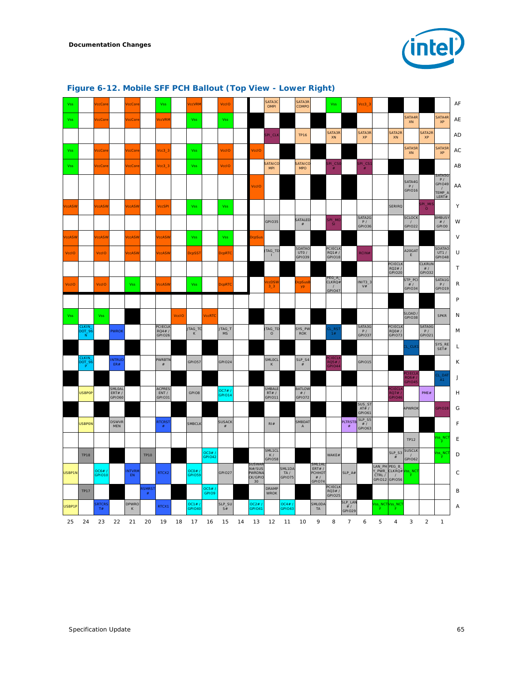

| Vss           |                                   | /ccCor             |                          | /ccCore             |             | Vss                                            |       | <b>/ccVRM</b>         |                 | VcclO               |    |                                                      | SATA30<br><b>OMPI</b>            |                            | SATA3R<br>COMPO                  |                                 | Vss                              |                         | $Vec3_3$                    |                                      |                                           |                                       |                               |                                                 | AF          |
|---------------|-----------------------------------|--------------------|--------------------------|---------------------|-------------|------------------------------------------------|-------|-----------------------|-----------------|---------------------|----|------------------------------------------------------|----------------------------------|----------------------------|----------------------------------|---------------------------------|----------------------------------|-------------------------|-----------------------------|--------------------------------------|-------------------------------------------|---------------------------------------|-------------------------------|-------------------------------------------------|-------------|
| Vss           |                                   | /ccCor             |                          | /ccCor              |             | <b>/ccVRN</b>                                  |       | Vss                   |                 | Vss                 |    |                                                      |                                  |                            |                                  |                                 |                                  |                         |                             |                                      |                                           | SATA4R<br>XN                          |                               | SATA4R<br><b>XP</b>                             | AE          |
|               |                                   |                    |                          |                     |             |                                                |       |                       |                 |                     |    |                                                      | SPI_CLI                          |                            | <b>TP16</b>                      |                                 | SATA3R<br>${\tt XN}$             |                         | SATA3R<br>XP                |                                      | SATA <sub>2</sub> F<br>${\tt XN}$         |                                       | SATA2R<br>XP                  |                                                 | AD          |
| <b>Vss</b>    |                                   | /ccCor             |                          | <b>VccCore</b>      |             | Vcc3                                           |       | Vss                   |                 | VcclO               |    | VcclO                                                |                                  |                            |                                  |                                 |                                  |                         |                             |                                      |                                           | SATA5F<br>${\bf X}{\bf N}$            |                               | SATA <sub>5</sub> F<br>$\mathsf{XP}\xspace$     | AC          |
| Vss           |                                   | /ccCor             |                          | /ccCor              |             | $Vec3_1$                                       |       | Vss                   |                 | VcclO               |    |                                                      | <b>ATAICO</b><br><b>MPI</b>      |                            | SATAICO<br><b>MPO</b>            |                                 | <b>PL_CS</b>                     |                         | <b>SPI_CS</b><br>#          |                                      |                                           |                                       |                               |                                                 | AB          |
|               |                                   |                    |                          |                     |             |                                                |       |                       |                 |                     |    | ccIO                                                 |                                  |                            |                                  |                                 |                                  |                         |                             |                                      |                                           | SATA4G<br>P/<br>GPIO16                |                               | <b>AIA50</b><br>P/<br>GPIO49<br>TEMP_/<br>LERT# | AA          |
| <b>VccASW</b> |                                   | /ccASV             |                          | VccASW              |             | VccSPI                                         |       | Vss                   |                 | Vss                 |    |                                                      |                                  |                            |                                  |                                 |                                  |                         |                             |                                      | <b>SERIRQ</b>                             |                                       | SPI_MI <mark>:</mark><br>O    |                                                 | Υ           |
|               |                                   |                    |                          |                     |             |                                                |       |                       |                 |                     |    |                                                      | GPIO35                           |                            | SATALED<br>#                     |                                 | SPI_MC<br>-SI                    |                         | SATA2G<br>P/<br>GPIO36      |                                      |                                           | <b>SCLOCK</b><br>$\prime$<br>GPIO22   |                               | <b>BMBUS</b><br>$\#$ /<br><b>GPIO0</b>          | W           |
| <b>VccASW</b> |                                   | /ccASV             |                          | /ccASW              |             | /ccASV                                         |       | Vss                   |                 | <b>Vss</b>          |    | cpSu                                                 |                                  |                            |                                  |                                 |                                  |                         |                             |                                      |                                           |                                       |                               |                                                 | V           |
| VcclO         |                                   | VcclO              |                          | /ccASW              |             | /ccASV                                         |       | DcpSS1                |                 | <b>DcpRTC</b>       |    |                                                      | JTAG_TD                          |                            | <b>SDATAC</b><br>UTO /<br>GPIO39 |                                 | <b>PCIECLK</b><br>RO1#<br>GPIO18 |                         | <b>RCIN#</b>                |                                      |                                           | A20GAT<br>$\mathsf{E}% _{\mathsf{H}}$ |                               | SDATAC<br>UT1/<br>GPIO48                        | U           |
|               |                                   |                    |                          |                     |             |                                                |       |                       |                 |                     |    |                                                      |                                  |                            |                                  |                                 |                                  |                         |                             |                                      | PCIECLK<br>RO2#<br>GPIO20                 |                                       | <b>CLKRUN</b><br>#I<br>GPIO32 |                                                 | T           |
| VcclO         |                                   | VectO              |                          | Vss                 |             | /ccASV                                         |       | Vss                   |                 | DcpRTC              |    |                                                      | <b>ccDSV</b><br>$3-3$            |                            | cpSus<br>yp                      |                                 | CLKRQ#<br>GPIO47                 |                         | $INIT3_3$<br>V#             |                                      |                                           | STP_PC<br>$# /$<br>GPIO34             |                               | SATA1G<br>P/<br>GPIO19                          | ${\sf R}$   |
|               |                                   |                    |                          |                     |             |                                                |       |                       |                 |                     |    |                                                      |                                  |                            |                                  |                                 |                                  |                         |                             |                                      |                                           |                                       |                               |                                                 | P           |
| Vss           |                                   | Vss                |                          |                     |             |                                                | VcclO |                       | VccRTC          |                     |    |                                                      |                                  |                            |                                  |                                 |                                  |                         |                             |                                      |                                           | SLOAD<br>GPIO38                       |                               | <b>SPKR</b>                                     | N           |
|               | <b>CLKIN</b><br>$OT_9$<br>N       |                    | <b>WROK</b>              |                     |             | PCIECLK<br>$\textsf{R}\textsf{Q}4\#$<br>GPIO26 |       | JTAG_TO<br>К          |                 | JTAG_T<br><b>MS</b> |    |                                                      | JTAG_T <mark>E</mark><br>$\circ$ |                            | SYS_PW<br><b>ROK</b>             |                                 | CL_RS<br>1#                      |                         | SATA3G<br>P/<br>GPIO37      |                                      | PCIECLI<br>RQ0#<br>GPIO73                 |                                       | SATAOG<br>P/<br>GPIO21        |                                                 | M           |
|               |                                   |                    |                          |                     |             |                                                |       |                       |                 |                     |    |                                                      |                                  |                            |                                  |                                 |                                  |                         |                             |                                      |                                           | L_CLK                                 |                               | SYS_RE<br>SET#                                  | L           |
|               | <b>CLKIN</b><br>$\frac{DOT_9}{P}$ |                    | <b>NTRUE</b><br>$ER#$    |                     |             | <b>PWRBTM</b><br>$\#$                          |       | GPIO57                |                 | GPIO24              |    |                                                      | SMLOCI<br>$\,$ K                 |                            | $SLP_S$<br>$\#$                  |                                 | <b>CIEC</b><br>SPIO4             |                         | GPIO15                      |                                      |                                           |                                       |                               |                                                 | Κ           |
|               |                                   |                    |                          |                     |             |                                                |       |                       |                 |                     |    |                                                      |                                  |                            |                                  |                                 |                                  |                         |                             |                                      |                                           | CIECL<br>.06#<br><b>PIO4</b>          |                               | CL DA<br>A1                                     | J           |
|               | <b>USBPOP</b>                     |                    | SMLOAL<br>ERT#<br>GPIO60 |                     |             | ACPRES<br>ENT /<br>GPIO31                      |       | GPIO8                 |                 | OC7#<br>GPIO14      |    |                                                      | SMBALE<br>RT#<br>GPIO11          |                            | <b>BATLOW</b><br>#I<br>GPIO72    |                                 |                                  |                         |                             |                                      | <b>CIECI</b><br>RO7#<br>GPIO <sub>4</sub> |                                       | PME#                          |                                                 | Н           |
|               |                                   |                    |                          |                     |             |                                                |       |                       |                 |                     |    |                                                      |                                  |                            |                                  |                                 |                                  |                         | $SUS_S1$<br>AT# /<br>GPIO61 |                                      |                                           | <b>APWRO</b>                          |                               | GPIO <sub>2</sub>                               | G           |
|               | <b>USBPON</b>                     |                    | <b>DSWVR</b><br>MEN      |                     |             | <b>RTCRS</b><br>#                              |       | SMBCLK                |                 | <b>SUSACK</b><br>#  |    |                                                      | R1#                              |                            | <b>SMBDAT</b><br>$\mathsf{A}$    |                                 |                                  | PLTRSTE<br>#            | $SLP$ _S5<br>#1<br>GPIO63   |                                      |                                           |                                       |                               |                                                 | F           |
|               |                                   |                    |                          |                     |             |                                                |       |                       |                 |                     |    |                                                      |                                  |                            |                                  |                                 |                                  |                         |                             |                                      |                                           | <b>TP12</b>                           |                               | ss_N<br>F                                       | Ε           |
|               | <b>TP18</b>                       |                    |                          |                     | <b>TP10</b> |                                                |       |                       | OC3#/<br>GPIO42 |                     |    | <b>SUSWA</b>                                         | SML1CL<br>K/<br>GPIO58           |                            |                                  | MI I A                          | WAKE#                            |                         |                             |                                      | $SLP$ _S3<br>#                            | <b>SUSCLK</b><br>$\prime$<br>GPIO62   |                               | 'ss_NC<br>F                                     | D           |
| USBP1N        |                                   | DC6#<br>GPIO10     |                          | <b>INTVRN</b><br>EN |             | RTCX2                                          |       | OCO#<br><b>GPIO59</b> |                 | GPIO27              |    | N#/SUS<br><b>PWRDN</b><br>CK/GPIC<br>30 <sup>°</sup> |                                  | SML1DA<br>TA $/$<br>GPIO75 |                                  | ERT#<br>PCHHOT<br># /<br>GPIO74 |                                  | $SLP\_A#$               |                             | LAN_PH<br>$Y_PWR$<br>CTRL.<br>GPIO12 | PEG_B<br>CLKRQ#<br>GPIO56                 | $s_N$<br>F                            |                               |                                                 | $\mathsf C$ |
|               | <b>TP17</b>                       |                    |                          |                     | <b>SMRS</b> |                                                |       |                       | OC5#<br>GPIO9   |                     |    |                                                      | <b>DRAMP</b><br><b>WROK</b>      |                            |                                  |                                 | PCIECLK<br>RO3#<br>GPIO25        |                         |                             |                                      |                                           |                                       |                               |                                                 | B           |
| USBP1F        |                                   | <b>SRTCR</b><br>T# |                          | DPWRO<br>К          |             | RTCX1                                          |       | OC1#<br>GPIO4C        |                 | SLP_SU<br>S#        |    | OC2#<br>GPIO41                                       |                                  | OC4# /<br>GPIO43           |                                  | <b>SMLODA</b><br>TA             |                                  | SLP_LAN<br>#/<br>GPIO29 |                             | ss NC<br>-F                          | /ss NO<br>Æ                               |                                       |                               |                                                 | Α           |
| 25            | 24                                | 23                 | 22                       | 21                  | 20          | 19                                             | 18    | 17                    | 16              | 15                  | 14 | 13                                                   | 12                               | 11                         | 10                               | 9                               | 8                                | $\overline{7}$          | 6                           | 5                                    | $\sqrt{4}$                                | 3                                     | $\boldsymbol{2}$              | $\mathbf{1}$                                    |             |

# **Figure 6-12. Mobile SFF PCH Ballout (Top View - Lower Right)**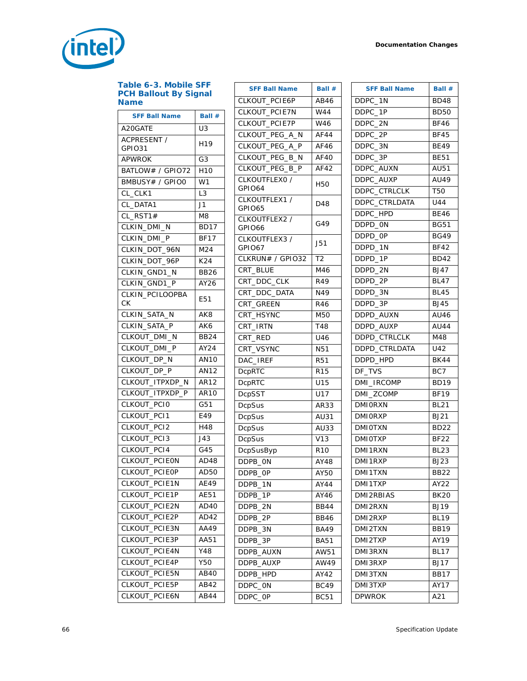# *intel*

### **Table 6-3. Mobile SFF PCH Ballout By Signal Name**

| <b>SFF Ball Name</b>              | Ball #         |
|-----------------------------------|----------------|
| A20GATE                           | U3             |
| <b>ACPRESENT /</b><br>GPIO31      | H19            |
| <b>APWROK</b>                     | G3             |
| BATLOW# / GPIO72                  | H10            |
| BMBUSY# / GPIOO                   | W <sub>1</sub> |
| CL CLK1                           | L3             |
| CL DATA1                          | J1             |
| CL_RST1#                          | M8             |
| CLKIN_DMI_N                       | BD17           |
| CLKIN_DMI_P                       | <b>BF17</b>    |
| CLKIN_DOT_96N                     | M24            |
| CLKIN_DOT_96P                     | K24            |
| CLKIN_GND1_N                      | <b>BB26</b>    |
| CLKIN_GND1_P                      | AY26           |
| CLKIN_PCILOOPBA<br>CК             | E51            |
| CLKIN_SATA_N                      | AK8            |
| CLKIN_SATA_P                      | AK6            |
| CLKOUT_DMI_N                      | <b>BB24</b>    |
| CLKOUT DMI P                      | AY24           |
| CLKOUT_DP_N                       | AN10           |
| CLKOUT DP P                       | AN12           |
| CLKOUT_ITPXDP_N                   | AR12           |
| CLKOUT_ITPXDP_P                   | AR10           |
| CLKOUT_PCIO                       | G51            |
| CLKOUT_PCI1                       | E49            |
| CLKOUT PCI2                       | H48            |
| <b>CLKOUT</b><br>PC <sub>13</sub> | J43            |
| CLKOUT PC14                       | G45            |
| <b>CLKOUT PCIEON</b>              | AD48           |
| CLKOUT PCIEOP                     | AD50           |
| CLKOUT_PCIE1N                     | AE49           |
| CLKOUT_<br>PCIE1P                 | AE51           |
| CLKOUT_PCIE2N                     | AD40           |
| CLKOUT PCIE2P                     | AD42           |
| PCIE3N<br>CLKOUT_                 | AA49           |
| PCIE3P<br><b>CLKOUT</b>           | AA51           |
| PCIE4N<br>CLKOUT                  | Y48            |
| CLKOUT<br>PCIE4P                  | Y50            |
| CLKOUT_<br>PCIE5N                 | AB40           |
| CLKOUT_PCIE5P                     | AB42           |
| CLKOUT_<br>PCIE6N                 | AB44           |
|                                   |                |

| <b>SFF Ball Name</b>    | Ball #            |
|-------------------------|-------------------|
| CLKOUT_PCIE6P           | AB46              |
| CLKOUT_PCIE7N           | $\overline{W}$ 44 |
| CLKOUT_PCIE7P           | W46               |
| CLKOUT_PEG_A_N          | AF44              |
| CLKOUT_PEG_A_P          | AF46              |
| CLKOUT_PEG_B_N          | AF40              |
| CLKOUT_PEG_B_P          | AF42              |
| CLKOUTFLEXO /<br>GPIO64 | H50               |
| CLKOUTFLEX1 /<br>GPIO65 | D48               |
| CLKOUTFLEX2 /<br>GPIO66 | G49               |
| CLKOUTFLEX3 /<br>GPIO67 | J51               |
| CLKRUN# / GPIO32        | $\overline{12}$   |
| CRT_BLUE                | M46               |
| CRT_DDC_CLK             | R49               |
| CRT_DDC_DATA            | N49               |
| CRT_GREEN               | R46               |
| CRT_HSYNC               | M50               |
| CRT_IRTN                | <b>T48</b>        |
| CRT_RED                 | U46               |
| CRT_VSYNC               | N <sub>51</sub>   |
| DAC_IREF                | R <sub>51</sub>   |
| DcpRTC                  | R <sub>15</sub>   |
| DcpRTC                  | U15               |
| <b>DcpSST</b>           | U17               |
| DcpSus                  | AR33              |
| DcpSus                  | AU31              |
| DcpSus                  | AU33              |
| DcpSus                  | $\sqrt{13}$       |
| DcpSusByp               | R <sub>10</sub>   |
| DDPB_ON                 | AY48              |
| OP.<br>DDPB             | AY50              |
| 1N<br>DDPB              | AY44              |
| 1Р<br>DDPB              | AY46              |
| 2N<br>DDPB              | BB44              |
| DDPB<br>2Р              | <b>BB46</b>       |
| DDPB<br>3N              | BA49              |
| 3P<br>DDPB              | BA51              |
| DDPB<br>AUXN            | AW51              |
| <b>AUXP</b><br>DDPB     | AW49              |
| HPD<br>DDPB             | AY42              |
| DDPC<br>ΟN              | BC49              |
| 0P<br>DDPC              | BC51              |
|                         |                   |

| <b>SFF Ball Name</b> | Ball #      |
|----------------------|-------------|
| DDPC_1N              | <b>BD48</b> |
| DDPC_1P              | BD50        |
| DDPC_2N              | BF46        |
| DDPC_2P              | <b>BF45</b> |
| DDPC_3N              | <b>BE49</b> |
| DDPC_3P              | <b>BE51</b> |
| DDPC_AUXN            | AU51        |
| DDPC_AUXP            | AU49        |
| DDPC_CTRLCLK         | <b>T50</b>  |
| DDPC_CTRLDATA        | U44         |
| DDPC_HPD             | BE46        |
| DDPD_ON              | <b>BG51</b> |
| DDPD_0P              | BG49        |
| DDPD_1N              | BF42        |
| DDPD_1P              | BD42        |
| DDPD_2N              | <b>BJ47</b> |
| DDPD_2P              | <b>BL47</b> |
| DDPD_3N              | <b>BL45</b> |
| DDPD_3P              | <b>BJ45</b> |
| DDPD_AUXN            | AU46        |
| DDPD_AUXP            | AU44        |
| DDPD_CTRLCLK         | M48         |
| DDPD_CTRLDATA        | U42         |
| DDPD_HPD             | <b>BK44</b> |
| DF_TVS               | BC7         |
| DMI_IRCOMP           | BD19        |
| DMI_ZCOMP            | <b>BF19</b> |
| DMIORXN              | <b>BL21</b> |
| DMIORXP              | <b>BJ21</b> |
| DMIOTXN              | BD22        |
| DMIOTXP              | <b>BF22</b> |
| DMI1RXN              | <b>BL23</b> |
| DMI1RXP              | BJ23        |
| DMI1TXN              | BB22        |
| DMI1TXP              | AY22        |
| DMI2RBIAS            | <b>BK20</b> |
| DMI2RXN              | <b>BJ19</b> |
| DMI2RXP              | <b>BL19</b> |
| DMI2TXN              | BB19        |
| DMI2TXP              | AY19        |
| DMI3RXN              | <b>BL17</b> |
| DMI3RXP              | <b>BJ17</b> |
| DMI3TXN              | <b>BB17</b> |
| DMI3TXP              | AY17        |
| <b>DPWROK</b>        | A21         |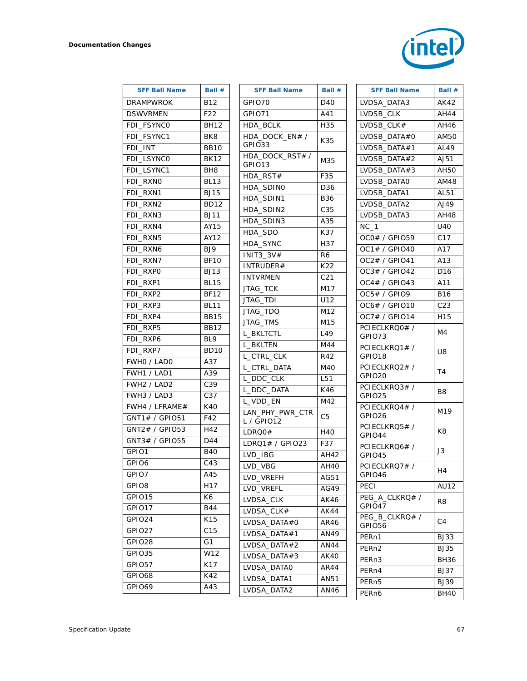

| <b>SFF Ball Name</b> | Ball #           |
|----------------------|------------------|
| <b>DRAMPWROK</b>     | B12              |
| <b>DSWVRMEN</b>      | F22              |
| FDI FSYNCO           | BH12             |
| FDI_FSYNC1           | BK8              |
| $FDI$ _INT           | <b>BB10</b>      |
| FDI_LSVNCO           | BK12             |
| FDI_LSYNC1           | BH8              |
| FDI RXNO             | <b>BL13</b>      |
| FDI RXN1             | <b>BJ15</b>      |
| FDI_RXN2             | <b>BD12</b>      |
| FDI_RXN3             | <b>BJ11</b>      |
| FDI_RXN4             | AY15             |
| FDI_RXN5             | AY12             |
| FDI_RXN6             | BJ9              |
| FDI_RXN7             | <b>BF10</b>      |
| FDI_RXPO             | <b>BJ13</b>      |
| FDI_RXP1             | <b>BL15</b>      |
| FDI_RXP2             | BF12             |
| FDI RXP3             | <b>BL11</b>      |
| FDI RXP4             | <b>BB15</b>      |
| FDI_RXP5             | <b>BB12</b>      |
| FDI_RXP6             | BL9              |
| FDI_RXP7             | BD <sub>10</sub> |
| FWHO / LADO          | A37              |
| FWH1 / LAD1          | A39              |
| FWH2 / LAD2          | C39              |
| FWH3 / LAD3          | C37              |
| FWH4 / LFRAME#       | K40              |
| GNT1# / GPIO51       | F42              |
| GNT2# / GPIO53       | H42              |
| GNT3# / GPIO55       | D44              |
| GPIO1                | <b>B40</b>       |
| GPIO6                | C43              |
| GPIO7                | A45              |
| GPIO8                | H17              |
| GPIO15               | Κ6               |
| GPIO17               | <b>B44</b>       |
| GPIO24               | K15              |
| GPIO27               | C15              |
| GPIO28               | G1               |
| GPIO35               | W12              |
| GPIO57               | K17              |
| GPIO68               | K42              |
| <b>GPIO69</b>        | A43              |
|                      |                  |

| <b>SFF Ball Name</b>          | Ball #          |
|-------------------------------|-----------------|
| GPIO70                        | D40             |
| GPIO71                        | A41             |
| HDA BCLK                      | H35             |
| HDA_DOCK_EN# /<br>GPIO33      | K35             |
| HDA_DOCK_RST#/<br>GPIO13      | M35             |
| HDA_RST#                      | F35             |
| HDA_SDINO                     | D <sub>36</sub> |
| HDA_SDIN1                     | <b>B36</b>      |
| HDA_SDIN2                     | C35             |
| HDA_SDIN3                     | A35             |
| HDA SDO                       | K37             |
| HDA_SYNC                      | H37             |
| $INT3_3V#$                    | R <sub>6</sub>  |
| INTRUDER#                     | K22             |
| <b>INTVRMEN</b>               | C21             |
| <b>JTAG_TCK</b>               | M17             |
| JTAG_TDI                      | U12             |
| JTAG_TDO                      | M12             |
| JTAG_TMS                      | M15             |
| L_BKLTCTL                     | L49             |
| L_BKLTEN                      | M44             |
| L CTRL CLK                    | R42             |
| L_CTRL_DATA                   | M40             |
| L_DDC_CLK                     | L51             |
| L_DDC_DATA                    | K46             |
| L_VDD_EN                      | M42             |
| LAN_PHY_PWR_CTR<br>L / GPIO12 | C5              |
| LDRQ0#                        | H40             |
| LDRQ1# / GPIO23               | F37             |
| LVD_IBG                       | AH42            |
| LVD_<br>VBG                   | AH40            |
| LVD_VREFH                     | AG51            |
| LVD_VREFL                     | AG49            |
| LVDSA CLK                     | AK46            |
| LVDSA_CLK#                    | AK44            |
| LVDSA_DATA#0                  | AR46            |
| $LVDSA_DATA#1$                | AN49            |
| LVDSA_<br>DATA#2              | AN44            |
| LVDSA_DATA#3                  | AK40            |
| LVDSA_DATA0                   | AR44            |
| LVDSA_DATA1                   | AN51            |
| LVDSA_DATA2                   | AN46            |
|                               |                 |

| <b>SFF Ball Name</b>     | Ball #             |
|--------------------------|--------------------|
| LVDSA DATA3              | AK42               |
| LVDSB_CLK                | AH44               |
| LVDSB CLK#               | AH46               |
| LVDSB DATA#0             | AM50               |
| LVDSB DATA#1             | AL49               |
| LVDSB DATA#2             | AJ51               |
| LVDSB DATA#3             | AH50               |
| LVDSB_DATA0              | AM48               |
| LVDSB DATA1              | AL $5\overline{1}$ |
| LVDSB DATA2              | AJ49               |
| LVDSB DATA3              | AH48               |
| NC 1                     | U40                |
| OC0# / GPIO59            | C17                |
| OC1# / GPIO40            | A17                |
| OC2# / GPIO41            | A13                |
| OC3# / GPIO42            | D <sub>16</sub>    |
| OC4# / GPIO43            | A11                |
| OC5# / GPIO9             | B16                |
| OC6# / GPIO10            | C <sub>23</sub>    |
| OC7# / GPIO14            | H <sub>15</sub>    |
| PCIECLKRQ0#/<br>GPIO73   | M4                 |
| PCIECLKRQ1# /<br>GPIO18  | U8                 |
| PCIECLKRQ2#/<br>GPIO20   | T4                 |
| PCIECLKRQ3#/<br>GPIO25   | Β8                 |
| PCIECLKRQ4# /<br>GPIO26  | M19                |
| PCIECLKRQ5#/<br>GPIO44   | K8                 |
| PCIECLKRQ6# /<br>GPIO45  | J3                 |
| PCIECLKRQ7#/<br>GPIO46   | H4                 |
| PECI                     | AU12               |
| PEG_A_CLKRQ# /<br>GPIO47 | R8                 |
| PEG_B_CLKRQ#<br>GPIO56   | C <sub>4</sub>     |
| PERn1                    | BJ33               |
| PERn2                    | BJ35               |
| PERn3                    | <b>BH36</b>        |
| PERn4                    | BJ37               |
| PERn5                    | <b>BJ39</b>        |
| PERn6                    | <b>BH40</b>        |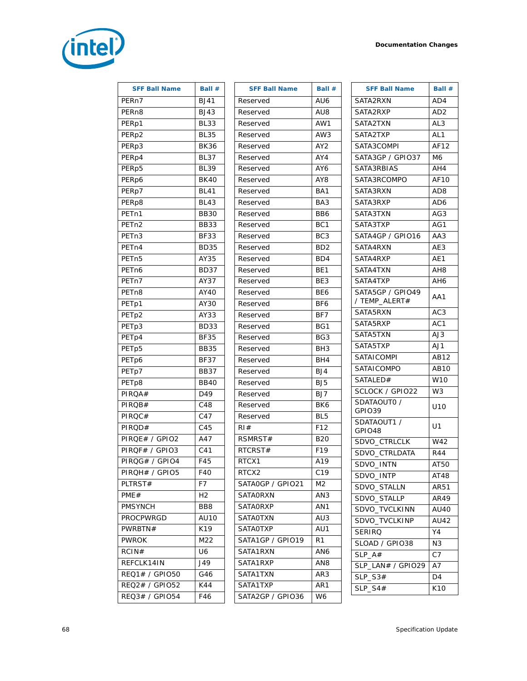

| <b>BJ41</b><br>PERn7<br>PER <sub>n8</sub><br><b>BJ43</b><br><b>BL33</b><br>PERp1<br><b>BL35</b><br>PERp2<br><b>BK36</b><br>PERp3<br><b>BL37</b><br>PERp4<br><b>BL39</b><br>PERp5<br>PERp6<br><b>BK40</b><br><b>BL41</b><br>PERp7<br>BL43<br>PERp8<br>PETn1<br><b>BB30</b><br>PET <sub>n2</sub><br><b>BB33</b><br><b>BF33</b><br>PET <sub>n3</sub><br>PET <sub>n4</sub><br><b>BD35</b><br>PET <sub>n5</sub><br>AY35<br>PET <sub>n6</sub><br>BD37<br>PET <sub>n7</sub><br>AY37<br>PET <sub>n</sub> 8<br>AY40<br>PETp1<br>AY30<br>AY33<br>PETp2<br>BD33<br>PETp3<br><b>BF35</b><br>PETp4<br>PETp5<br><b>BB35</b><br><b>BF37</b><br>PETp6<br><b>BB37</b><br>PET <sub>p7</sub><br><b>BB40</b><br>PETp8<br>D49<br>PIRQA#<br>PIRQB#<br>C48<br>PIRQC#<br>C <sub>47</sub><br>PIRQD#<br>C45<br>A47<br>PIRQE# / GPIO2<br>PIRQF# / GPIO3<br>C41<br>PIRQG# / GPIO4<br>F45<br>PIRQH# / GPIO5<br>F40<br>PLTRST#<br>F7<br>PME#<br>Н2<br>PMSYNCH<br>BB8<br><b>PROCPWRGD</b><br><b>AU10</b><br>K19<br>PWRBTN#<br><b>PWROK</b><br>M22<br>RCIN#<br>U6<br>REFCLK14IN<br>J49<br>REQ1# / GPIO50<br>G46<br>REQ2# / GPIO52<br>K44<br>$\overline{\text{REQ3#}}$ / GPIO54<br>F46 | <b>SFF Ball Name</b> | Ball # |
|-------------------------------------------------------------------------------------------------------------------------------------------------------------------------------------------------------------------------------------------------------------------------------------------------------------------------------------------------------------------------------------------------------------------------------------------------------------------------------------------------------------------------------------------------------------------------------------------------------------------------------------------------------------------------------------------------------------------------------------------------------------------------------------------------------------------------------------------------------------------------------------------------------------------------------------------------------------------------------------------------------------------------------------------------------------------------------------------------------------------------------------------------------|----------------------|--------|
|                                                                                                                                                                                                                                                                                                                                                                                                                                                                                                                                                                                                                                                                                                                                                                                                                                                                                                                                                                                                                                                                                                                                                       |                      |        |
|                                                                                                                                                                                                                                                                                                                                                                                                                                                                                                                                                                                                                                                                                                                                                                                                                                                                                                                                                                                                                                                                                                                                                       |                      |        |
|                                                                                                                                                                                                                                                                                                                                                                                                                                                                                                                                                                                                                                                                                                                                                                                                                                                                                                                                                                                                                                                                                                                                                       |                      |        |
|                                                                                                                                                                                                                                                                                                                                                                                                                                                                                                                                                                                                                                                                                                                                                                                                                                                                                                                                                                                                                                                                                                                                                       |                      |        |
|                                                                                                                                                                                                                                                                                                                                                                                                                                                                                                                                                                                                                                                                                                                                                                                                                                                                                                                                                                                                                                                                                                                                                       |                      |        |
|                                                                                                                                                                                                                                                                                                                                                                                                                                                                                                                                                                                                                                                                                                                                                                                                                                                                                                                                                                                                                                                                                                                                                       |                      |        |
|                                                                                                                                                                                                                                                                                                                                                                                                                                                                                                                                                                                                                                                                                                                                                                                                                                                                                                                                                                                                                                                                                                                                                       |                      |        |
|                                                                                                                                                                                                                                                                                                                                                                                                                                                                                                                                                                                                                                                                                                                                                                                                                                                                                                                                                                                                                                                                                                                                                       |                      |        |
|                                                                                                                                                                                                                                                                                                                                                                                                                                                                                                                                                                                                                                                                                                                                                                                                                                                                                                                                                                                                                                                                                                                                                       |                      |        |
|                                                                                                                                                                                                                                                                                                                                                                                                                                                                                                                                                                                                                                                                                                                                                                                                                                                                                                                                                                                                                                                                                                                                                       |                      |        |
|                                                                                                                                                                                                                                                                                                                                                                                                                                                                                                                                                                                                                                                                                                                                                                                                                                                                                                                                                                                                                                                                                                                                                       |                      |        |
|                                                                                                                                                                                                                                                                                                                                                                                                                                                                                                                                                                                                                                                                                                                                                                                                                                                                                                                                                                                                                                                                                                                                                       |                      |        |
|                                                                                                                                                                                                                                                                                                                                                                                                                                                                                                                                                                                                                                                                                                                                                                                                                                                                                                                                                                                                                                                                                                                                                       |                      |        |
|                                                                                                                                                                                                                                                                                                                                                                                                                                                                                                                                                                                                                                                                                                                                                                                                                                                                                                                                                                                                                                                                                                                                                       |                      |        |
|                                                                                                                                                                                                                                                                                                                                                                                                                                                                                                                                                                                                                                                                                                                                                                                                                                                                                                                                                                                                                                                                                                                                                       |                      |        |
|                                                                                                                                                                                                                                                                                                                                                                                                                                                                                                                                                                                                                                                                                                                                                                                                                                                                                                                                                                                                                                                                                                                                                       |                      |        |
|                                                                                                                                                                                                                                                                                                                                                                                                                                                                                                                                                                                                                                                                                                                                                                                                                                                                                                                                                                                                                                                                                                                                                       |                      |        |
|                                                                                                                                                                                                                                                                                                                                                                                                                                                                                                                                                                                                                                                                                                                                                                                                                                                                                                                                                                                                                                                                                                                                                       |                      |        |
|                                                                                                                                                                                                                                                                                                                                                                                                                                                                                                                                                                                                                                                                                                                                                                                                                                                                                                                                                                                                                                                                                                                                                       |                      |        |
|                                                                                                                                                                                                                                                                                                                                                                                                                                                                                                                                                                                                                                                                                                                                                                                                                                                                                                                                                                                                                                                                                                                                                       |                      |        |
|                                                                                                                                                                                                                                                                                                                                                                                                                                                                                                                                                                                                                                                                                                                                                                                                                                                                                                                                                                                                                                                                                                                                                       |                      |        |
|                                                                                                                                                                                                                                                                                                                                                                                                                                                                                                                                                                                                                                                                                                                                                                                                                                                                                                                                                                                                                                                                                                                                                       |                      |        |
|                                                                                                                                                                                                                                                                                                                                                                                                                                                                                                                                                                                                                                                                                                                                                                                                                                                                                                                                                                                                                                                                                                                                                       |                      |        |
|                                                                                                                                                                                                                                                                                                                                                                                                                                                                                                                                                                                                                                                                                                                                                                                                                                                                                                                                                                                                                                                                                                                                                       |                      |        |
|                                                                                                                                                                                                                                                                                                                                                                                                                                                                                                                                                                                                                                                                                                                                                                                                                                                                                                                                                                                                                                                                                                                                                       |                      |        |
|                                                                                                                                                                                                                                                                                                                                                                                                                                                                                                                                                                                                                                                                                                                                                                                                                                                                                                                                                                                                                                                                                                                                                       |                      |        |
|                                                                                                                                                                                                                                                                                                                                                                                                                                                                                                                                                                                                                                                                                                                                                                                                                                                                                                                                                                                                                                                                                                                                                       |                      |        |
|                                                                                                                                                                                                                                                                                                                                                                                                                                                                                                                                                                                                                                                                                                                                                                                                                                                                                                                                                                                                                                                                                                                                                       |                      |        |
|                                                                                                                                                                                                                                                                                                                                                                                                                                                                                                                                                                                                                                                                                                                                                                                                                                                                                                                                                                                                                                                                                                                                                       |                      |        |
|                                                                                                                                                                                                                                                                                                                                                                                                                                                                                                                                                                                                                                                                                                                                                                                                                                                                                                                                                                                                                                                                                                                                                       |                      |        |
|                                                                                                                                                                                                                                                                                                                                                                                                                                                                                                                                                                                                                                                                                                                                                                                                                                                                                                                                                                                                                                                                                                                                                       |                      |        |
|                                                                                                                                                                                                                                                                                                                                                                                                                                                                                                                                                                                                                                                                                                                                                                                                                                                                                                                                                                                                                                                                                                                                                       |                      |        |
|                                                                                                                                                                                                                                                                                                                                                                                                                                                                                                                                                                                                                                                                                                                                                                                                                                                                                                                                                                                                                                                                                                                                                       |                      |        |
|                                                                                                                                                                                                                                                                                                                                                                                                                                                                                                                                                                                                                                                                                                                                                                                                                                                                                                                                                                                                                                                                                                                                                       |                      |        |
|                                                                                                                                                                                                                                                                                                                                                                                                                                                                                                                                                                                                                                                                                                                                                                                                                                                                                                                                                                                                                                                                                                                                                       |                      |        |
|                                                                                                                                                                                                                                                                                                                                                                                                                                                                                                                                                                                                                                                                                                                                                                                                                                                                                                                                                                                                                                                                                                                                                       |                      |        |
|                                                                                                                                                                                                                                                                                                                                                                                                                                                                                                                                                                                                                                                                                                                                                                                                                                                                                                                                                                                                                                                                                                                                                       |                      |        |
|                                                                                                                                                                                                                                                                                                                                                                                                                                                                                                                                                                                                                                                                                                                                                                                                                                                                                                                                                                                                                                                                                                                                                       |                      |        |
|                                                                                                                                                                                                                                                                                                                                                                                                                                                                                                                                                                                                                                                                                                                                                                                                                                                                                                                                                                                                                                                                                                                                                       |                      |        |
|                                                                                                                                                                                                                                                                                                                                                                                                                                                                                                                                                                                                                                                                                                                                                                                                                                                                                                                                                                                                                                                                                                                                                       |                      |        |
|                                                                                                                                                                                                                                                                                                                                                                                                                                                                                                                                                                                                                                                                                                                                                                                                                                                                                                                                                                                                                                                                                                                                                       |                      |        |
|                                                                                                                                                                                                                                                                                                                                                                                                                                                                                                                                                                                                                                                                                                                                                                                                                                                                                                                                                                                                                                                                                                                                                       |                      |        |
|                                                                                                                                                                                                                                                                                                                                                                                                                                                                                                                                                                                                                                                                                                                                                                                                                                                                                                                                                                                                                                                                                                                                                       |                      |        |
|                                                                                                                                                                                                                                                                                                                                                                                                                                                                                                                                                                                                                                                                                                                                                                                                                                                                                                                                                                                                                                                                                                                                                       |                      |        |
|                                                                                                                                                                                                                                                                                                                                                                                                                                                                                                                                                                                                                                                                                                                                                                                                                                                                                                                                                                                                                                                                                                                                                       |                      |        |

| <b>SFF Ball Name</b> | Ball #          |
|----------------------|-----------------|
| Reserved             | AU6             |
| Reserved             | AU8             |
| Reserved             | AW1             |
| Reserved             | AW3             |
| Reserved             | AY <sub>2</sub> |
| Reserved             | AY4             |
| Reserved             | AY6             |
| Reserved             | AY <sub>8</sub> |
| Reserved             | BA1             |
| Reserved             | BA <sub>3</sub> |
| Reserved             | BB6             |
| Reserved             | BC <sub>1</sub> |
| Reserved             | BC <sub>3</sub> |
| Reserved             | BD <sub>2</sub> |
| Reserved             | BD4             |
| Reserved             | BE <sub>1</sub> |
| Reserved             | BE3             |
| Reserved             | BE6             |
| Reserved             | BF6             |
| Reserved             | BF7             |
| Reserved             | BG1             |
| Reserved             | BG3             |
| Reserved             | BH3             |
| Reserved             | BH4             |
| Reserved             | BJ4             |
| Reserved             | BJ5             |
| Reserved             | BJ7             |
| Reserved             | BK6             |
| Reserved             | BL <sub>5</sub> |
| RI#                  | F12             |
| RSMRST#              | B20             |
| RTCRST#              | F19             |
| RTCX1                | A19             |
| RTCX2                | C19             |
| SATAOGP / GPIO21     | M2              |
| SATAORXN             | AN3             |
| SATAORXP             | AN1             |
| SATAOTXN             | AU3             |
| SATAOTXP             | AU1             |
| SATA1GP / GPIO19     | R1              |
| SATA1RXN             | AN6             |
| SATA1RXP             | AN8             |
| SATA1TXN             | AR3             |
| SATA1TXP             | AR1             |
| SATA2GP / GPIO36     | W6              |
|                      |                 |

| <b>SFF Ball Name</b>              | Ball #         |
|-----------------------------------|----------------|
| SATA2RXN                          | AD4            |
| SATA2RXP                          | AD2            |
| SATA2TXN                          | AL3            |
| SATA2TXP                          | AL1            |
| SATA3COMPI                        | AF12           |
| SATA3GP / GPIO37                  | M6             |
| SATA3RBIAS                        | AH4            |
| SATA3RCOMPO                       | AF10           |
| SATA3RXN                          | AD8            |
| SATA3RXP                          | AD6            |
| SATA3TXN                          | AG3            |
| SATA3TXP                          | AG1            |
| SATA4GP / GPIO16                  | AA3            |
| SATA4RXN                          | AE3            |
| SATA4RXP                          | AE1            |
| SATA4TXN                          | AH8            |
| SATA4TXP                          | AH6            |
| SATA5GP / GPIO49<br>/ TEMP_ALERT# | AA1            |
| SATA5RXN                          | AC3            |
| SATA5RXP                          | AC1            |
| SATA5TXN                          | AJ3            |
| SATA5TXP                          | AJ1            |
| SATAICOMPI                        | AB12           |
| SATAICOMPO                        | AB10           |
| SATALED#                          | W10            |
| SCLOCK / GPIO22                   | W3             |
| SDATAOUTO /<br>GPIO39             | U10            |
| SDATAOUT1 /<br>GPIO48             | U1             |
| SDVO_CTRLCLK                      | W42            |
| SDVO_CTRLDATA                     | R44            |
| SDVO_INTN                         | AT50           |
| SDVO_INTP                         | AT48           |
| SDVO_STALLN                       | AR51           |
| SDVO_STALLP                       | AR49           |
| SDVO_TVCLKINN                     | AU40           |
| SDVO_TVCLKINP                     | AU42           |
| SERIRQ                            | Y4             |
| SLOAD / GPIO38                    | N3             |
| $SLP_A#$                          | $\overline{C}$ |
| SLP_LAN# / GPIO29                 | Α7             |
| $SLP\_S3#$                        | D4             |
| SLP $S4#$                         | K10            |
|                                   |                |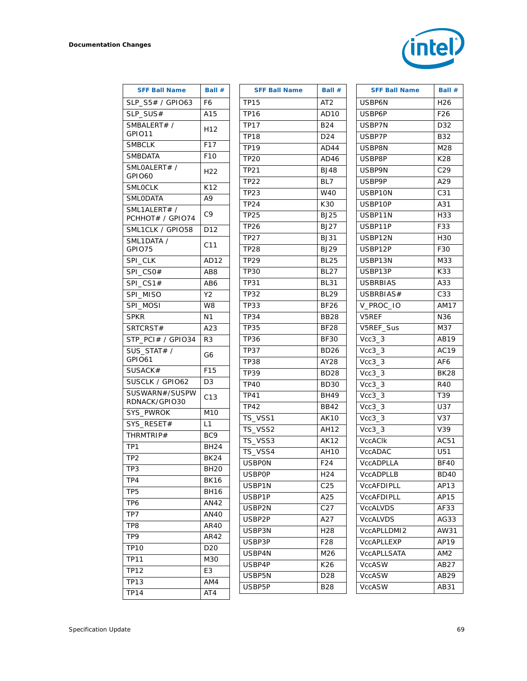

| <b>SFF Ball Name</b>            | Ball #          |
|---------------------------------|-----------------|
| SLP S5# / GPIO63                | F6              |
| SLP SUS#                        | A15             |
| SMBALERT# /                     | H12             |
| GPIO11                          |                 |
| <b>SMBCLK</b>                   | F17             |
| <b>SMBDATA</b>                  | F10             |
| SMLOALERT# /<br>GPIO60          | H22             |
| <b>SMLOCLK</b>                  | K12             |
| SMLODATA                        | А9              |
| SML1ALERT# /                    | C9              |
| PCHHOT# / GPIO74                |                 |
| SML1CLK / GPIO58                | D12             |
| SML1DATA /<br>GPIO75            | C11             |
| SPI_CLK                         | AD12            |
| SPI_CSO#                        | AB8             |
| $SPI_CST#$                      | AB6             |
| SPI_MISO                        | Υ2              |
| SPI_MOSI                        | W8              |
| <b>SPKR</b>                     | N1              |
| SRTCRST#                        | A23             |
| STP PCI# / GPIO34               | R3              |
| SUS_STAT# /<br>GPIO61           | G6              |
| SUSACK#                         | F <sub>15</sub> |
| SUSCLK / GPIO62                 | D3              |
| SUSWARN#/SUSPW<br>RDNACK/GPIO30 | C13             |
| SYS_PWROK                       | M10             |
| SYS_RESET#                      | L1              |
| THRMTRIP#                       | BC9             |
| TP1                             | <b>BH24</b>     |
| TP <sub>2</sub>                 | <b>BK24</b>     |
| IP3                             | BH20            |
| TP4                             | <b>BK16</b>     |
| TP <sub>5</sub>                 | <b>BH16</b>     |
| TP6                             | AN42            |
| TP7                             | AN40            |
| TP8                             | AR40            |
| TP9                             | AR42            |
| <b>TP10</b>                     | D <sub>20</sub> |
| TP11                            | M30             |
| TP12                            | E3              |
| <b>TP13</b>                     | AM4             |
| <b>TP14</b>                     | AT4             |

| <b>SFF Ball Name</b> | Ball #           |  |
|----------------------|------------------|--|
| TP15                 | AT2              |  |
| TP16                 | AD10             |  |
| <b>TP17</b>          | <b>B24</b>       |  |
| TP18                 | D <sub>24</sub>  |  |
| TP19                 | AD44             |  |
| TP20                 | AD46             |  |
| <b>TP21</b>          | <b>BJ48</b>      |  |
| <b>TP22</b>          | BL7              |  |
| <b>TP23</b>          | W40              |  |
| TP24                 | K30              |  |
| TP25                 | BJ25             |  |
| TP26                 | <b>BJ27</b>      |  |
| <b>TP27</b>          | <b>BJ31</b>      |  |
| <b>TP28</b>          | BJ29             |  |
| <b>TP29</b>          | <b>BL25</b>      |  |
| TP30                 | <b>BL27</b>      |  |
| TP31                 | BL31             |  |
| <b>TP32</b>          | BL <sub>29</sub> |  |
| <b>TP33</b>          | <b>BF26</b>      |  |
| <b>TP34</b>          | <b>BB28</b>      |  |
| TP35                 | BF28             |  |
| TP36                 | <b>BF30</b>      |  |
| <b>TP37</b>          | BD <sub>26</sub> |  |
| <b>TP38</b>          | AY28             |  |
| TP39                 | BD28             |  |
| TP40                 | <b>BD30</b>      |  |
| TP41                 | BH49             |  |
| TP42                 | BB42             |  |
| TS_VSS1              | <b>AK10</b>      |  |
| $TS_VSS2$            | AH12             |  |
| TS_VSS3              | <b>AK12</b>      |  |
| TS VSS4              | AH10             |  |
| <b>USBPON</b>        | F24              |  |
| <b>USBPOP</b>        | H <sub>24</sub>  |  |
| USBP1N               | C <sub>25</sub>  |  |
| USBP1P               | A25              |  |
| USBP2N               | C <sub>27</sub>  |  |
| USBP2P               | A27              |  |
| USBP3N               | H28              |  |
| USBP3P               | F28              |  |
| USBP4N               | M26              |  |
| USBP4P               | $\overline{K26}$ |  |
| USBP5N               | D28              |  |
| USBP5P               | B28              |  |
|                      |                  |  |

| <b>SFF Ball Name</b> | Ball #          |
|----------------------|-----------------|
| USBP6N               | H26             |
| USBP6P               | F26             |
| USBP7N               | D32             |
| USBP7P               | <b>B32</b>      |
| USBP8N               | M28             |
| USBP8P               | K28             |
| USBP9N               | C <sub>29</sub> |
| USBP9P               | A29             |
| USBP10N              | C31             |
| USBP10P              | A31             |
| USBP11N              | H33             |
| USBP11P              | F33             |
| USBP12N              | H30             |
| USBP12P              | F30             |
| USBP13N              | M33             |
| USBP13P              | K33             |
| USBRBIAS             | A33             |
| USBRBIAS#            | C33             |
| V PROC 10            | AM17            |
| V5REF                | N36             |
| V5REF_Sus            | M37             |
| $Vcc3_3$             | AB19            |
| $Vcc3_3$             | AC19            |
| $Vcc3_3$             | AF6             |
| $Vcc3$ 3             | BK28            |
| $Vcc3$ <sub>_3</sub> | R40             |
| $Vcc3$ 3             | T39             |
| 3<br>Vcc3            | U37             |
| $Vcc3_3$             | V37             |
| $Vcc3_3$             | V39             |
| VccACIk              | AC51            |
| VccADAC              | U51             |
| VCCADPLLA            | <b>BF40</b>     |
| VccADPLLB            | BD40            |
| VccAFDIPLL           | AP13            |
| VccAFDIPLL           | AP15            |
| VccALVDS             | AF33            |
| <b>VccALVDS</b>      | AG33            |
| VccAPLLDMI2          | AW31            |
| VccAPLLEXP           | AP19            |
| <b>VccAPLLSATA</b>   | AM2             |
| <b>VccASW</b>        | AB27            |
| <b>VccASW</b>        | AB29            |
| VccASW               | AB31            |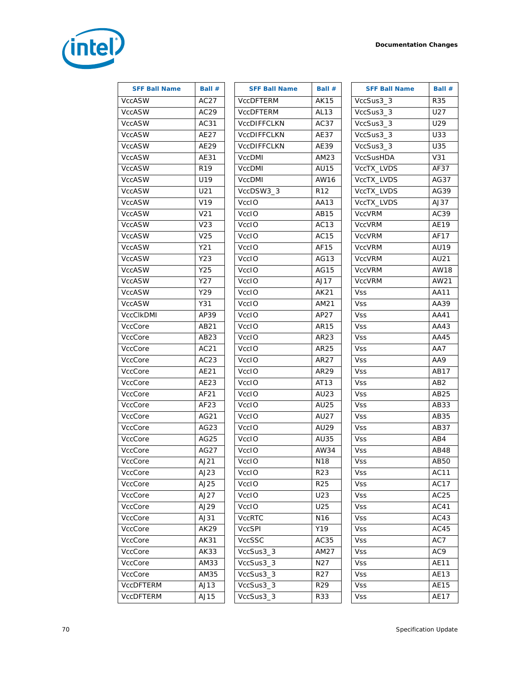

| <b>SFF Ball Name</b> | Ball #          |
|----------------------|-----------------|
| <b>VccASW</b>        | AC27            |
| <b>VccASW</b>        | AC29            |
| <b>VccASW</b>        | AC31            |
| <b>VccASW</b>        | AE27            |
| <b>VccASW</b>        | AE29            |
| <b>VccASW</b>        | AE31            |
| <b>VccASW</b>        | R <sub>19</sub> |
| <b>VccASW</b>        | U19             |
| <b>VccASW</b>        | U21             |
| <b>VccASW</b>        | V19             |
| <b>VccASW</b>        | V <sub>21</sub> |
| VccASW               | V <sub>23</sub> |
| <b>VccASW</b>        | V25             |
| <b>VccASW</b>        | Y21             |
| <b>VccASW</b>        | Y23             |
| <b>VccASW</b>        | Y25             |
| <b>VccASW</b>        | Y27             |
| <b>VccASW</b>        | Y29             |
| <b>VccASW</b>        | Y31             |
| <b>VccClkDMI</b>     | AP39            |
| VccCore              | AB21            |
| VccCore              | AB23            |
| VccCore              | AC21            |
| VccCore              | AC23            |
| VccCore              | AE21            |
| VccCore              | AE23            |
| VccCore              | AF21            |
| VccCore              | AF23            |
| VccCore              | AG21            |
| VccCore              | AG23            |
| VccCore              | AG25            |
| VccCore              | <b>AG27</b>     |
| VccCore              | AJ21            |
| VccCore              | AJ23            |
| VccCore              | AJ25            |
| VccCore              | AJ27            |
| VccCore              | AJ29            |
| VccCore              | AJ31            |
| VccCore              | <b>AK29</b>     |
| VccCore              | AK31            |
| VccCore              | AK33            |
| VccCore              | AM33            |
| VccCore              | AM35            |
| <b>VccDFTERM</b>     | AJ13            |
| <b>VccDFTERM</b>     | AJ15            |

| <b>SFF Ball Name</b> | Ball #           |
|----------------------|------------------|
| <b>VccDFTERM</b>     | <b>AK15</b>      |
| VccDFTERM            | AL <sub>13</sub> |
| VccDIFFCLKN          | AC37             |
| VccDIFFCLKN          | AE37             |
| VccDIFFCLKN          | AE39             |
| VccDMI               | AM23             |
| VccDMI               | <b>AU15</b>      |
| <b>VccDMI</b>        | AW16             |
| VccDSW3_3            | R12              |
| VccIO                | AA13             |
| VccIO                | AB15             |
| VccIO                | AC13             |
| VccIO                | AC15             |
| VccIO                | AF15             |
| VccIO                | AG13             |
| VccIO                | AG15             |
| VccIO                | AJ17             |
| VccIO                | AK21             |
| VccIO                | AM21             |
| VccIO                | AP27             |
| VccIO                | AR15             |
| VccIO                | AR23             |
| VccIO                | AR25             |
| VccIO                | AR27             |
| VccIO                | AR29             |
| VccIO                | AT13             |
| VccIO                | AU23             |
| VccIO                | AU25             |
| VccIO                | <b>AU27</b>      |
| VccIO                | AU29             |
| VccIO                | AU35             |
| VccIO                | AW34             |
| VccIO                | N <sub>18</sub>  |
| VccIO                | R23              |
| VccIO                | R <sub>25</sub>  |
| VccIO                | U23              |
| VccIO                | U25              |
| <b>VccRTC</b>        | N16              |
| <b>VccSPI</b>        | Y19              |
| VccSSC               | AC35             |
| VccSus3<br>3         | AM27             |
| VccSus3<br>3         | N27              |
| VccSus3_3            | R27              |
| $VccSus3_3$          | R <sub>29</sub>  |
| VccSus3 3            | R33              |

| <b>SFF Ball Name</b> | Ball #          |
|----------------------|-----------------|
| VccSus3_3            | <b>R35</b>      |
| VccSus3_3            | U27             |
| VccSus3_3            | U29             |
| VccSus3_3            | U33             |
| VccSus3_3            | U35             |
| VccSusHDA            | V31             |
| VccTX_LVDS           | AF37            |
| VccTX_LVDS           | AG37            |
| <b>VccTX LVDS</b>    | AG39            |
| VccTX_LVDS           | AJ37            |
| VccVRM               | AC39            |
| <b>VccVRM</b>        | AE19            |
| VccVRM               | AF17            |
| <b>VccVRM</b>        | <b>AU19</b>     |
| <b>VccVRM</b>        | AU21            |
| <b>VccVRM</b>        | AW18            |
| <b>VccVRM</b>        | AW21            |
| Vss                  | AA11            |
| Vss                  | AA39            |
| Vss                  | AA41            |
| Vss                  | AA43            |
| Vss                  | AA45            |
| Vss                  | AA7             |
| Vss                  | AA9             |
| Vss                  | AB17            |
| Vss                  | AB <sub>2</sub> |
| Vss                  | AB25            |
| Vss                  | AB33            |
| Vss                  | AB35            |
| Vss                  | AB37            |
| Vss                  | AB4             |
| Vss                  | AB48            |
| Vss                  | AB50            |
| Vss                  | AC11            |
| Vss                  | AC17            |
| Vss                  | AC25            |
| Vss                  | AC41            |
| Vss                  | AC43            |
| Vss                  | AC45            |
| Vss                  | AC7             |
| Vss                  | AC9             |
| Vss                  | AE11            |
| Vss                  | AE13            |
| Vss                  | AE15            |
| Vss                  | AE17            |
|                      |                 |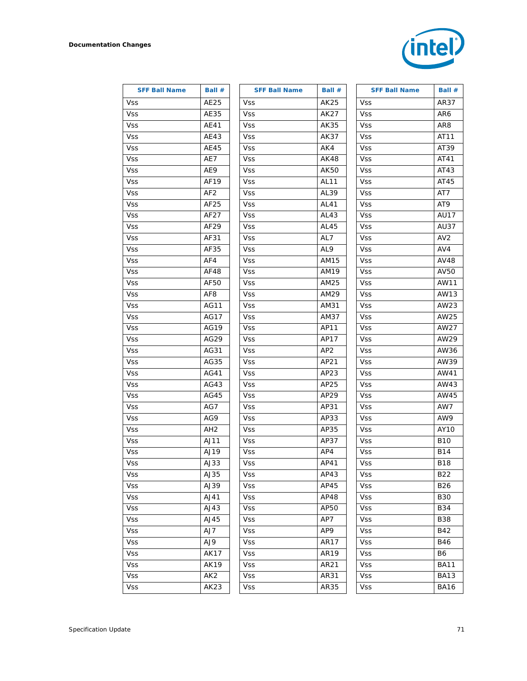

| AE25<br>Vss<br>AE35<br>Vss<br><b>Vss</b><br>AE41<br>AE43<br>Vss<br>AE45<br>Vss<br>AE7<br>Vss<br>AE9<br>Vss<br>AF19<br>Vss<br>AF2<br>Vss<br>AF25<br>Vss<br><b>Vss</b><br>AF <sub>27</sub><br>Vss<br>AF29<br>AF31<br>Vss<br>AF35<br>Vss<br>Vss<br>AF4<br>Vss<br>AF48<br>AF50<br>Vss<br>AF8<br>Vss<br><b>Vss</b><br>AG11<br>AG17<br>Vss<br>AG19<br>Vss<br>Vss<br>AG29<br>Vss<br>AG31<br>Vss<br>AG35<br>Vss<br>AG41<br>AG43<br>Vss<br>Vss<br>AG45<br>Vss<br>AG7<br>AG9<br>Vss<br>Vss<br>AH2<br>AJ11<br>Vss<br>Vss<br>AJ19<br>AJ33<br>Vss<br>Vss<br>AJ35<br>AJ39<br>Vss<br>AJ41<br>Vss<br>AJ43<br>Vss<br>AJ45<br>Vss<br>Vss<br>AJ7<br>AJ9<br>Vss<br><b>AK17</b><br>Vss<br>AK19<br>Vss<br>AK <sub>2</sub><br>Vss<br>AK23<br>Vss | <b>SFF Ball Name</b> | Ball # |
|---------------------------------------------------------------------------------------------------------------------------------------------------------------------------------------------------------------------------------------------------------------------------------------------------------------------------------------------------------------------------------------------------------------------------------------------------------------------------------------------------------------------------------------------------------------------------------------------------------------------------------------------------------------------------------------------------------------------------|----------------------|--------|
|                                                                                                                                                                                                                                                                                                                                                                                                                                                                                                                                                                                                                                                                                                                           |                      |        |
|                                                                                                                                                                                                                                                                                                                                                                                                                                                                                                                                                                                                                                                                                                                           |                      |        |
|                                                                                                                                                                                                                                                                                                                                                                                                                                                                                                                                                                                                                                                                                                                           |                      |        |
|                                                                                                                                                                                                                                                                                                                                                                                                                                                                                                                                                                                                                                                                                                                           |                      |        |
|                                                                                                                                                                                                                                                                                                                                                                                                                                                                                                                                                                                                                                                                                                                           |                      |        |
|                                                                                                                                                                                                                                                                                                                                                                                                                                                                                                                                                                                                                                                                                                                           |                      |        |
|                                                                                                                                                                                                                                                                                                                                                                                                                                                                                                                                                                                                                                                                                                                           |                      |        |
|                                                                                                                                                                                                                                                                                                                                                                                                                                                                                                                                                                                                                                                                                                                           |                      |        |
|                                                                                                                                                                                                                                                                                                                                                                                                                                                                                                                                                                                                                                                                                                                           |                      |        |
|                                                                                                                                                                                                                                                                                                                                                                                                                                                                                                                                                                                                                                                                                                                           |                      |        |
|                                                                                                                                                                                                                                                                                                                                                                                                                                                                                                                                                                                                                                                                                                                           |                      |        |
|                                                                                                                                                                                                                                                                                                                                                                                                                                                                                                                                                                                                                                                                                                                           |                      |        |
|                                                                                                                                                                                                                                                                                                                                                                                                                                                                                                                                                                                                                                                                                                                           |                      |        |
|                                                                                                                                                                                                                                                                                                                                                                                                                                                                                                                                                                                                                                                                                                                           |                      |        |
|                                                                                                                                                                                                                                                                                                                                                                                                                                                                                                                                                                                                                                                                                                                           |                      |        |
|                                                                                                                                                                                                                                                                                                                                                                                                                                                                                                                                                                                                                                                                                                                           |                      |        |
|                                                                                                                                                                                                                                                                                                                                                                                                                                                                                                                                                                                                                                                                                                                           |                      |        |
|                                                                                                                                                                                                                                                                                                                                                                                                                                                                                                                                                                                                                                                                                                                           |                      |        |
|                                                                                                                                                                                                                                                                                                                                                                                                                                                                                                                                                                                                                                                                                                                           |                      |        |
|                                                                                                                                                                                                                                                                                                                                                                                                                                                                                                                                                                                                                                                                                                                           |                      |        |
|                                                                                                                                                                                                                                                                                                                                                                                                                                                                                                                                                                                                                                                                                                                           |                      |        |
|                                                                                                                                                                                                                                                                                                                                                                                                                                                                                                                                                                                                                                                                                                                           |                      |        |
|                                                                                                                                                                                                                                                                                                                                                                                                                                                                                                                                                                                                                                                                                                                           |                      |        |
|                                                                                                                                                                                                                                                                                                                                                                                                                                                                                                                                                                                                                                                                                                                           |                      |        |
|                                                                                                                                                                                                                                                                                                                                                                                                                                                                                                                                                                                                                                                                                                                           |                      |        |
|                                                                                                                                                                                                                                                                                                                                                                                                                                                                                                                                                                                                                                                                                                                           |                      |        |
|                                                                                                                                                                                                                                                                                                                                                                                                                                                                                                                                                                                                                                                                                                                           |                      |        |
|                                                                                                                                                                                                                                                                                                                                                                                                                                                                                                                                                                                                                                                                                                                           |                      |        |
|                                                                                                                                                                                                                                                                                                                                                                                                                                                                                                                                                                                                                                                                                                                           |                      |        |
|                                                                                                                                                                                                                                                                                                                                                                                                                                                                                                                                                                                                                                                                                                                           |                      |        |
|                                                                                                                                                                                                                                                                                                                                                                                                                                                                                                                                                                                                                                                                                                                           |                      |        |
|                                                                                                                                                                                                                                                                                                                                                                                                                                                                                                                                                                                                                                                                                                                           |                      |        |
|                                                                                                                                                                                                                                                                                                                                                                                                                                                                                                                                                                                                                                                                                                                           |                      |        |
|                                                                                                                                                                                                                                                                                                                                                                                                                                                                                                                                                                                                                                                                                                                           |                      |        |
|                                                                                                                                                                                                                                                                                                                                                                                                                                                                                                                                                                                                                                                                                                                           |                      |        |
|                                                                                                                                                                                                                                                                                                                                                                                                                                                                                                                                                                                                                                                                                                                           |                      |        |
|                                                                                                                                                                                                                                                                                                                                                                                                                                                                                                                                                                                                                                                                                                                           |                      |        |
|                                                                                                                                                                                                                                                                                                                                                                                                                                                                                                                                                                                                                                                                                                                           |                      |        |
|                                                                                                                                                                                                                                                                                                                                                                                                                                                                                                                                                                                                                                                                                                                           |                      |        |
|                                                                                                                                                                                                                                                                                                                                                                                                                                                                                                                                                                                                                                                                                                                           |                      |        |
|                                                                                                                                                                                                                                                                                                                                                                                                                                                                                                                                                                                                                                                                                                                           |                      |        |
|                                                                                                                                                                                                                                                                                                                                                                                                                                                                                                                                                                                                                                                                                                                           |                      |        |
|                                                                                                                                                                                                                                                                                                                                                                                                                                                                                                                                                                                                                                                                                                                           |                      |        |
|                                                                                                                                                                                                                                                                                                                                                                                                                                                                                                                                                                                                                                                                                                                           |                      |        |

| <b>SFF Ball Name</b> | Ball #      |                         |
|----------------------|-------------|-------------------------|
| <b>Vss</b>           | AK25        | V                       |
| <b>Vss</b>           | <b>AK27</b> | V                       |
| <b>Vss</b>           | AK35        | V.                      |
| Vss                  | AK37        | V:                      |
| <b>Vss</b>           | AK4         | V                       |
| Vss                  | AK48        | V.                      |
| <b>Vss</b>           | <b>AK50</b> | V                       |
| <b>Vss</b>           | AL11        | V                       |
| <b>Vss</b>           | AL39        | V                       |
| <b>Vss</b>           | AL41        | V                       |
| <b>Vss</b>           | AL43        | V                       |
| Vss                  | AL45        | V:                      |
| <b>Vss</b>           | AL7         | V                       |
| Vss                  | AL9         | .<br>۷                  |
| <b>Vss</b>           | AM15        | V:                      |
| <b>Vss</b>           | AM19        | V                       |
| Vss                  | AM25        | V:                      |
| <b>Vss</b>           | AM29        | V                       |
| <b>Vss</b>           | AM31        | V                       |
| <b>Vss</b>           | AM37        | V:                      |
| <b>Vss</b>           | AP11        | $\overline{\mathsf{V}}$ |
| <b>Vss</b>           | AP17        | V                       |
| Vss                  | AP2         | V                       |
| Vss                  | AP21        | V                       |
| Vss                  | AP23        | V:                      |
| <b>Vss</b>           | AP25        | V:                      |
| <b>Vss</b>           | AP29        | V                       |
| <b>Vss</b>           | AP31        | V.                      |
| Vss                  | AP33        | V:                      |
| <b>Vss</b>           | AP35        | V                       |
| <b>Vss</b>           | AP37        | V:                      |
| Vss                  | AP4         | $\overline{\mathsf{V}}$ |
| <b>Vss</b>           | AP41        | $\overline{\mathsf{v}}$ |
| V <sub>ss</sub>      | AP43        | V                       |
| Vss                  | AP45        | V                       |
| <b>Vss</b>           | AP48        | V                       |
| <b>Vss</b>           | AP50        | V                       |
| <b>Vss</b>           | AP7         | V                       |
| <b>Vss</b>           | AP9         | V                       |
| Vss                  | AR17        | V                       |
| Vss                  | AR19        | V                       |
| Vss                  | AR21        | V                       |
| <b>Vss</b>           | AR31        | V:                      |
| Vss                  | AR35        |                         |
|                      |             |                         |

| <b>SFF Ball Name</b> | Ball #      |
|----------------------|-------------|
| Vss                  | AR37        |
| Vss                  | AR6         |
| <b>Vss</b>           | AR8         |
| <b>Vss</b>           | AT11        |
| Vss                  | AT39        |
| Vss                  | AT41        |
| Vss                  | AT43        |
| Vss                  | AT45        |
| Vss                  | AT7         |
| Vss                  | AT9         |
| Vss                  | AU17        |
| Vss                  | AU37        |
| Vss                  | AV2         |
| Vss                  | AV4         |
| Vss                  | AV48        |
| Vss                  | AV50        |
| Vss                  | AW11        |
| Vss                  | AW13        |
| Vss                  | AW23        |
| Vss                  | AW25        |
| Vss                  | AW27        |
| <b>Vss</b>           | AW29        |
| Vss                  | AW36        |
| Vss                  | AW39        |
| Vss                  | AW41        |
| <b>Vss</b>           | AW43        |
| Vss                  | AW45        |
| Vss                  | AW7         |
| Vss                  | AW9         |
| Vss                  | AY10        |
| Vss                  | B10         |
| Vss                  | <b>B14</b>  |
| .<br>Vss             | <b>B18</b>  |
| Vss                  | B22         |
| Vss                  | B26         |
| Vss                  | B30         |
| Vss                  | <b>B34</b>  |
| Vss                  | B38         |
| Vss                  | <b>B42</b>  |
| Vss                  | B46         |
| Vss                  | Β6          |
| Vss                  | <b>BA11</b> |
| Vss                  | BA13        |
| Vss                  | <b>BA16</b> |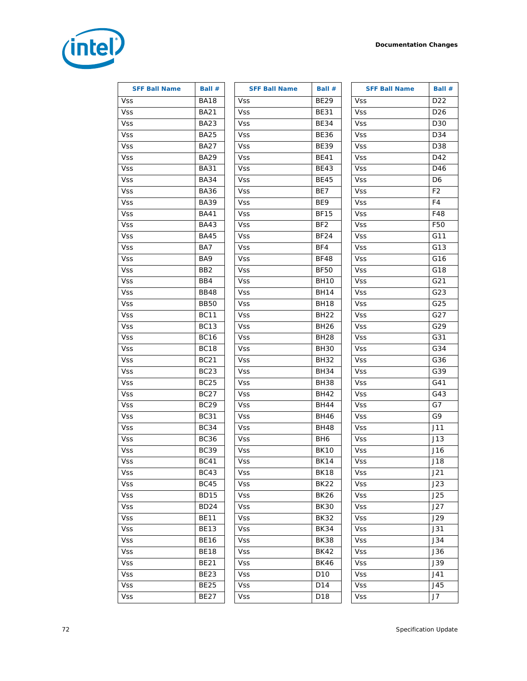

| <b>SFF Ball Name</b> | Ball #          |  |
|----------------------|-----------------|--|
| Vss                  | <b>BA18</b>     |  |
| Vss                  | <b>BA21</b>     |  |
| <b>Vss</b>           | BA23            |  |
| Vss                  | <b>BA25</b>     |  |
| <b>Vss</b>           | <b>BA27</b>     |  |
| Vss                  | <b>BA29</b>     |  |
| <b>Vss</b>           | <b>BA31</b>     |  |
| <b>Vss</b>           | <b>BA34</b>     |  |
| Vss                  | <b>BA36</b>     |  |
| Vss                  | <b>BA39</b>     |  |
| Vss                  | <b>BA41</b>     |  |
| Vss                  | <b>BA43</b>     |  |
| Vss                  | <b>BA45</b>     |  |
| Vss                  | BA7             |  |
| Vss                  | BA9             |  |
| Vss                  | BB <sub>2</sub> |  |
| Vss                  | BB4             |  |
| <b>Vss</b>           | <b>BB48</b>     |  |
| Vss                  | <b>BB50</b>     |  |
| Vss                  | <b>BC11</b>     |  |
| Vss                  | <b>BC13</b>     |  |
| <b>Vss</b>           | <b>BC16</b>     |  |
| <b>Vss</b>           | <b>BC18</b>     |  |
| Vss                  | <b>BC21</b>     |  |
| Vss                  | BC23            |  |
| Vss                  | <b>BC25</b>     |  |
| Vss                  | <b>BC27</b>     |  |
| Vss                  | <b>BC29</b>     |  |
| <b>Vss</b>           | <b>BC31</b>     |  |
| <b>Vss</b>           | <b>BC34</b>     |  |
| Vss                  | <b>BC36</b>     |  |
| Vss                  | <b>BC39</b>     |  |
| Vss                  | BC41            |  |
| Vss                  | BC43            |  |
| Vss                  | <b>BC45</b>     |  |
| Vss                  | BD15            |  |
| Vss                  | <b>BD24</b>     |  |
| Vss                  | <b>BE11</b>     |  |
| Vss                  | <b>BE13</b>     |  |
| Vss                  | <b>BE16</b>     |  |
| Vss                  | <b>BE18</b>     |  |
| Vss                  | <b>BE21</b>     |  |
| Vss                  | <b>BE23</b>     |  |
| Vss                  | <b>BE25</b>     |  |
| Vss                  | <b>BE27</b>     |  |
|                      |                 |  |

| <b>SFF Ball Name</b> | Ball #          |
|----------------------|-----------------|
| Vss                  | <b>BE29</b>     |
| Vss                  | BE31            |
| Vss                  | <b>BE34</b>     |
| Vss                  | <b>BE36</b>     |
| Vss                  | <b>BE39</b>     |
| Vss                  | BE41            |
| Vss                  | <b>BE43</b>     |
| Vss                  | <b>BE45</b>     |
| Vss                  | BE7             |
| Vss                  | BE9             |
| Vss                  | <b>BF15</b>     |
| Vss                  | BF <sub>2</sub> |
| Vss                  | <b>BF24</b>     |
| Vss                  | BF4             |
| Vss                  | <b>BF48</b>     |
| Vss                  | <b>BF50</b>     |
| Vss                  | <b>BH10</b>     |
| Vss                  | <b>BH14</b>     |
| Vss                  | BH18            |
| Vss                  | BH22            |
| Vss                  | <b>BH26</b>     |
| Vss                  | <b>BH28</b>     |
| Vss                  | <b>BH30</b>     |
| Vss                  | BH32            |
| Vss                  | <b>BH34</b>     |
| Vss                  | <b>BH38</b>     |
| Vss                  | <b>BH42</b>     |
| Vss                  | <b>BH44</b>     |
| Vss                  | <b>BH46</b>     |
| Vss                  | <b>BH48</b>     |
| Vss                  | BH6             |
| Vss                  | <b>BK10</b>     |
| Vss                  | <b>BK14</b>     |
| Vss                  | BK18            |
| Vss                  | BK22            |
| Vss                  | BK26            |
| Vss                  | <b>BK30</b>     |
| Vss                  | <b>BK32</b>     |
| Vss                  | <b>BK34</b>     |
| Vss                  | <b>BK38</b>     |
| Vss                  | <b>BK42</b>     |
| Vss                  | <b>BK46</b>     |
| Vss                  | D10             |
| Vss                  | D14             |
| Vss                  | D18             |
|                      |                 |

| <b>SFF Ball Name</b> | Ball #           |
|----------------------|------------------|
| Vss                  | D22              |
| Vss                  | D <sub>26</sub>  |
| Vss                  | D30              |
| Vss                  | D34              |
| Vss                  | D38              |
| Vss                  | D42              |
| Vss                  | D46              |
| Vss                  | D6               |
| Vss                  | F <sub>2</sub>   |
| Vss                  | F4               |
| Vss                  | F48              |
| Vss                  | F50              |
| Vss                  | G11              |
| Vss                  | G13              |
| Vss                  | G16              |
| Vss                  | G18              |
| Vss                  | G21              |
| Vss                  | G23              |
| Vss                  | G25              |
| Vss                  | G27              |
| Vss                  | G29              |
| Vss                  | G31              |
| Vss                  | G34              |
| Vss                  | G36              |
| Vss                  | G39              |
| Vss                  | G41              |
| Vss                  | G43              |
| Vss                  | G7               |
| Vss                  | G9               |
| Vss                  | J11              |
| Vss                  | $\overline{J13}$ |
| Vss                  | J16              |
| Vss                  | J18              |
| Vss                  | J21              |
| Vss                  | J23              |
| Vss                  | J25              |
| Vss                  | J27              |
| Vss                  | J29              |
| Vss                  | J31              |
| Vss                  | J34              |
| Vss                  | J36              |
| Vss                  | J39              |
| Vss                  | J41              |
| Vss                  | J45              |
| Vss                  | J7               |
|                      |                  |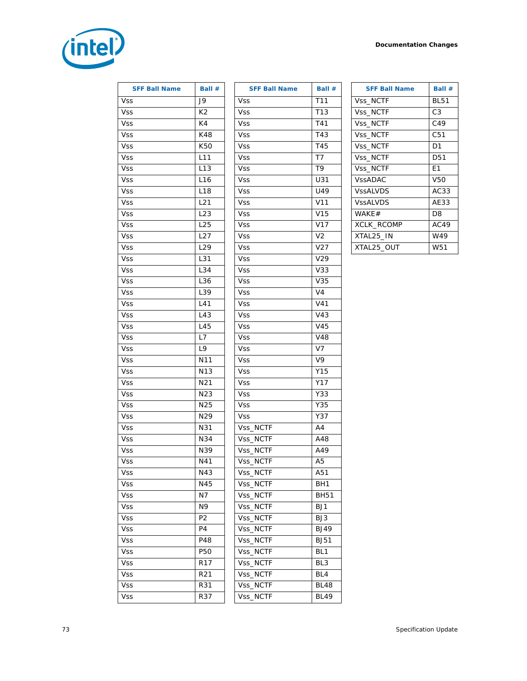

|            | <b>SFF Ball Name</b> | Ball #          | <b>SFF Ball Name</b> |
|------------|----------------------|-----------------|----------------------|
| Vss        |                      | J9              | <b>Vss</b>           |
| Vss        |                      | K2              | <b>Vss</b>           |
| Vss        |                      | K4              | Vss                  |
| Vss        |                      | K48             | Vss                  |
| Vss        |                      | K50             | Vss                  |
| Vss        |                      | L11             | Vss                  |
| Vss        |                      | L13             | Vss                  |
| Vss        |                      | L <sub>16</sub> | <b>Vss</b>           |
| Vss        |                      | L <sub>18</sub> | Vss                  |
| Vss        |                      | L21             | Vss                  |
| Vss        |                      | L <sub>23</sub> | Vss                  |
| Vss        |                      | L <sub>25</sub> | Vss                  |
| Vss        |                      | L27             | Vss                  |
| Vss        |                      | L29             | Vss                  |
| Vss        |                      | L31             | Vss                  |
| Vss        |                      | L34             | Vss                  |
| Vss        |                      | L36             | Vss                  |
| <b>Vss</b> |                      | L39             | Vss                  |
| Vss        |                      | L41             | Vss                  |
| Vss        |                      | L43             | Vss                  |
| Vss        |                      | L45             | Vss                  |
| Vss        |                      | L7              | Vss                  |
| Vss        |                      | L9              | Vss                  |
| Vss        |                      | N11             | Vss                  |
| Vss        |                      | N13             | Vss                  |
| Vss        |                      | N21             | Vss                  |
| Vss        |                      | N23             | Vss                  |
| Vss        |                      | N25             | Vss                  |
| Vss        |                      | N29             | Vss                  |
| Vss        |                      | N31             | Vss_NCTF             |
| Vss        |                      | N34             | Vss_NCTF             |
| Vss        |                      | N39             | Vss_NCTF             |
| Vss        |                      | N41             | Vss NCTF             |
| Vss        |                      | N43             | Vss_NCTF             |
| Vss        |                      | N45             | Vss_NCTF             |
| Vss        |                      | N7              | Vss_NCTF             |
| Vss        |                      | N9              | Vss<br><b>NCTF</b>   |
| Vss        |                      | P <sub>2</sub>  | Vss_NCTF             |
| Vss        |                      | P4              | Vss_NCTF             |
| Vss        |                      | P48             | Vss_NCTF             |
| Vss        |                      | P50             | Vss NCTF             |
| Vss        |                      | R17             | <b>NCTF</b><br>Vss   |
| Vss        |                      | R21             | Vss_NCTF             |
| Vss        |                      | R31             | Vss_NCTF             |
| Vss        |                      | R37             | <b>NCTF</b><br>Vss   |

| <b>SFF Ball Name</b> | Ball #          |
|----------------------|-----------------|
| Vss_NCTF             | BL51            |
| Vss NCTF             | C3              |
| Vss_NCTF             | C49             |
| <b>Vss NCTF</b>      | C <sub>51</sub> |
| Vss_NCTF             | D1              |
| Vss_NCTF             | D <sub>51</sub> |
| Vss_NCTF             | E1              |
| <b>VssADAC</b>       | V50             |
| VssALVDS             | AC33            |
| VssAI VDS            | AE33            |
| WAKE#                | D8              |
| <b>XCLK RCOMP</b>    | AC49            |
| XTAL25 IN            | W49             |
| XTAL25 OUT           | W <sub>51</sub> |

 $T11$ T13 T41  $T43$  $\overline{745}$  $\overline{17}$  $\overline{19}$ U31 U49  $V11$  $V15$  $V17$  $V<sub>2</sub>$  $V<sub>27</sub>$ V<sub>29</sub>  $V33$ **V35**  $V<sub>4</sub>$  $V<sub>41</sub>$  $V43$  $V45$ V48  $V<sub>7</sub>$ V9  $Y15$ Y17 Y33 Y35 Y37  $A4$ A48 A49  $A5$ A51 BH<sub>1</sub> BH51 BJ1 BJ3 BJ49 **BJ51** BL<sub>1</sub> BL3 BL4 BL48 BL49

Ball #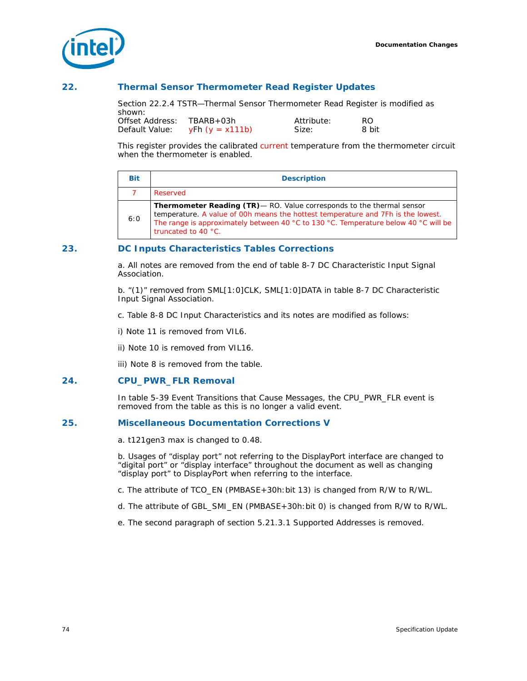

# **22. Thermal Sensor Thermometer Read Register Updates**

Section 22.2.4 TSTR—Thermal Sensor Thermometer Read Register is modified as shown:

| 31 IU VV I I.   |                   |            |       |
|-----------------|-------------------|------------|-------|
| Offset Address: | $TBARB+03h$       | Attribute: | RO    |
| Default Value:  | $vFh (v = x111b)$ | Size:      | 8 bit |

This register provides the calibrated current temperature from the thermometer circuit when the thermometer is enabled.

| Bit | <b>Description</b>                                                                                                                                                                                                                                                              |
|-----|---------------------------------------------------------------------------------------------------------------------------------------------------------------------------------------------------------------------------------------------------------------------------------|
|     | Reserved                                                                                                                                                                                                                                                                        |
| 6:0 | <b>Thermometer Reading (TR)</b> — RO. Value corresponds to the thermal sensor<br>temperature. A value of 00h means the hottest temperature and 7Fh is the lowest.<br>The range is approximately between 40 °C to 130 °C. Temperature below 40 °C will be<br>truncated to 40 °C. |

## **23. DC Inputs Characteristics Tables Corrections**

a. All notes are removed from the end of table 8-7 DC Characteristic Input Signal Association.

b. "(1)" removed from SML[1:0]CLK, SML[1:0]DATA in table 8-7 DC Characteristic Input Signal Association.

c. Table 8-8 DC Input Characteristics and its notes are modified as follows:

i) Note 11 is removed from VIL6.

ii) Note 10 is removed from VIL16.

iii) Note 8 is removed from the table.

### **24. CPU\_PWR\_FLR Removal**

In table 5-39 Event Transitions that Cause Messages, the CPU\_PWR\_FLR event is removed from the table as this is no longer a valid event.

### **25. Miscellaneous Documentation Corrections V**

a. t121gen3 max is changed to 0.48.

b. Usages of "display port" not referring to the DisplayPort interface are changed to "digital port" or "display interface" throughout the document as well as changing "display port" to DisplayPort when referring to the interface.

- c. The attribute of TCO\_EN (PMBASE+30h:bit 13) is changed from R/W to R/WL.
- d. The attribute of GBL\_SMI\_EN (PMBASE+30h:bit 0) is changed from R/W to R/WL.
- e. The second paragraph of section 5.21.3.1 Supported Addresses is removed.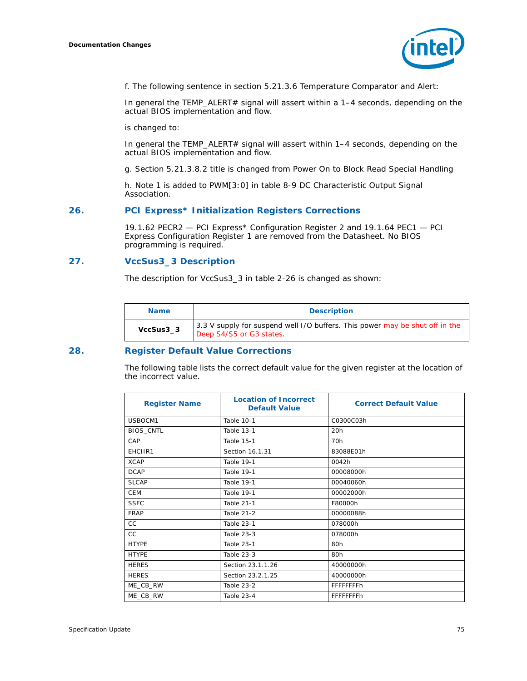

f. The following sentence in section 5.21.3.6 Temperature Comparator and Alert:

In general the TEMP\_ALERT# signal will assert within a 1–4 seconds, depending on the actual BIOS implementation and flow.

is changed to:

In general the TEMP\_ALERT# signal will assert within 1-4 seconds, depending on the actual BIOS implementation and flow.

g. Section 5.21.3.8.2 title is changed from Power On to Block Read Special Handling

h. Note 1 is added to PWM[3:0] in table 8-9 DC Characteristic Output Signal Association.

## **26. PCI Express\* Initialization Registers Corrections**

19.1.62 PECR2 — PCI Express\* Configuration Register 2 and 19.1.64 PEC1 — PCI Express Configuration Register 1 are removed from the Datasheet. No BIOS programming is required.

### **27. VccSus3\_3 Description**

The description for VccSus3\_3 in table 2-26 is changed as shown:

| <b>Name</b> | <b>Description</b>                                                                                        |
|-------------|-----------------------------------------------------------------------------------------------------------|
| VccSus3_3   | 13.3 V supply for suspend well I/O buffers. This power may be shut off in the<br>Deep S4/S5 or G3 states. |

### **28. Register Default Value Corrections**

The following table lists the correct default value for the given register at the location of the incorrect value.

| <b>Register Name</b> | <b>Location of Incorrect</b><br><b>Default Value</b> | <b>Correct Default Value</b> |
|----------------------|------------------------------------------------------|------------------------------|
| USBOCM1              | Table 10-1                                           | C0300C03h                    |
| BIOS_CNTL            | Table 13-1                                           | 20h                          |
| CAP                  | Table 15-1                                           | 70h                          |
| EHCIIR1              | Section 16.1.31                                      | 83088E01h                    |
| <b>XCAP</b>          | Table 19-1                                           | 0042h                        |
| <b>DCAP</b>          | <b>Table 19-1</b>                                    | 00008000h                    |
| <b>SLCAP</b>         | <b>Table 19-1</b>                                    | 00040060h                    |
| CEM                  | Table 19-1                                           | 00002000h                    |
| <b>SSFC</b>          | <b>Table 21-1</b>                                    | F80000h                      |
| FRAP                 | Table 21-2                                           | 00000088h                    |
| cc                   | Table 23-1                                           | 078000h                      |
| cc                   | Table 23-3                                           | 078000h                      |
| <b>HTYPE</b>         | <b>Table 23-1</b>                                    | 80h                          |
| <b>HTYPE</b>         | Table 23-3                                           | 80h                          |
| <b>HERES</b>         | Section 23.1.1.26                                    | 40000000h                    |
| <b>HERES</b>         | Section 23.2.1.25                                    | 40000000h                    |
| ME CB RW             | Table 23-2                                           | <b>FFFFFFFFFh</b>            |
| ME_CB_RW             | Table 23-4                                           | <b>FFFFFFFFFh</b>            |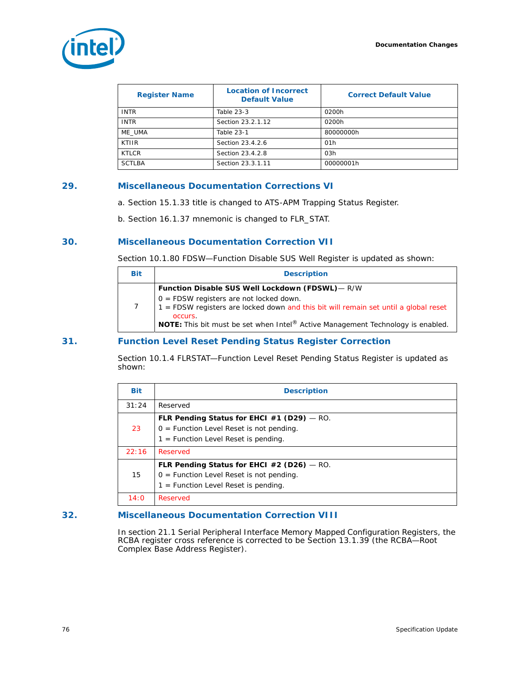

| <b>Register Name</b> | <b>Location of Incorrect</b><br><b>Default Value</b> | <b>Correct Default Value</b> |
|----------------------|------------------------------------------------------|------------------------------|
| <b>INTR</b>          | Table 23-3                                           | 0200h                        |
| <b>INTR</b>          | Section 23.2.1.12                                    | 0200h                        |
| ME UMA               | Table 23-1                                           | 80000000h                    |
| KTIIR                | Section 23.4.2.6                                     | 01h                          |
| KTLCR                | Section 23.4.2.8                                     | 03h                          |
| <b>SCTLBA</b>        | Section 23.3.1.11                                    | 00000001h                    |

## **29. Miscellaneous Documentation Corrections VI**

- a. Section 15.1.33 title is changed to ATS-APM Trapping Status Register.
- b. Section 16.1.37 mnemonic is changed to FLR\_STAT.

## **30. Miscellaneous Documentation Correction VII**

Section 10.1.80 FDSW—Function Disable SUS Well Register is updated as shown:

| <b>Bit</b> | <b>Description</b>                                                                                                                  |
|------------|-------------------------------------------------------------------------------------------------------------------------------------|
|            | Function Disable SUS Well Lockdown (FDSWL)- R/W                                                                                     |
|            | $0 = FDSW$ registers are not locked down.<br>$1 = FDSW$ registers are locked down and this bit will remain set until a global reset |
|            | occurs.<br><b>NOTE:</b> This bit must be set when Intel® Active Management Technology is enabled.                                   |

### **31. Function Level Reset Pending Status Register Correction**

Section 10.1.4 FLRSTAT—Function Level Reset Pending Status Register is updated as shown:

| <b>Bit</b> | <b>Description</b>                                                                                                                   |
|------------|--------------------------------------------------------------------------------------------------------------------------------------|
| 31:24      | Reserved                                                                                                                             |
| 23         | FLR Pending Status for EHCl $#1$ (D29) - RO.<br>$0 =$ Function Level Reset is not pending.<br>$1 =$ Function Level Reset is pending. |
| 22:16      | Reserved                                                                                                                             |
| 15         | FLR Pending Status for EHCl $#2$ (D26) - RO.<br>$0 =$ Function Level Reset is not pending.<br>$1 =$ Function Level Reset is pending. |
| 14:0       | Reserved                                                                                                                             |

### **32. Miscellaneous Documentation Correction VIII**

In section 21.1 Serial Peripheral Interface Memory Mapped Configuration Registers, the RCBA register cross reference is corrected to be Section 13.1.39 (the RCBA—Root Complex Base Address Register).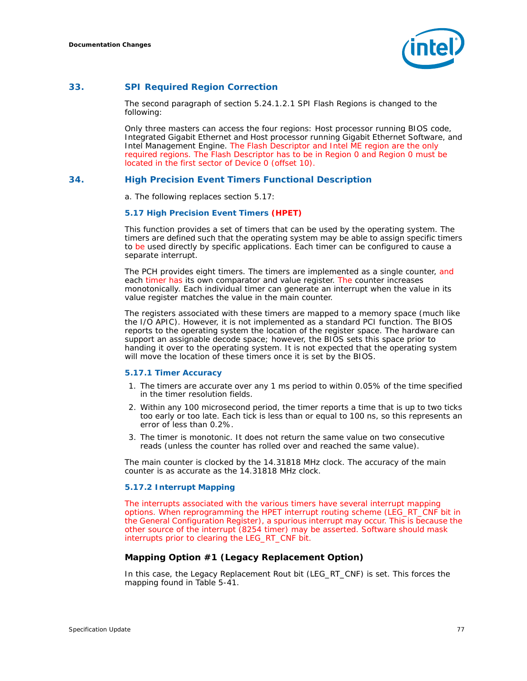

## **33. SPI Required Region Correction**

The second paragraph of section 5.24.1.2.1 SPI Flash Regions is changed to the following:

Only three masters can access the four regions: Host processor running BIOS code, Integrated Gigabit Ethernet and Host processor running Gigabit Ethernet Software, and Intel Management Engine. The Flash Descriptor and Intel ME region are the only required regions. The Flash Descriptor has to be in Region 0 and Region 0 must be located in the first sector of Device 0 (offset 10).

## **34. High Precision Event Timers Functional Description**

a. The following replaces section 5.17:

### **5.17 High Precision Event Timers (HPET)**

This function provides a set of timers that can be used by the operating system. The timers are defined such that the operating system may be able to assign specific timers to be used directly by specific applications. Each timer can be configured to cause a separate interrupt.

The PCH provides eight timers. The timers are implemented as a single counter, and each timer has its own comparator and value register. The counter increases monotonically. Each individual timer can generate an interrupt when the value in its value register matches the value in the main counter.

The registers associated with these timers are mapped to a memory space (much like the I/O APIC). However, it is not implemented as a standard PCI function. The BIOS reports to the operating system the location of the register space. The hardware can support an assignable decode space; however, the BIOS sets this space prior to handing it over to the operating system. It is not expected that the operating system will move the location of these timers once it is set by the BIOS.

#### **5.17.1 Timer Accuracy**

- 1. The timers are accurate over any 1 ms period to within 0.05% of the time specified in the timer resolution fields.
- 2. Within any 100 microsecond period, the timer reports a time that is up to two ticks too early or too late. Each tick is less than or equal to 100 ns, so this represents an error of less than 0.2%.
- 3. The timer is monotonic. It does not return the same value on two consecutive reads (unless the counter has rolled over and reached the same value).

The main counter is clocked by the 14.31818 MHz clock. The accuracy of the main counter is as accurate as the 14.31818 MHz clock.

#### **5.17.2 Interrupt Mapping**

The interrupts associated with the various timers have several interrupt mapping options. When reprogramming the HPET interrupt routing scheme (LEG\_RT\_CNF bit in the General Configuration Register), a spurious interrupt may occur. This is because the other source of the interrupt (8254 timer) may be asserted. Software should mask interrupts prior to clearing the LEG\_RT\_CNF bit.

### **Mapping Option #1 (Legacy Replacement Option)**

In this case, the Legacy Replacement Rout bit (LEG\_RT\_CNF) is set. This forces the mapping found in Table 5-41.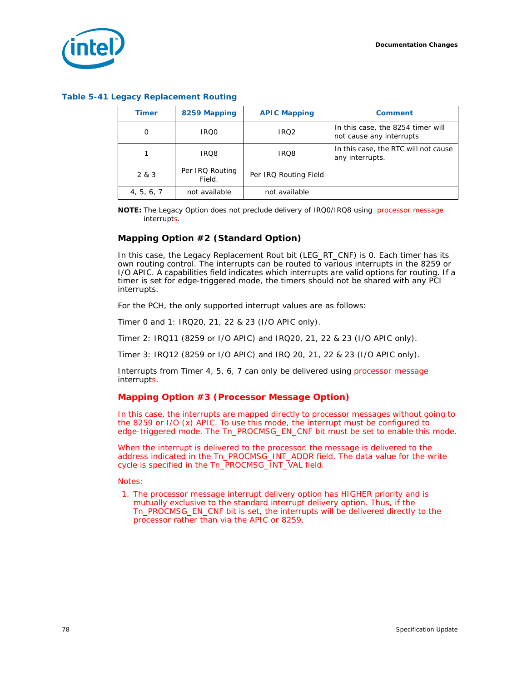

### **Table 5-41 Legacy Replacement Routing**

| <b>Timer</b> | 8259 Mapping              | <b>APIC Mapping</b>   | Comment                                                       |
|--------------|---------------------------|-----------------------|---------------------------------------------------------------|
| 0            | IRQ0                      | IRQ <sub>2</sub>      | In this case, the 8254 timer will<br>not cause any interrupts |
|              | IRQ8                      | IRQ8                  | In this case, the RTC will not cause<br>any interrupts.       |
| 2 & 3        | Per IRQ Routing<br>Field. | Per IRQ Routing Field |                                                               |
| 4, 5, 6, 7   | not available             | not available         |                                                               |

**NOTE:** The Legacy Option does not preclude delivery of IRQ0/IRQ8 using processor message interrupts.

## **Mapping Option #2 (Standard Option)**

In this case, the Legacy Replacement Rout bit (LEG\_RT\_CNF) is 0. Each timer has its own routing control. The interrupts can be routed to various interrupts in the 8259 or I/O APIC. A capabilities field indicates which interrupts are valid options for routing. If a timer is set for edge-triggered mode, the timers should not be shared with any PCI interrupts.

For the PCH, the only supported interrupt values are as follows:

Timer 0 and 1: IRQ20, 21, 22 & 23 (I/O APIC only).

Timer 2: IRQ11 (8259 or I/O APIC) and IRQ20, 21, 22 & 23 (I/O APIC only).

Timer 3: IRQ12 (8259 or I/O APIC) and IRQ 20, 21, 22 & 23 (I/O APIC only).

Interrupts from Timer 4, 5, 6, 7 can only be delivered using processor message interrupts.

### **Mapping Option #3 (Processor Message Option)**

In this case, the interrupts are mapped directly to processor messages without going to the 8259 or I/O (x) APIC. To use this mode, the interrupt must be configured to edge-triggered mode. The Tn\_PROCMSG\_EN\_CNF bit must be set to enable this mode.

When the interrupt is delivered to the processor, the message is delivered to the address indicated in the Tn\_PROCMSG\_INT\_ADDR field. The data value for the write cycle is specified in the Tn\_PROCMSG\_INT\_VAL field.

Notes:

1. The processor message interrupt delivery option has HIGHER priority and is mutually exclusive to the standard interrupt delivery option. Thus, if the Tn\_PROCMSG\_EN\_CNF bit is set, the interrupts will be delivered directly to the processor rather than via the APIC or 8259.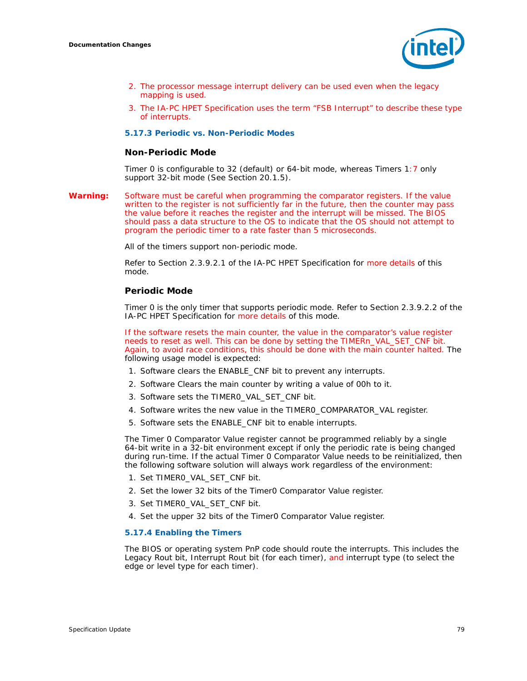

- 2. The processor message interrupt delivery can be used even when the legacy mapping is used.
- 3. The *IA-PC HPET Specification* uses the term "FSB Interrupt" to describe these type of interrupts.

### **5.17.3 Periodic vs. Non-Periodic Modes**

#### **Non-Periodic Mode**

Timer 0 is configurable to 32 (default) or 64-bit mode, whereas Timers 1:7 only support 32-bit mode (See Section 20.1.5).

*Warning:* Software must be careful when programming the comparator registers. If the value written to the register is not sufficiently far in the future, then the counter may pass the value before it reaches the register and the interrupt will be missed. The BIOS should pass a data structure to the OS to indicate that the OS should not attempt to program the periodic timer to a rate faster than 5 microseconds.

All of the timers support non-periodic mode.

Refer to Section 2.3.9.2.1 of the *IA-PC HPET Specification* for more details of this mode.

#### **Periodic Mode**

Timer 0 is the only timer that supports periodic mode. Refer to Section 2.3.9.2.2 of the *IA-PC HPET Specification* for more details of this mode.

If the software resets the main counter, the value in the comparator's value register needs to reset as well. This can be done by setting the TIMERn\_VAL\_SET\_CNF bit. Again, to avoid race conditions, this should be done with the main counter halted. The following usage model is expected:

- 1. Software clears the ENABLE\_CNF bit to prevent any interrupts.
- 2. Software Clears the main counter by writing a value of 00h to it.
- 3. Software sets the TIMER0\_VAL\_SET\_CNF bit.
- 4. Software writes the new value in the TIMER0\_COMPARATOR\_VAL register.
- 5. Software sets the ENABLE\_CNF bit to enable interrupts.

The Timer 0 Comparator Value register cannot be programmed reliably by a single 64-bit write in a 32-bit environment except if only the periodic rate is being changed during run-time. If the actual Timer 0 Comparator Value needs to be reinitialized, then the following software solution will always work regardless of the environment:

- 1. Set TIMER0\_VAL\_SET\_CNF bit.
- 2. Set the lower 32 bits of the Timer0 Comparator Value register.
- 3. Set TIMER0\_VAL\_SET\_CNF bit.
- 4. Set the upper 32 bits of the Timer0 Comparator Value register.

#### **5.17.4 Enabling the Timers**

The BIOS or operating system PnP code should route the interrupts. This includes the Legacy Rout bit, Interrupt Rout bit (for each timer), and interrupt type (to select the edge or level type for each timer).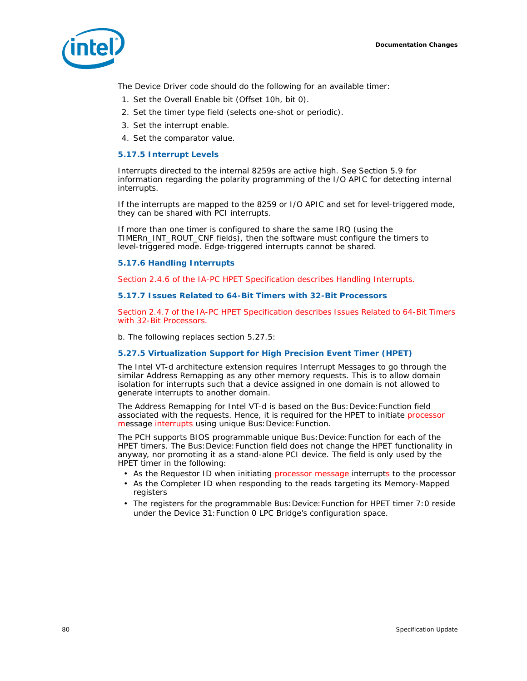

The Device Driver code should do the following for an available timer:

- 1. Set the Overall Enable bit (Offset 10h, bit 0).
- 2. Set the timer type field (selects one-shot or periodic).
- 3. Set the interrupt enable.
- 4. Set the comparator value.

#### **5.17.5 Interrupt Levels**

Interrupts directed to the internal 8259s are active high. See Section 5.9 for information regarding the polarity programming of the I/O APIC for detecting internal interrupts.

If the interrupts are mapped to the 8259 or I/O APIC and set for level-triggered mode, they can be shared with PCI interrupts.

If more than one timer is configured to share the same IRQ (using the TIMERn\_INT\_ROUT\_CNF fields), then the software must configure the timers to level-triggered mode. Edge-triggered interrupts cannot be shared.

#### **5.17.6 Handling Interrupts**

Section 2.4.6 of the *IA-PC HPET Specification* describes Handling Interrupts.

#### **5.17.7 Issues Related to 64-Bit Timers with 32-Bit Processors**

Section 2.4.7 of the *IA-PC HPET Specification* describes Issues Related to 64-Bit Timers with 32-Bit Processors.

b. The following replaces section 5.27.5:

#### **5.27.5 Virtualization Support for High Precision Event Timer (HPET)**

The Intel VT-d architecture extension requires Interrupt Messages to go through the similar Address Remapping as any other memory requests. This is to allow domain isolation for interrupts such that a device assigned in one domain is not allowed to generate interrupts to another domain.

The Address Remapping for Intel VT-d is based on the Bus:Device:Function field associated with the requests. Hence, it is required for the HPET to initiate processor message interrupts using unique Bus:Device:Function.

The PCH supports BIOS programmable unique Bus:Device:Function for each of the HPET timers. The Bus:Device:Function field does not change the HPET functionality in anyway, nor promoting it as a stand-alone PCI device. The field is only used by the HPET timer in the following:

- As the Requestor ID when initiating processor message interrupts to the processor
- As the Completer ID when responding to the reads targeting its Memory-Mapped registers
- The registers for the programmable Bus: Device: Function for HPET timer 7:0 reside under the Device 31:Function 0 LPC Bridge's configuration space.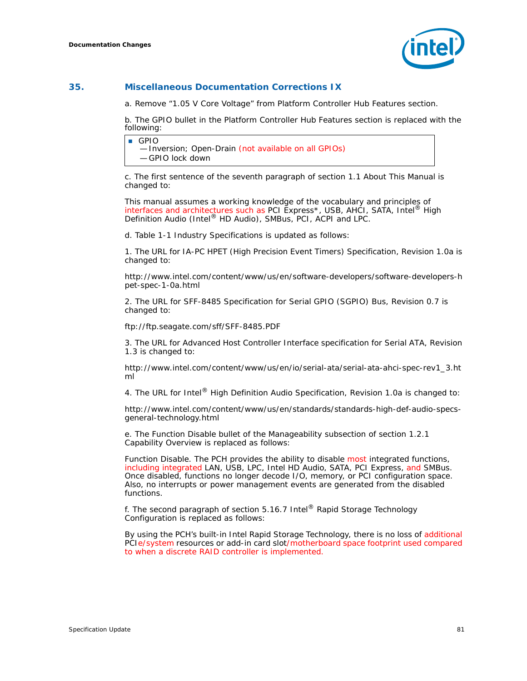

### **35. Miscellaneous Documentation Corrections IX**

a. Remove "1.05 V Core Voltage" from Platform Controller Hub Features section.

b. The GPIO bullet in the Platform Controller Hub Features section is replaced with the following:

```
GPIO
— Inversion; Open-Drain (not available on all GPIOs)
— GPIO lock down
```
c. The first sentence of the seventh paragraph of section 1.1 About This Manual is changed to:

This manual assumes a working knowledge of the vocabulary and principles of interfaces and architectures such as PCI Express\*, USB, AHCI, SATA, Intel® High Definition Audio (Intel® HD Audio), SMBus, PCI, ACPI and LPC.

d. Table 1-1 Industry Specifications is updated as follows:

1. The URL for *IA-PC HPET (High Precision Event Timers) Specification, Revision 1.0a* is changed to:

http://www.intel.com/content/www/us/en/software-developers/software-developers-h pet-spec-1-0a.html

2. The URL for *SFF-8485 Specification for Serial GPIO (SGPIO) Bus, Revision 0.7* is changed to:

ftp://ftp.seagate.com/sff/SFF-8485.PDF

3. The URL for *Advanced Host Controller Interface specification for Serial ATA, Revision 1.3* is changed to:

http://www.intel.com/content/www/us/en/io/serial-ata/serial-ata-ahci-spec-rev1\_3.ht ml

4. The URL for *Intel® High Definition Audio Specification, Revision 1.0a* is changed to:

http://www.intel.com/content/www/us/en/standards/standards-high-def-audio-specsgeneral-technology.html

e. The Function Disable bullet of the Manageability subsection of section 1.2.1 Capability Overview is replaced as follows:

Function Disable. The PCH provides the ability to disable most integrated functions, including integrated LAN, USB, LPC, Intel HD Audio, SATA, PCI Express, and SMBus. Once disabled, functions no longer decode I/O, memory, or PCI configuration space. Also, no interrupts or power management events are generated from the disabled functions.

f. The second paragraph of section 5.16.7 Intel® Rapid Storage Technology Configuration is replaced as follows:

By using the PCH's built-in Intel Rapid Storage Technology, there is no loss of additional PCIe/system resources or add-in card slot/motherboard space footprint used compared to when a discrete RAID controller is implemented.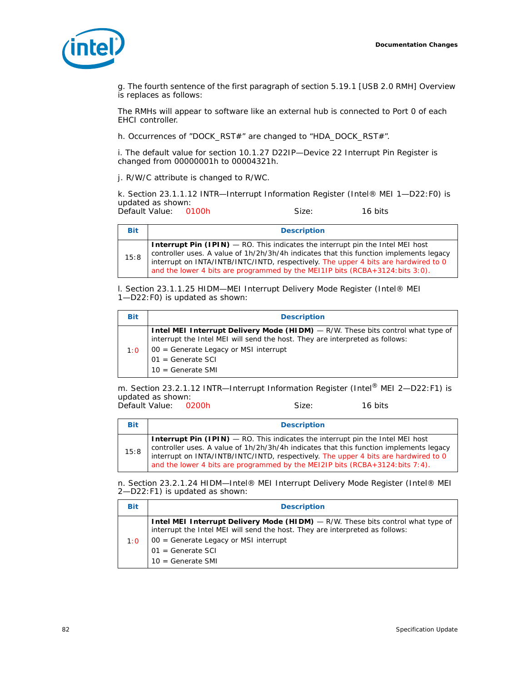

g. The fourth sentence of the first paragraph of section 5.19.1 [USB 2.0 RMH] Overview is replaces as follows:

The RMHs will appear to software like an external hub is connected to Port 0 of each EHCI controller.

h. Occurrences of "DOCK\_RST#" are changed to "HDA\_DOCK\_RST#".

i. The default value for section 10.1.27 D22IP—Device 22 Interrupt Pin Register is changed from 00000001h to 00004321h.

j. R/W/C attribute is changed to R/WC.

k. Section 23.1.1.12 INTR—Interrupt Information Register (Intel® MEI 1—D22:F0) is updated as shown: Default Value: 0100h Size: 16 bits

| <b>Bit</b> | <b>Description</b>                                                                                                                                                                                                                                                                                                                                      |
|------------|---------------------------------------------------------------------------------------------------------------------------------------------------------------------------------------------------------------------------------------------------------------------------------------------------------------------------------------------------------|
| 15:8       | <b>Interrupt Pin (IPIN)</b> - RO. This indicates the interrupt pin the Intel MEI host<br>controller uses. A value of 1h/2h/3h/4h indicates that this function implements legacy<br>interrupt on INTA/INTB/INTC/INTD, respectively. The upper 4 bits are hardwired to 0<br>and the lower 4 bits are programmed by the MEI1IP bits (RCBA+3124: bits 3:0). |

l. Section 23.1.1.25 HIDM—MEI Interrupt Delivery Mode Register (Intel® MEI 1—D22:F0) is updated as shown:

| <b>Bit</b> | <b>Description</b>                                                                                                                                                                                                                                            |
|------------|---------------------------------------------------------------------------------------------------------------------------------------------------------------------------------------------------------------------------------------------------------------|
| 1:0        | <b>Intel MEI Interrupt Delivery Mode (HIDM)</b> - R/W. These bits control what type of<br>interrupt the Intel MEI will send the host. They are interpreted as follows:<br>00 = Generate Legacy or MSI interrupt<br>$01 =$ Generate SCI<br>$10 =$ Generate SMI |

m. Section 23.2.1.12 INTR—Interrupt Information Register (Intel® MEI 2—D22:F1) is updated as shown: Default Value: 0200h Size: 16 bits

| <b>Bit</b> | <b>Description</b>                                                                                                                                                                                                                                                                                                                                      |
|------------|---------------------------------------------------------------------------------------------------------------------------------------------------------------------------------------------------------------------------------------------------------------------------------------------------------------------------------------------------------|
| 15:8       | <b>Interrupt Pin (IPIN)</b> - RO. This indicates the interrupt pin the Intel MEI host<br>controller uses. A value of 1h/2h/3h/4h indicates that this function implements legacy<br>interrupt on INTA/INTB/INTC/INTD, respectively. The upper 4 bits are hardwired to 0<br>and the lower 4 bits are programmed by the MEI2IP bits (RCBA+3124: bits 7:4). |

n. Section 23.2.1.24 HIDM—Intel® MEI Interrupt Delivery Mode Register (Intel® MEI 2—D22:F1) is updated as shown:

| <b>Bit</b> | <b>Description</b>                                                                                                                                                                                                                                       |
|------------|----------------------------------------------------------------------------------------------------------------------------------------------------------------------------------------------------------------------------------------------------------|
| 1:0        | Intel MEI Interrupt Delivery Mode (HIDM) - R/W. These bits control what type of<br>interrupt the Intel MEI will send the host. They are interpreted as follows:<br>  00 = Generate Legacy or MSI interrupt<br>$01 =$ Generate SCI<br>$10 =$ Generate SMI |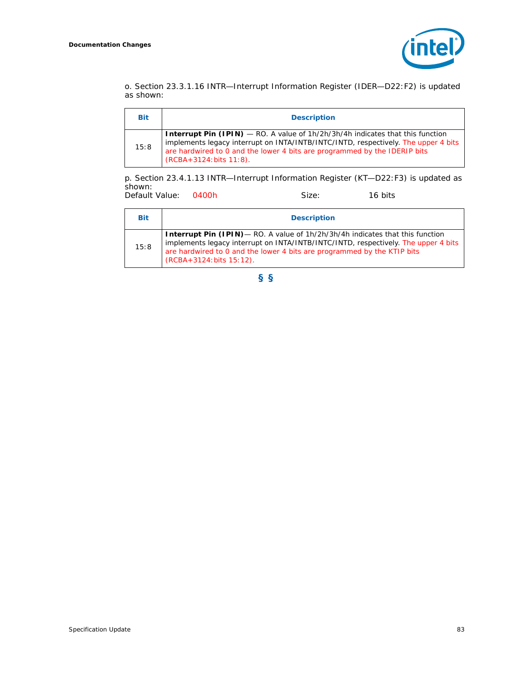

o. Section 23.3.1.16 INTR—Interrupt Information Register (IDER—D22:F2) is updated as shown:

| <b>Bit</b> | <b>Description</b>                                                                                                                                                                                                                                                                      |
|------------|-----------------------------------------------------------------------------------------------------------------------------------------------------------------------------------------------------------------------------------------------------------------------------------------|
| 15:8       | <b>Interrupt Pin (IPIN)</b> - RO. A value of 1h/2h/3h/4h indicates that this function<br>implements legacy interrupt on INTA/INTB/INTC/INTD, respectively. The upper 4 bits<br>are hardwired to 0 and the lower 4 bits are programmed by the IDERIP bits<br>$(RCBA + 3124: bits 11:8).$ |

p. Section 23.4.1.13 INTR—Interrupt Information Register (KT—D22:F3) is updated as shown: Default Value: 0400h Size: 16 bits

| <b>Bit</b> | <b>Description</b>                                                                                                                                                                                                                                                                 |
|------------|------------------------------------------------------------------------------------------------------------------------------------------------------------------------------------------------------------------------------------------------------------------------------------|
| 15:8       | <b>Interrupt Pin (IPIN)</b> — RO. A value of 1h/2h/3h/4h indicates that this function<br>implements legacy interrupt on INTA/INTB/INTC/INTD, respectively. The upper 4 bits<br>are hardwired to 0 and the lower 4 bits are programmed by the KTIP bits<br>(RCBA+3124: bits 15:12). |

**§ §**